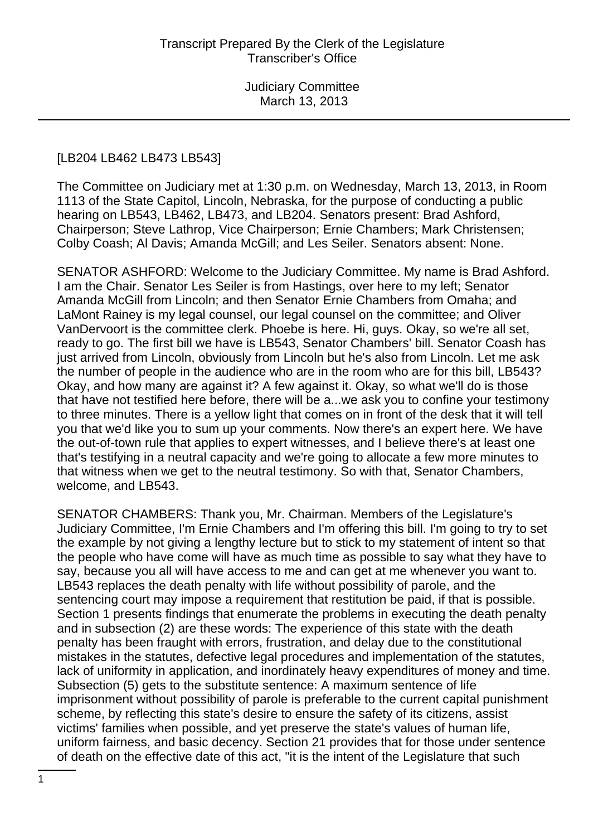#### [LB204 LB462 LB473 LB543]

The Committee on Judiciary met at 1:30 p.m. on Wednesday, March 13, 2013, in Room 1113 of the State Capitol, Lincoln, Nebraska, for the purpose of conducting a public hearing on LB543, LB462, LB473, and LB204. Senators present: Brad Ashford, Chairperson; Steve Lathrop, Vice Chairperson; Ernie Chambers; Mark Christensen; Colby Coash; Al Davis; Amanda McGill; and Les Seiler. Senators absent: None.

SENATOR ASHFORD: Welcome to the Judiciary Committee. My name is Brad Ashford. I am the Chair. Senator Les Seiler is from Hastings, over here to my left; Senator Amanda McGill from Lincoln; and then Senator Ernie Chambers from Omaha; and LaMont Rainey is my legal counsel, our legal counsel on the committee; and Oliver VanDervoort is the committee clerk. Phoebe is here. Hi, guys. Okay, so we're all set, ready to go. The first bill we have is LB543, Senator Chambers' bill. Senator Coash has just arrived from Lincoln, obviously from Lincoln but he's also from Lincoln. Let me ask the number of people in the audience who are in the room who are for this bill, LB543? Okay, and how many are against it? A few against it. Okay, so what we'll do is those that have not testified here before, there will be a...we ask you to confine your testimony to three minutes. There is a yellow light that comes on in front of the desk that it will tell you that we'd like you to sum up your comments. Now there's an expert here. We have the out-of-town rule that applies to expert witnesses, and I believe there's at least one that's testifying in a neutral capacity and we're going to allocate a few more minutes to that witness when we get to the neutral testimony. So with that, Senator Chambers, welcome, and LB543.

SENATOR CHAMBERS: Thank you, Mr. Chairman. Members of the Legislature's Judiciary Committee, I'm Ernie Chambers and I'm offering this bill. I'm going to try to set the example by not giving a lengthy lecture but to stick to my statement of intent so that the people who have come will have as much time as possible to say what they have to say, because you all will have access to me and can get at me whenever you want to. LB543 replaces the death penalty with life without possibility of parole, and the sentencing court may impose a requirement that restitution be paid, if that is possible. Section 1 presents findings that enumerate the problems in executing the death penalty and in subsection (2) are these words: The experience of this state with the death penalty has been fraught with errors, frustration, and delay due to the constitutional mistakes in the statutes, defective legal procedures and implementation of the statutes, lack of uniformity in application, and inordinately heavy expenditures of money and time. Subsection (5) gets to the substitute sentence: A maximum sentence of life imprisonment without possibility of parole is preferable to the current capital punishment scheme, by reflecting this state's desire to ensure the safety of its citizens, assist victims' families when possible, and yet preserve the state's values of human life, uniform fairness, and basic decency. Section 21 provides that for those under sentence of death on the effective date of this act, "it is the intent of the Legislature that such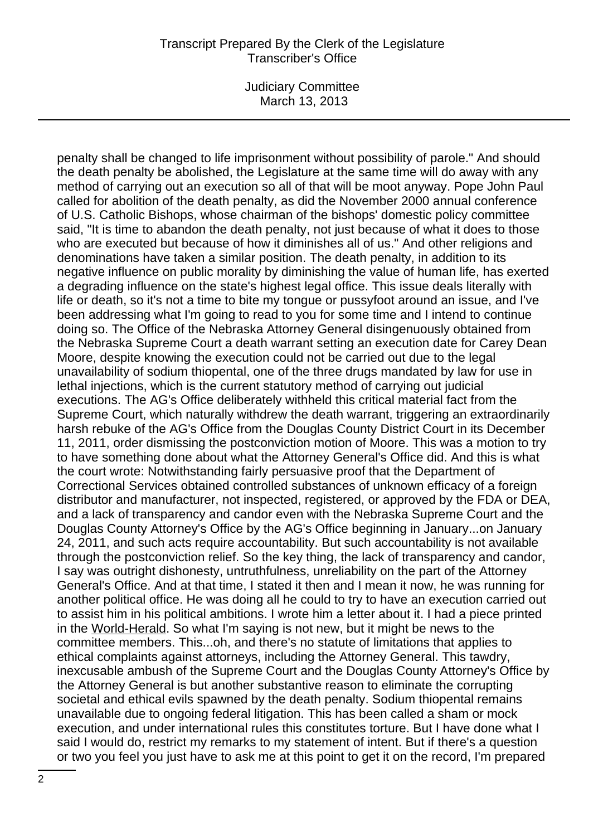Judiciary Committee March 13, 2013

penalty shall be changed to life imprisonment without possibility of parole." And should the death penalty be abolished, the Legislature at the same time will do away with any method of carrying out an execution so all of that will be moot anyway. Pope John Paul called for abolition of the death penalty, as did the November 2000 annual conference of U.S. Catholic Bishops, whose chairman of the bishops' domestic policy committee said, "It is time to abandon the death penalty, not just because of what it does to those who are executed but because of how it diminishes all of us." And other religions and denominations have taken a similar position. The death penalty, in addition to its negative influence on public morality by diminishing the value of human life, has exerted a degrading influence on the state's highest legal office. This issue deals literally with life or death, so it's not a time to bite my tongue or pussyfoot around an issue, and I've been addressing what I'm going to read to you for some time and I intend to continue doing so. The Office of the Nebraska Attorney General disingenuously obtained from the Nebraska Supreme Court a death warrant setting an execution date for Carey Dean Moore, despite knowing the execution could not be carried out due to the legal unavailability of sodium thiopental, one of the three drugs mandated by law for use in lethal injections, which is the current statutory method of carrying out judicial executions. The AG's Office deliberately withheld this critical material fact from the Supreme Court, which naturally withdrew the death warrant, triggering an extraordinarily harsh rebuke of the AG's Office from the Douglas County District Court in its December 11, 2011, order dismissing the postconviction motion of Moore. This was a motion to try to have something done about what the Attorney General's Office did. And this is what the court wrote: Notwithstanding fairly persuasive proof that the Department of Correctional Services obtained controlled substances of unknown efficacy of a foreign distributor and manufacturer, not inspected, registered, or approved by the FDA or DEA, and a lack of transparency and candor even with the Nebraska Supreme Court and the Douglas County Attorney's Office by the AG's Office beginning in January...on January 24, 2011, and such acts require accountability. But such accountability is not available through the postconviction relief. So the key thing, the lack of transparency and candor, I say was outright dishonesty, untruthfulness, unreliability on the part of the Attorney General's Office. And at that time, I stated it then and I mean it now, he was running for another political office. He was doing all he could to try to have an execution carried out to assist him in his political ambitions. I wrote him a letter about it. I had a piece printed in the World-Herald. So what I'm saying is not new, but it might be news to the committee members. This...oh, and there's no statute of limitations that applies to ethical complaints against attorneys, including the Attorney General. This tawdry, inexcusable ambush of the Supreme Court and the Douglas County Attorney's Office by the Attorney General is but another substantive reason to eliminate the corrupting societal and ethical evils spawned by the death penalty. Sodium thiopental remains unavailable due to ongoing federal litigation. This has been called a sham or mock execution, and under international rules this constitutes torture. But I have done what I said I would do, restrict my remarks to my statement of intent. But if there's a question or two you feel you just have to ask me at this point to get it on the record, I'm prepared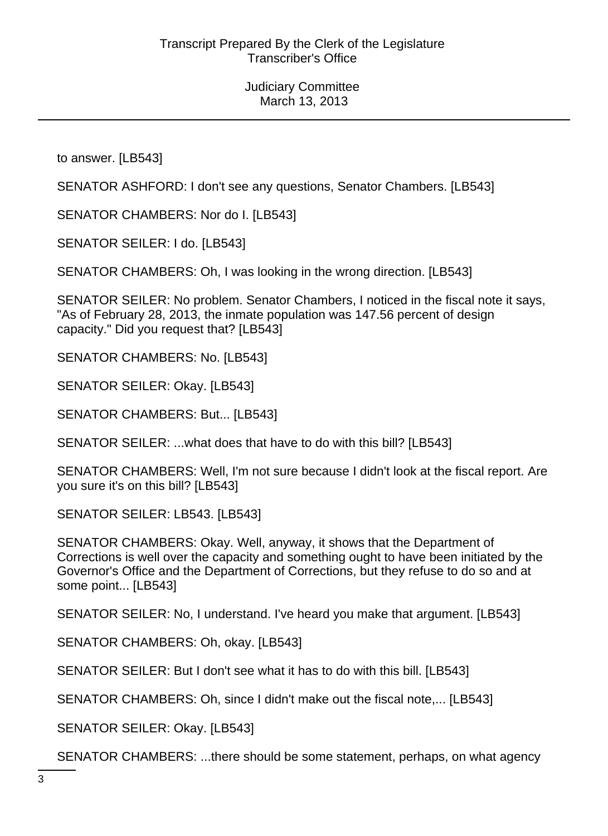to answer. [LB543]

SENATOR ASHFORD: I don't see any questions, Senator Chambers. [LB543]

SENATOR CHAMBERS: Nor do I. [LB543]

SENATOR SEILER: I do. [LB543]

SENATOR CHAMBERS: Oh, I was looking in the wrong direction. [LB543]

SENATOR SEILER: No problem. Senator Chambers, I noticed in the fiscal note it says, "As of February 28, 2013, the inmate population was 147.56 percent of design capacity." Did you request that? [LB543]

SENATOR CHAMBERS: No. [LB543]

SENATOR SEILER: Okay. [LB543]

SENATOR CHAMBERS: But... [LB543]

SENATOR SEILER: ...what does that have to do with this bill? [LB543]

SENATOR CHAMBERS: Well, I'm not sure because I didn't look at the fiscal report. Are you sure it's on this bill? [LB543]

SENATOR SEILER: LB543. [LB543]

SENATOR CHAMBERS: Okay. Well, anyway, it shows that the Department of Corrections is well over the capacity and something ought to have been initiated by the Governor's Office and the Department of Corrections, but they refuse to do so and at some point... [LB543]

SENATOR SEILER: No, I understand. I've heard you make that argument. [LB543]

SENATOR CHAMBERS: Oh, okay. [LB543]

SENATOR SEILER: But I don't see what it has to do with this bill. [LB543]

SENATOR CHAMBERS: Oh, since I didn't make out the fiscal note,... [LB543]

SENATOR SEILER: Okay. [LB543]

SENATOR CHAMBERS: ...there should be some statement, perhaps, on what agency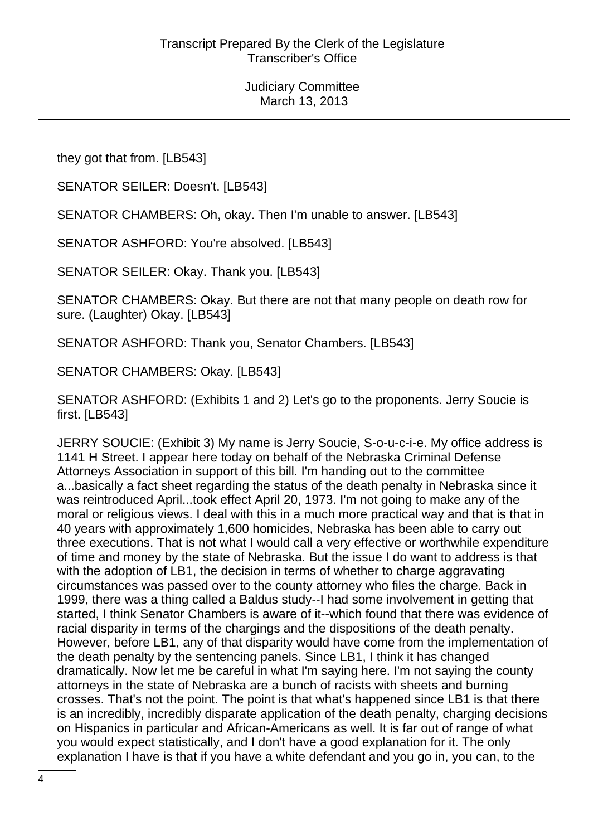they got that from. [LB543]

SENATOR SEILER: Doesn't. [LB543]

SENATOR CHAMBERS: Oh, okay. Then I'm unable to answer. [LB543]

SENATOR ASHFORD: You're absolved. [LB543]

SENATOR SEILER: Okay. Thank you. [LB543]

SENATOR CHAMBERS: Okay. But there are not that many people on death row for sure. (Laughter) Okay. [LB543]

SENATOR ASHFORD: Thank you, Senator Chambers. [LB543]

SENATOR CHAMBERS: Okay. [LB543]

SENATOR ASHFORD: (Exhibits 1 and 2) Let's go to the proponents. Jerry Soucie is first. [LB543]

JERRY SOUCIE: (Exhibit 3) My name is Jerry Soucie, S-o-u-c-i-e. My office address is 1141 H Street. I appear here today on behalf of the Nebraska Criminal Defense Attorneys Association in support of this bill. I'm handing out to the committee a...basically a fact sheet regarding the status of the death penalty in Nebraska since it was reintroduced April...took effect April 20, 1973. I'm not going to make any of the moral or religious views. I deal with this in a much more practical way and that is that in 40 years with approximately 1,600 homicides, Nebraska has been able to carry out three executions. That is not what I would call a very effective or worthwhile expenditure of time and money by the state of Nebraska. But the issue I do want to address is that with the adoption of LB1, the decision in terms of whether to charge aggravating circumstances was passed over to the county attorney who files the charge. Back in 1999, there was a thing called a Baldus study--I had some involvement in getting that started, I think Senator Chambers is aware of it--which found that there was evidence of racial disparity in terms of the chargings and the dispositions of the death penalty. However, before LB1, any of that disparity would have come from the implementation of the death penalty by the sentencing panels. Since LB1, I think it has changed dramatically. Now let me be careful in what I'm saying here. I'm not saying the county attorneys in the state of Nebraska are a bunch of racists with sheets and burning crosses. That's not the point. The point is that what's happened since LB1 is that there is an incredibly, incredibly disparate application of the death penalty, charging decisions on Hispanics in particular and African-Americans as well. It is far out of range of what you would expect statistically, and I don't have a good explanation for it. The only explanation I have is that if you have a white defendant and you go in, you can, to the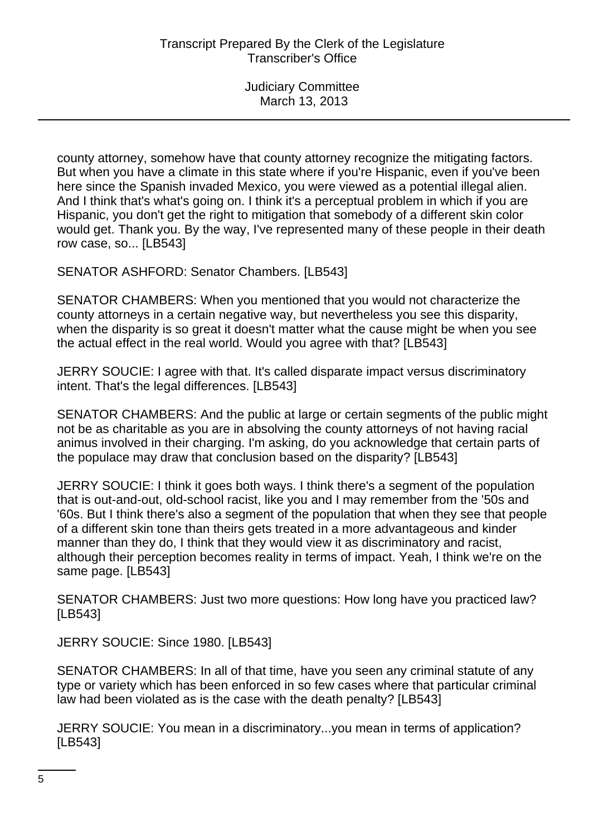county attorney, somehow have that county attorney recognize the mitigating factors. But when you have a climate in this state where if you're Hispanic, even if you've been here since the Spanish invaded Mexico, you were viewed as a potential illegal alien. And I think that's what's going on. I think it's a perceptual problem in which if you are Hispanic, you don't get the right to mitigation that somebody of a different skin color would get. Thank you. By the way, I've represented many of these people in their death row case, so... [LB543]

SENATOR ASHFORD: Senator Chambers. [LB543]

SENATOR CHAMBERS: When you mentioned that you would not characterize the county attorneys in a certain negative way, but nevertheless you see this disparity, when the disparity is so great it doesn't matter what the cause might be when you see the actual effect in the real world. Would you agree with that? [LB543]

JERRY SOUCIE: I agree with that. It's called disparate impact versus discriminatory intent. That's the legal differences. [LB543]

SENATOR CHAMBERS: And the public at large or certain segments of the public might not be as charitable as you are in absolving the county attorneys of not having racial animus involved in their charging. I'm asking, do you acknowledge that certain parts of the populace may draw that conclusion based on the disparity? [LB543]

JERRY SOUCIE: I think it goes both ways. I think there's a segment of the population that is out-and-out, old-school racist, like you and I may remember from the '50s and '60s. But I think there's also a segment of the population that when they see that people of a different skin tone than theirs gets treated in a more advantageous and kinder manner than they do, I think that they would view it as discriminatory and racist, although their perception becomes reality in terms of impact. Yeah, I think we're on the same page. [LB543]

SENATOR CHAMBERS: Just two more questions: How long have you practiced law? [LB543]

JERRY SOUCIE: Since 1980. [LB543]

SENATOR CHAMBERS: In all of that time, have you seen any criminal statute of any type or variety which has been enforced in so few cases where that particular criminal law had been violated as is the case with the death penalty? [LB543]

JERRY SOUCIE: You mean in a discriminatory...you mean in terms of application? [LB543]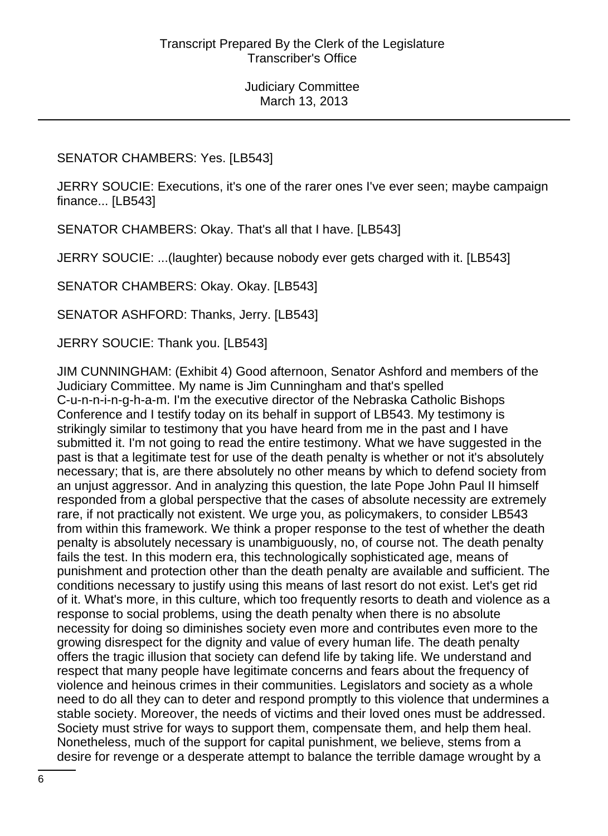### SENATOR CHAMBERS: Yes. [LB543]

JERRY SOUCIE: Executions, it's one of the rarer ones I've ever seen; maybe campaign finance... [LB543]

SENATOR CHAMBERS: Okay. That's all that I have. [LB543]

JERRY SOUCIE: ...(laughter) because nobody ever gets charged with it. [LB543]

SENATOR CHAMBERS: Okay. Okay. [LB543]

SENATOR ASHFORD: Thanks, Jerry. [LB543]

JERRY SOUCIE: Thank you. [LB543]

JIM CUNNINGHAM: (Exhibit 4) Good afternoon, Senator Ashford and members of the Judiciary Committee. My name is Jim Cunningham and that's spelled C-u-n-n-i-n-g-h-a-m. I'm the executive director of the Nebraska Catholic Bishops Conference and I testify today on its behalf in support of LB543. My testimony is strikingly similar to testimony that you have heard from me in the past and I have submitted it. I'm not going to read the entire testimony. What we have suggested in the past is that a legitimate test for use of the death penalty is whether or not it's absolutely necessary; that is, are there absolutely no other means by which to defend society from an unjust aggressor. And in analyzing this question, the late Pope John Paul II himself responded from a global perspective that the cases of absolute necessity are extremely rare, if not practically not existent. We urge you, as policymakers, to consider LB543 from within this framework. We think a proper response to the test of whether the death penalty is absolutely necessary is unambiguously, no, of course not. The death penalty fails the test. In this modern era, this technologically sophisticated age, means of punishment and protection other than the death penalty are available and sufficient. The conditions necessary to justify using this means of last resort do not exist. Let's get rid of it. What's more, in this culture, which too frequently resorts to death and violence as a response to social problems, using the death penalty when there is no absolute necessity for doing so diminishes society even more and contributes even more to the growing disrespect for the dignity and value of every human life. The death penalty offers the tragic illusion that society can defend life by taking life. We understand and respect that many people have legitimate concerns and fears about the frequency of violence and heinous crimes in their communities. Legislators and society as a whole need to do all they can to deter and respond promptly to this violence that undermines a stable society. Moreover, the needs of victims and their loved ones must be addressed. Society must strive for ways to support them, compensate them, and help them heal. Nonetheless, much of the support for capital punishment, we believe, stems from a desire for revenge or a desperate attempt to balance the terrible damage wrought by a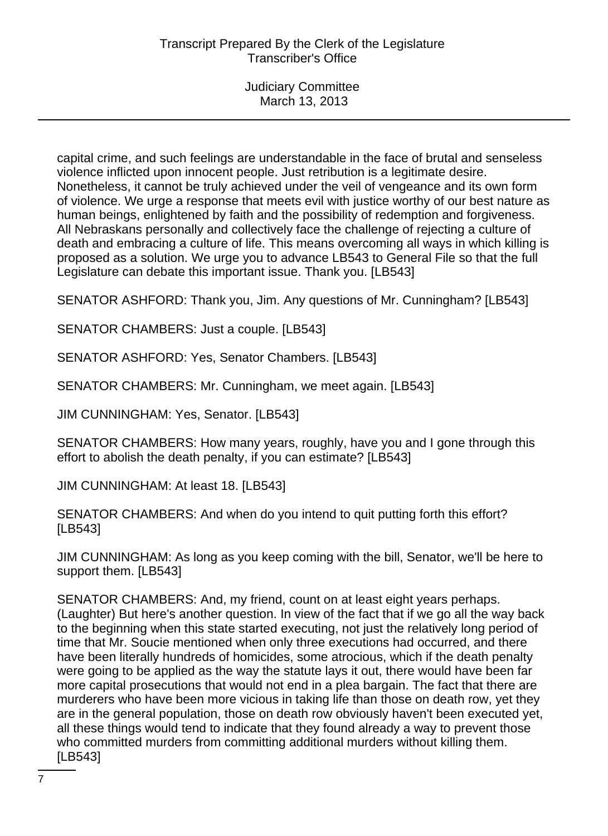capital crime, and such feelings are understandable in the face of brutal and senseless violence inflicted upon innocent people. Just retribution is a legitimate desire. Nonetheless, it cannot be truly achieved under the veil of vengeance and its own form of violence. We urge a response that meets evil with justice worthy of our best nature as human beings, enlightened by faith and the possibility of redemption and forgiveness. All Nebraskans personally and collectively face the challenge of rejecting a culture of death and embracing a culture of life. This means overcoming all ways in which killing is proposed as a solution. We urge you to advance LB543 to General File so that the full Legislature can debate this important issue. Thank you. [LB543]

SENATOR ASHFORD: Thank you, Jim. Any questions of Mr. Cunningham? [LB543]

SENATOR CHAMBERS: Just a couple. [LB543]

SENATOR ASHFORD: Yes, Senator Chambers. [LB543]

SENATOR CHAMBERS: Mr. Cunningham, we meet again. [LB543]

JIM CUNNINGHAM: Yes, Senator. [LB543]

SENATOR CHAMBERS: How many years, roughly, have you and I gone through this effort to abolish the death penalty, if you can estimate? [LB543]

JIM CUNNINGHAM: At least 18. [LB543]

SENATOR CHAMBERS: And when do you intend to quit putting forth this effort? [LB543]

JIM CUNNINGHAM: As long as you keep coming with the bill, Senator, we'll be here to support them. [LB543]

SENATOR CHAMBERS: And, my friend, count on at least eight years perhaps. (Laughter) But here's another question. In view of the fact that if we go all the way back to the beginning when this state started executing, not just the relatively long period of time that Mr. Soucie mentioned when only three executions had occurred, and there have been literally hundreds of homicides, some atrocious, which if the death penalty were going to be applied as the way the statute lays it out, there would have been far more capital prosecutions that would not end in a plea bargain. The fact that there are murderers who have been more vicious in taking life than those on death row, yet they are in the general population, those on death row obviously haven't been executed yet, all these things would tend to indicate that they found already a way to prevent those who committed murders from committing additional murders without killing them. [LB543]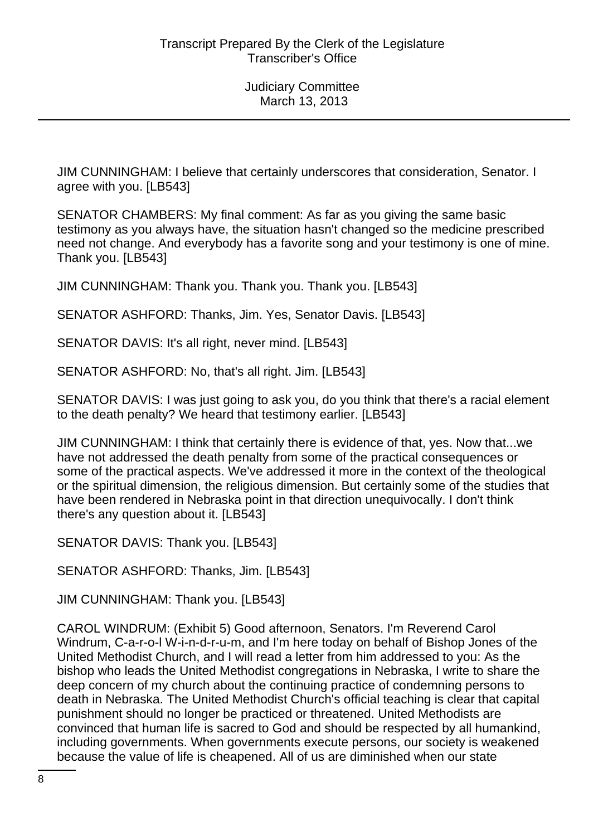JIM CUNNINGHAM: I believe that certainly underscores that consideration, Senator. I agree with you. [LB543]

SENATOR CHAMBERS: My final comment: As far as you giving the same basic testimony as you always have, the situation hasn't changed so the medicine prescribed need not change. And everybody has a favorite song and your testimony is one of mine. Thank you. [LB543]

JIM CUNNINGHAM: Thank you. Thank you. Thank you. [LB543]

SENATOR ASHFORD: Thanks, Jim. Yes, Senator Davis. [LB543]

SENATOR DAVIS: It's all right, never mind. [LB543]

SENATOR ASHFORD: No, that's all right. Jim. [LB543]

SENATOR DAVIS: I was just going to ask you, do you think that there's a racial element to the death penalty? We heard that testimony earlier. [LB543]

JIM CUNNINGHAM: I think that certainly there is evidence of that, yes. Now that...we have not addressed the death penalty from some of the practical consequences or some of the practical aspects. We've addressed it more in the context of the theological or the spiritual dimension, the religious dimension. But certainly some of the studies that have been rendered in Nebraska point in that direction unequivocally. I don't think there's any question about it. [LB543]

SENATOR DAVIS: Thank you. [LB543]

SENATOR ASHFORD: Thanks, Jim. [LB543]

JIM CUNNINGHAM: Thank you. [LB543]

CAROL WINDRUM: (Exhibit 5) Good afternoon, Senators. I'm Reverend Carol Windrum, C-a-r-o-l W-i-n-d-r-u-m, and I'm here today on behalf of Bishop Jones of the United Methodist Church, and I will read a letter from him addressed to you: As the bishop who leads the United Methodist congregations in Nebraska, I write to share the deep concern of my church about the continuing practice of condemning persons to death in Nebraska. The United Methodist Church's official teaching is clear that capital punishment should no longer be practiced or threatened. United Methodists are convinced that human life is sacred to God and should be respected by all humankind, including governments. When governments execute persons, our society is weakened because the value of life is cheapened. All of us are diminished when our state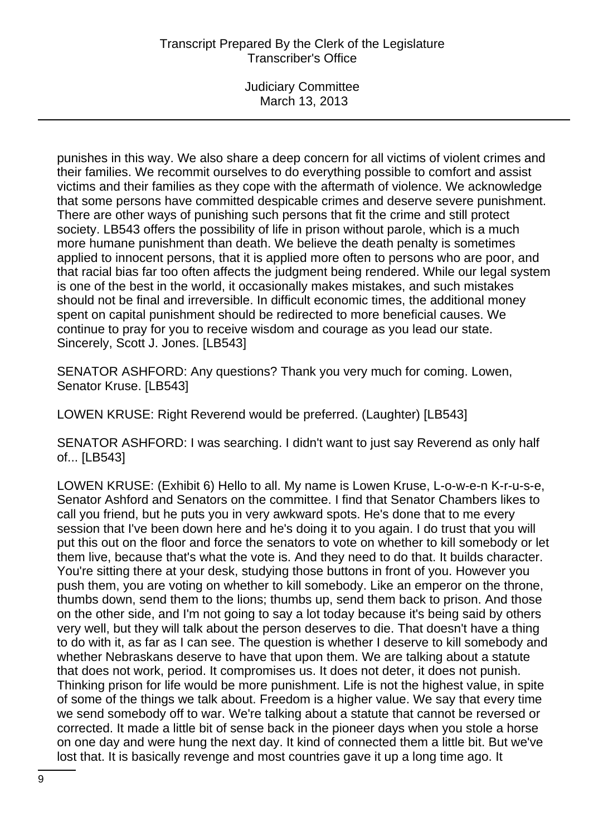Judiciary Committee March 13, 2013

punishes in this way. We also share a deep concern for all victims of violent crimes and their families. We recommit ourselves to do everything possible to comfort and assist victims and their families as they cope with the aftermath of violence. We acknowledge that some persons have committed despicable crimes and deserve severe punishment. There are other ways of punishing such persons that fit the crime and still protect society. LB543 offers the possibility of life in prison without parole, which is a much more humane punishment than death. We believe the death penalty is sometimes applied to innocent persons, that it is applied more often to persons who are poor, and that racial bias far too often affects the judgment being rendered. While our legal system is one of the best in the world, it occasionally makes mistakes, and such mistakes should not be final and irreversible. In difficult economic times, the additional money spent on capital punishment should be redirected to more beneficial causes. We continue to pray for you to receive wisdom and courage as you lead our state. Sincerely, Scott J. Jones. [LB543]

SENATOR ASHFORD: Any questions? Thank you very much for coming. Lowen, Senator Kruse. [LB543]

LOWEN KRUSE: Right Reverend would be preferred. (Laughter) [LB543]

SENATOR ASHFORD: I was searching. I didn't want to just say Reverend as only half of... [LB543]

LOWEN KRUSE: (Exhibit 6) Hello to all. My name is Lowen Kruse, L-o-w-e-n K-r-u-s-e, Senator Ashford and Senators on the committee. I find that Senator Chambers likes to call you friend, but he puts you in very awkward spots. He's done that to me every session that I've been down here and he's doing it to you again. I do trust that you will put this out on the floor and force the senators to vote on whether to kill somebody or let them live, because that's what the vote is. And they need to do that. It builds character. You're sitting there at your desk, studying those buttons in front of you. However you push them, you are voting on whether to kill somebody. Like an emperor on the throne, thumbs down, send them to the lions; thumbs up, send them back to prison. And those on the other side, and I'm not going to say a lot today because it's being said by others very well, but they will talk about the person deserves to die. That doesn't have a thing to do with it, as far as I can see. The question is whether I deserve to kill somebody and whether Nebraskans deserve to have that upon them. We are talking about a statute that does not work, period. It compromises us. It does not deter, it does not punish. Thinking prison for life would be more punishment. Life is not the highest value, in spite of some of the things we talk about. Freedom is a higher value. We say that every time we send somebody off to war. We're talking about a statute that cannot be reversed or corrected. It made a little bit of sense back in the pioneer days when you stole a horse on one day and were hung the next day. It kind of connected them a little bit. But we've lost that. It is basically revenge and most countries gave it up a long time ago. It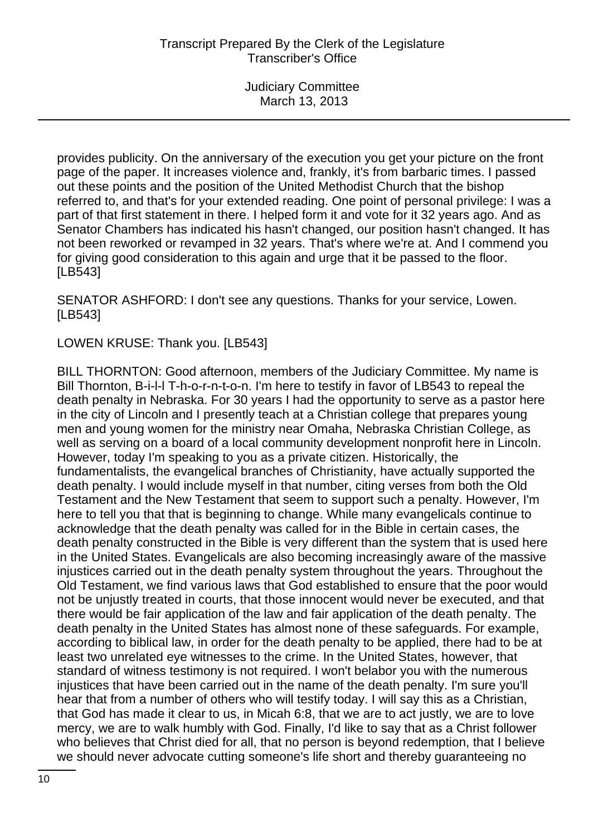provides publicity. On the anniversary of the execution you get your picture on the front page of the paper. It increases violence and, frankly, it's from barbaric times. I passed out these points and the position of the United Methodist Church that the bishop referred to, and that's for your extended reading. One point of personal privilege: I was a part of that first statement in there. I helped form it and vote for it 32 years ago. And as Senator Chambers has indicated his hasn't changed, our position hasn't changed. It has not been reworked or revamped in 32 years. That's where we're at. And I commend you for giving good consideration to this again and urge that it be passed to the floor. [LB543]

SENATOR ASHFORD: I don't see any questions. Thanks for your service, Lowen. [LB543]

LOWEN KRUSE: Thank you. [LB543]

BILL THORNTON: Good afternoon, members of the Judiciary Committee. My name is Bill Thornton, B-i-l-l T-h-o-r-n-t-o-n. I'm here to testify in favor of LB543 to repeal the death penalty in Nebraska. For 30 years I had the opportunity to serve as a pastor here in the city of Lincoln and I presently teach at a Christian college that prepares young men and young women for the ministry near Omaha, Nebraska Christian College, as well as serving on a board of a local community development nonprofit here in Lincoln. However, today I'm speaking to you as a private citizen. Historically, the fundamentalists, the evangelical branches of Christianity, have actually supported the death penalty. I would include myself in that number, citing verses from both the Old Testament and the New Testament that seem to support such a penalty. However, I'm here to tell you that that is beginning to change. While many evangelicals continue to acknowledge that the death penalty was called for in the Bible in certain cases, the death penalty constructed in the Bible is very different than the system that is used here in the United States. Evangelicals are also becoming increasingly aware of the massive injustices carried out in the death penalty system throughout the years. Throughout the Old Testament, we find various laws that God established to ensure that the poor would not be unjustly treated in courts, that those innocent would never be executed, and that there would be fair application of the law and fair application of the death penalty. The death penalty in the United States has almost none of these safeguards. For example, according to biblical law, in order for the death penalty to be applied, there had to be at least two unrelated eye witnesses to the crime. In the United States, however, that standard of witness testimony is not required. I won't belabor you with the numerous injustices that have been carried out in the name of the death penalty. I'm sure you'll hear that from a number of others who will testify today. I will say this as a Christian, that God has made it clear to us, in Micah 6:8, that we are to act justly, we are to love mercy, we are to walk humbly with God. Finally, I'd like to say that as a Christ follower who believes that Christ died for all, that no person is beyond redemption, that I believe we should never advocate cutting someone's life short and thereby guaranteeing no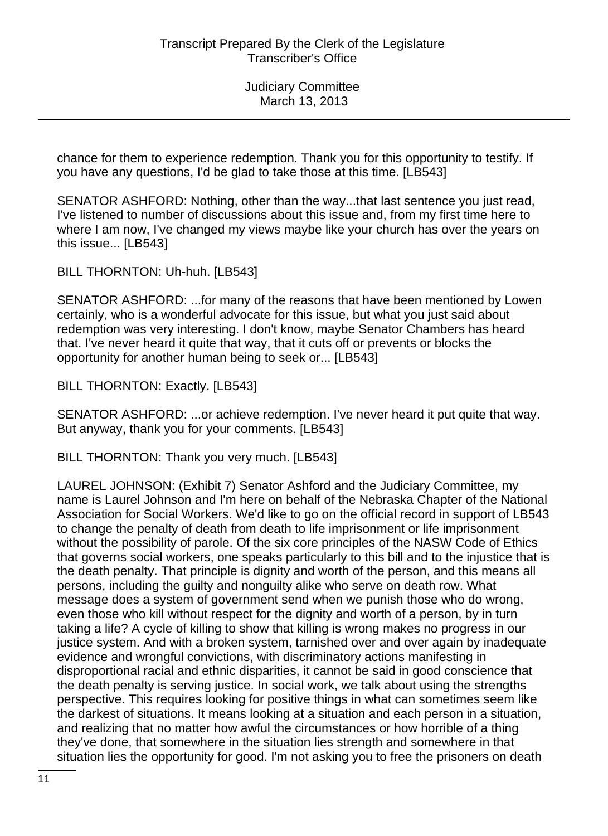chance for them to experience redemption. Thank you for this opportunity to testify. If you have any questions, I'd be glad to take those at this time. [LB543]

SENATOR ASHFORD: Nothing, other than the way...that last sentence you just read, I've listened to number of discussions about this issue and, from my first time here to where I am now, I've changed my views maybe like your church has over the years on this issue... [LB543]

BILL THORNTON: Uh-huh. [LB543]

SENATOR ASHFORD: ...for many of the reasons that have been mentioned by Lowen certainly, who is a wonderful advocate for this issue, but what you just said about redemption was very interesting. I don't know, maybe Senator Chambers has heard that. I've never heard it quite that way, that it cuts off or prevents or blocks the opportunity for another human being to seek or... [LB543]

BILL THORNTON: Exactly. [LB543]

SENATOR ASHFORD: ...or achieve redemption. I've never heard it put quite that way. But anyway, thank you for your comments. [LB543]

BILL THORNTON: Thank you very much. [LB543]

LAUREL JOHNSON: (Exhibit 7) Senator Ashford and the Judiciary Committee, my name is Laurel Johnson and I'm here on behalf of the Nebraska Chapter of the National Association for Social Workers. We'd like to go on the official record in support of LB543 to change the penalty of death from death to life imprisonment or life imprisonment without the possibility of parole. Of the six core principles of the NASW Code of Ethics that governs social workers, one speaks particularly to this bill and to the injustice that is the death penalty. That principle is dignity and worth of the person, and this means all persons, including the guilty and nonguilty alike who serve on death row. What message does a system of government send when we punish those who do wrong, even those who kill without respect for the dignity and worth of a person, by in turn taking a life? A cycle of killing to show that killing is wrong makes no progress in our justice system. And with a broken system, tarnished over and over again by inadequate evidence and wrongful convictions, with discriminatory actions manifesting in disproportional racial and ethnic disparities, it cannot be said in good conscience that the death penalty is serving justice. In social work, we talk about using the strengths perspective. This requires looking for positive things in what can sometimes seem like the darkest of situations. It means looking at a situation and each person in a situation, and realizing that no matter how awful the circumstances or how horrible of a thing they've done, that somewhere in the situation lies strength and somewhere in that situation lies the opportunity for good. I'm not asking you to free the prisoners on death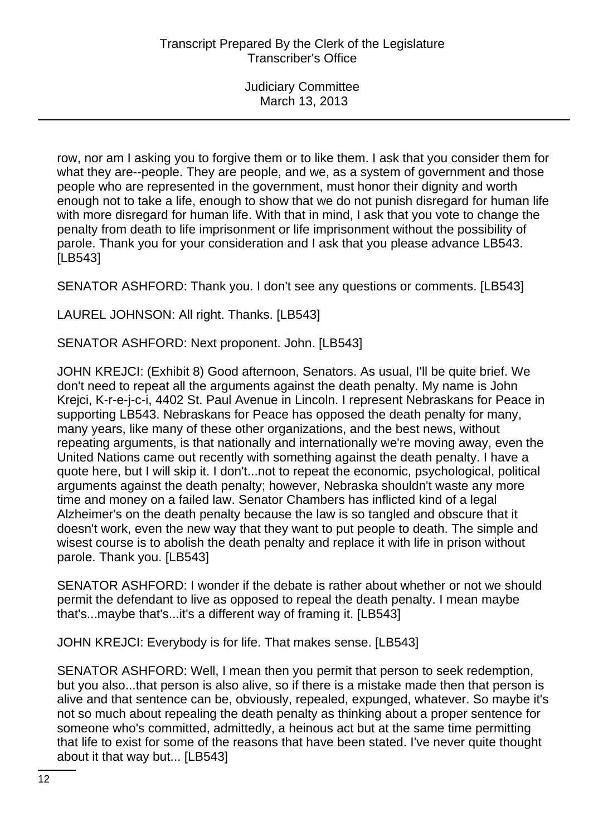row, nor am I asking you to forgive them or to like them. I ask that you consider them for what they are--people. They are people, and we, as a system of government and those people who are represented in the government, must honor their dignity and worth enough not to take a life, enough to show that we do not punish disregard for human life with more disregard for human life. With that in mind, I ask that you vote to change the penalty from death to life imprisonment or life imprisonment without the possibility of parole. Thank you for your consideration and I ask that you please advance LB543. [LB543]

SENATOR ASHFORD: Thank you. I don't see any questions or comments. [LB543]

LAUREL JOHNSON: All right. Thanks. [LB543]

SENATOR ASHFORD: Next proponent. John. [LB543]

JOHN KREJCI: (Exhibit 8) Good afternoon, Senators. As usual, I'll be quite brief. We don't need to repeat all the arguments against the death penalty. My name is John Krejci, K-r-e-j-c-i, 4402 St. Paul Avenue in Lincoln. I represent Nebraskans for Peace in supporting LB543. Nebraskans for Peace has opposed the death penalty for many, many years, like many of these other organizations, and the best news, without repeating arguments, is that nationally and internationally we're moving away, even the United Nations came out recently with something against the death penalty. I have a quote here, but I will skip it. I don't...not to repeat the economic, psychological, political arguments against the death penalty; however, Nebraska shouldn't waste any more time and money on a failed law. Senator Chambers has inflicted kind of a legal Alzheimer's on the death penalty because the law is so tangled and obscure that it doesn't work, even the new way that they want to put people to death. The simple and wisest course is to abolish the death penalty and replace it with life in prison without parole. Thank you. [LB543]

SENATOR ASHFORD: I wonder if the debate is rather about whether or not we should permit the defendant to live as opposed to repeal the death penalty. I mean maybe that's...maybe that's...it's a different way of framing it. [LB543]

JOHN KREJCI: Everybody is for life. That makes sense. [LB543]

SENATOR ASHFORD: Well, I mean then you permit that person to seek redemption, but you also...that person is also alive, so if there is a mistake made then that person is alive and that sentence can be, obviously, repealed, expunged, whatever. So maybe it's not so much about repealing the death penalty as thinking about a proper sentence for someone who's committed, admittedly, a heinous act but at the same time permitting that life to exist for some of the reasons that have been stated. I've never quite thought about it that way but... [LB543]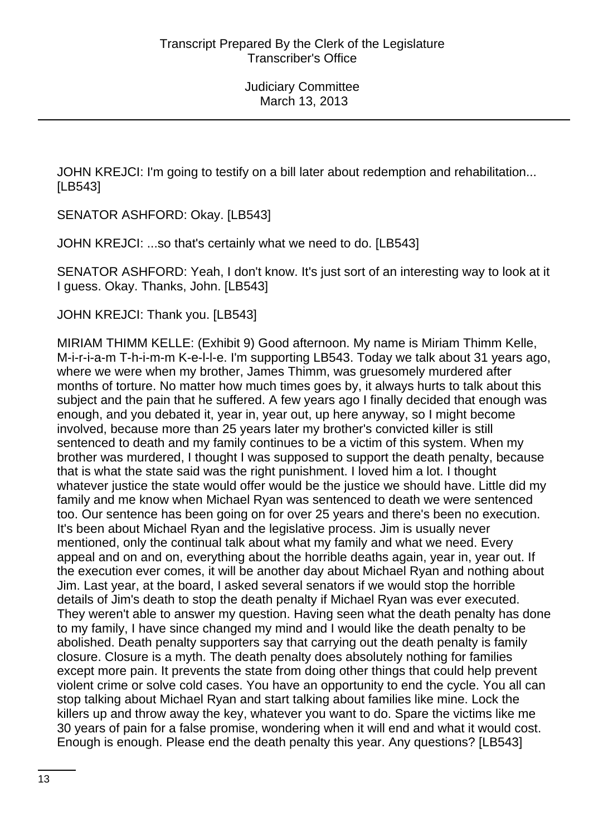JOHN KREJCI: I'm going to testify on a bill later about redemption and rehabilitation... [LB543]

SENATOR ASHFORD: Okay. [LB543]

JOHN KREJCI: ...so that's certainly what we need to do. [LB543]

SENATOR ASHFORD: Yeah, I don't know. It's just sort of an interesting way to look at it I guess. Okay. Thanks, John. [LB543]

JOHN KREJCI: Thank you. [LB543]

MIRIAM THIMM KELLE: (Exhibit 9) Good afternoon. My name is Miriam Thimm Kelle, M-i-r-i-a-m T-h-i-m-m K-e-l-l-e. I'm supporting LB543. Today we talk about 31 years ago, where we were when my brother, James Thimm, was gruesomely murdered after months of torture. No matter how much times goes by, it always hurts to talk about this subject and the pain that he suffered. A few years ago I finally decided that enough was enough, and you debated it, year in, year out, up here anyway, so I might become involved, because more than 25 years later my brother's convicted killer is still sentenced to death and my family continues to be a victim of this system. When my brother was murdered, I thought I was supposed to support the death penalty, because that is what the state said was the right punishment. I loved him a lot. I thought whatever justice the state would offer would be the justice we should have. Little did my family and me know when Michael Ryan was sentenced to death we were sentenced too. Our sentence has been going on for over 25 years and there's been no execution. It's been about Michael Ryan and the legislative process. Jim is usually never mentioned, only the continual talk about what my family and what we need. Every appeal and on and on, everything about the horrible deaths again, year in, year out. If the execution ever comes, it will be another day about Michael Ryan and nothing about Jim. Last year, at the board, I asked several senators if we would stop the horrible details of Jim's death to stop the death penalty if Michael Ryan was ever executed. They weren't able to answer my question. Having seen what the death penalty has done to my family, I have since changed my mind and I would like the death penalty to be abolished. Death penalty supporters say that carrying out the death penalty is family closure. Closure is a myth. The death penalty does absolutely nothing for families except more pain. It prevents the state from doing other things that could help prevent violent crime or solve cold cases. You have an opportunity to end the cycle. You all can stop talking about Michael Ryan and start talking about families like mine. Lock the killers up and throw away the key, whatever you want to do. Spare the victims like me 30 years of pain for a false promise, wondering when it will end and what it would cost. Enough is enough. Please end the death penalty this year. Any questions? [LB543]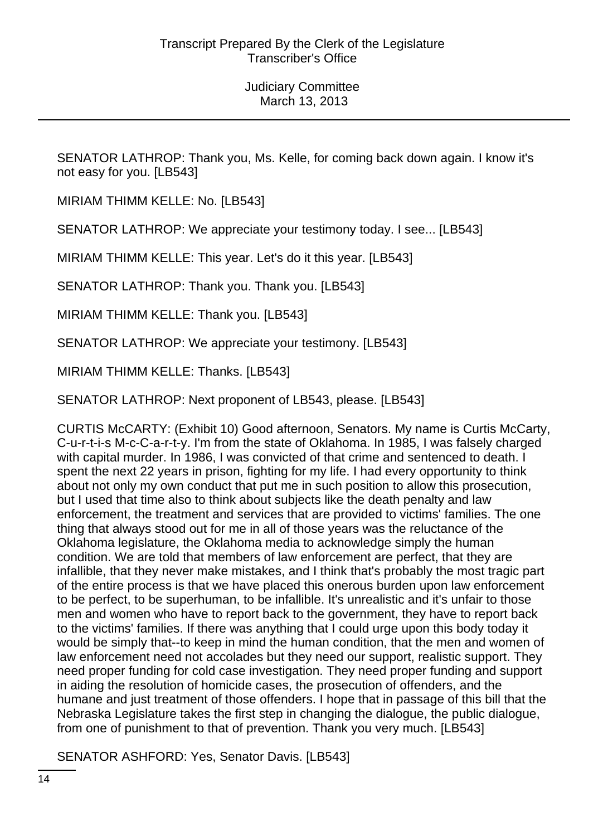SENATOR LATHROP: Thank you, Ms. Kelle, for coming back down again. I know it's not easy for you. [LB543]

MIRIAM THIMM KELLE: No. [LB543]

SENATOR LATHROP: We appreciate your testimony today. I see... [LB543]

MIRIAM THIMM KELLE: This year. Let's do it this year. [LB543]

SENATOR LATHROP: Thank you. Thank you. [LB543]

MIRIAM THIMM KELLE: Thank you. [LB543]

SENATOR LATHROP: We appreciate your testimony. [LB543]

MIRIAM THIMM KELLE: Thanks. [LB543]

SENATOR LATHROP: Next proponent of LB543, please. [LB543]

CURTIS McCARTY: (Exhibit 10) Good afternoon, Senators. My name is Curtis McCarty, C-u-r-t-i-s M-c-C-a-r-t-y. I'm from the state of Oklahoma. In 1985, I was falsely charged with capital murder. In 1986, I was convicted of that crime and sentenced to death. I spent the next 22 years in prison, fighting for my life. I had every opportunity to think about not only my own conduct that put me in such position to allow this prosecution, but I used that time also to think about subjects like the death penalty and law enforcement, the treatment and services that are provided to victims' families. The one thing that always stood out for me in all of those years was the reluctance of the Oklahoma legislature, the Oklahoma media to acknowledge simply the human condition. We are told that members of law enforcement are perfect, that they are infallible, that they never make mistakes, and I think that's probably the most tragic part of the entire process is that we have placed this onerous burden upon law enforcement to be perfect, to be superhuman, to be infallible. It's unrealistic and it's unfair to those men and women who have to report back to the government, they have to report back to the victims' families. If there was anything that I could urge upon this body today it would be simply that--to keep in mind the human condition, that the men and women of law enforcement need not accolades but they need our support, realistic support. They need proper funding for cold case investigation. They need proper funding and support in aiding the resolution of homicide cases, the prosecution of offenders, and the humane and just treatment of those offenders. I hope that in passage of this bill that the Nebraska Legislature takes the first step in changing the dialogue, the public dialogue, from one of punishment to that of prevention. Thank you very much. [LB543]

SENATOR ASHFORD: Yes, Senator Davis. [LB543]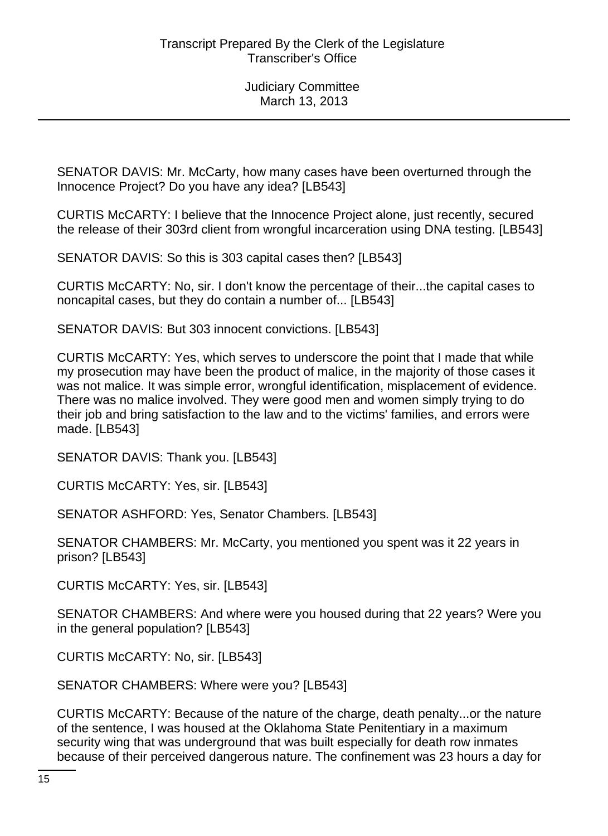SENATOR DAVIS: Mr. McCarty, how many cases have been overturned through the Innocence Project? Do you have any idea? [LB543]

CURTIS McCARTY: I believe that the Innocence Project alone, just recently, secured the release of their 303rd client from wrongful incarceration using DNA testing. [LB543]

SENATOR DAVIS: So this is 303 capital cases then? [LB543]

CURTIS McCARTY: No, sir. I don't know the percentage of their...the capital cases to noncapital cases, but they do contain a number of... [LB543]

SENATOR DAVIS: But 303 innocent convictions. [LB543]

CURTIS McCARTY: Yes, which serves to underscore the point that I made that while my prosecution may have been the product of malice, in the majority of those cases it was not malice. It was simple error, wrongful identification, misplacement of evidence. There was no malice involved. They were good men and women simply trying to do their job and bring satisfaction to the law and to the victims' families, and errors were made. [LB543]

SENATOR DAVIS: Thank you. [LB543]

CURTIS McCARTY: Yes, sir. [LB543]

SENATOR ASHFORD: Yes, Senator Chambers. [LB543]

SENATOR CHAMBERS: Mr. McCarty, you mentioned you spent was it 22 years in prison? [LB543]

CURTIS McCARTY: Yes, sir. [LB543]

SENATOR CHAMBERS: And where were you housed during that 22 years? Were you in the general population? [LB543]

CURTIS McCARTY: No, sir. [LB543]

SENATOR CHAMBERS: Where were you? [LB543]

CURTIS McCARTY: Because of the nature of the charge, death penalty...or the nature of the sentence, I was housed at the Oklahoma State Penitentiary in a maximum security wing that was underground that was built especially for death row inmates because of their perceived dangerous nature. The confinement was 23 hours a day for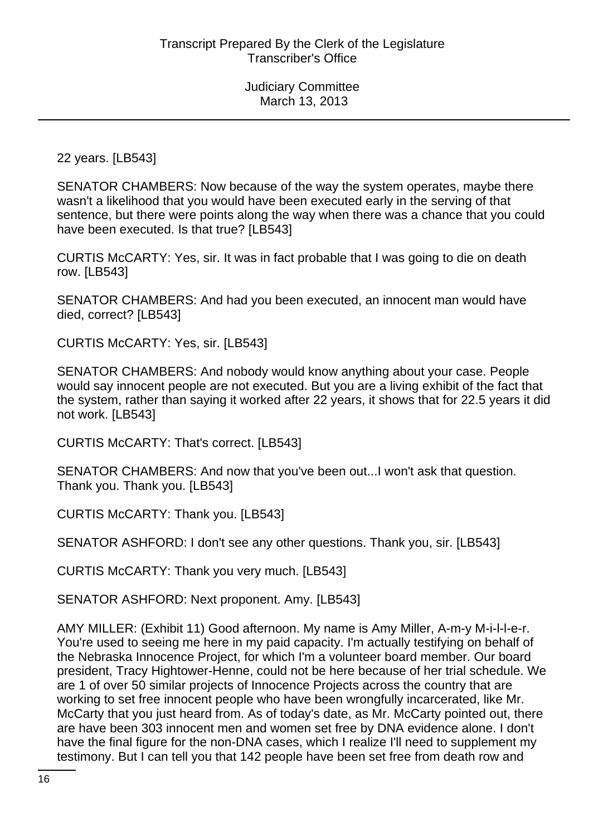22 years. [LB543]

SENATOR CHAMBERS: Now because of the way the system operates, maybe there wasn't a likelihood that you would have been executed early in the serving of that sentence, but there were points along the way when there was a chance that you could have been executed. Is that true? [LB543]

CURTIS McCARTY: Yes, sir. It was in fact probable that I was going to die on death row. [LB543]

SENATOR CHAMBERS: And had you been executed, an innocent man would have died, correct? [LB543]

CURTIS McCARTY: Yes, sir. [LB543]

SENATOR CHAMBERS: And nobody would know anything about your case. People would say innocent people are not executed. But you are a living exhibit of the fact that the system, rather than saying it worked after 22 years, it shows that for 22.5 years it did not work. [LB543]

CURTIS McCARTY: That's correct. [LB543]

SENATOR CHAMBERS: And now that you've been out...I won't ask that question. Thank you. Thank you. [LB543]

CURTIS McCARTY: Thank you. [LB543]

SENATOR ASHFORD: I don't see any other questions. Thank you, sir. [LB543]

CURTIS McCARTY: Thank you very much. [LB543]

SENATOR ASHFORD: Next proponent. Amy. [LB543]

AMY MILLER: (Exhibit 11) Good afternoon. My name is Amy Miller, A-m-y M-i-l-l-e-r. You're used to seeing me here in my paid capacity. I'm actually testifying on behalf of the Nebraska Innocence Project, for which I'm a volunteer board member. Our board president, Tracy Hightower-Henne, could not be here because of her trial schedule. We are 1 of over 50 similar projects of Innocence Projects across the country that are working to set free innocent people who have been wrongfully incarcerated, like Mr. McCarty that you just heard from. As of today's date, as Mr. McCarty pointed out, there are have been 303 innocent men and women set free by DNA evidence alone. I don't have the final figure for the non-DNA cases, which I realize I'll need to supplement my testimony. But I can tell you that 142 people have been set free from death row and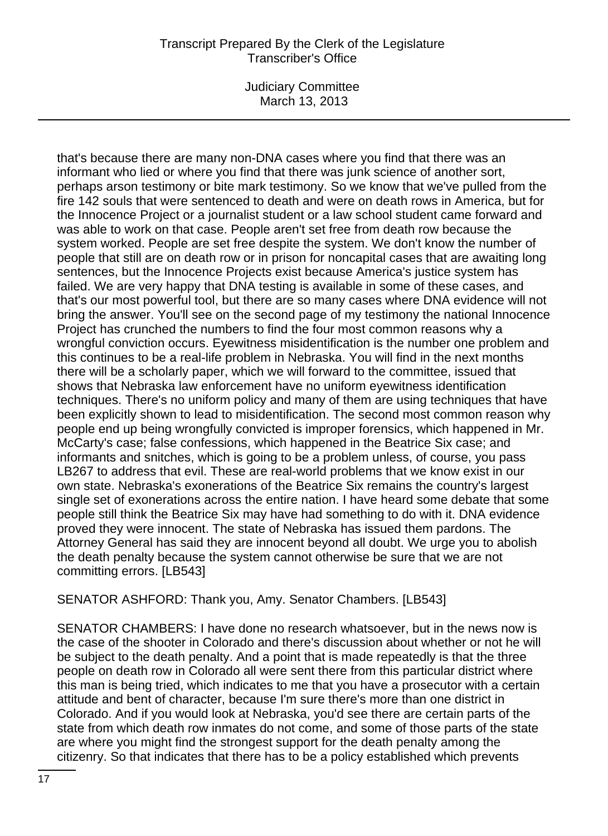Judiciary Committee March 13, 2013

that's because there are many non-DNA cases where you find that there was an informant who lied or where you find that there was junk science of another sort, perhaps arson testimony or bite mark testimony. So we know that we've pulled from the fire 142 souls that were sentenced to death and were on death rows in America, but for the Innocence Project or a journalist student or a law school student came forward and was able to work on that case. People aren't set free from death row because the system worked. People are set free despite the system. We don't know the number of people that still are on death row or in prison for noncapital cases that are awaiting long sentences, but the Innocence Projects exist because America's justice system has failed. We are very happy that DNA testing is available in some of these cases, and that's our most powerful tool, but there are so many cases where DNA evidence will not bring the answer. You'll see on the second page of my testimony the national Innocence Project has crunched the numbers to find the four most common reasons why a wrongful conviction occurs. Eyewitness misidentification is the number one problem and this continues to be a real-life problem in Nebraska. You will find in the next months there will be a scholarly paper, which we will forward to the committee, issued that shows that Nebraska law enforcement have no uniform eyewitness identification techniques. There's no uniform policy and many of them are using techniques that have been explicitly shown to lead to misidentification. The second most common reason why people end up being wrongfully convicted is improper forensics, which happened in Mr. McCarty's case; false confessions, which happened in the Beatrice Six case; and informants and snitches, which is going to be a problem unless, of course, you pass LB267 to address that evil. These are real-world problems that we know exist in our own state. Nebraska's exonerations of the Beatrice Six remains the country's largest single set of exonerations across the entire nation. I have heard some debate that some people still think the Beatrice Six may have had something to do with it. DNA evidence proved they were innocent. The state of Nebraska has issued them pardons. The Attorney General has said they are innocent beyond all doubt. We urge you to abolish the death penalty because the system cannot otherwise be sure that we are not committing errors. [LB543]

SENATOR ASHFORD: Thank you, Amy. Senator Chambers. [LB543]

SENATOR CHAMBERS: I have done no research whatsoever, but in the news now is the case of the shooter in Colorado and there's discussion about whether or not he will be subject to the death penalty. And a point that is made repeatedly is that the three people on death row in Colorado all were sent there from this particular district where this man is being tried, which indicates to me that you have a prosecutor with a certain attitude and bent of character, because I'm sure there's more than one district in Colorado. And if you would look at Nebraska, you'd see there are certain parts of the state from which death row inmates do not come, and some of those parts of the state are where you might find the strongest support for the death penalty among the citizenry. So that indicates that there has to be a policy established which prevents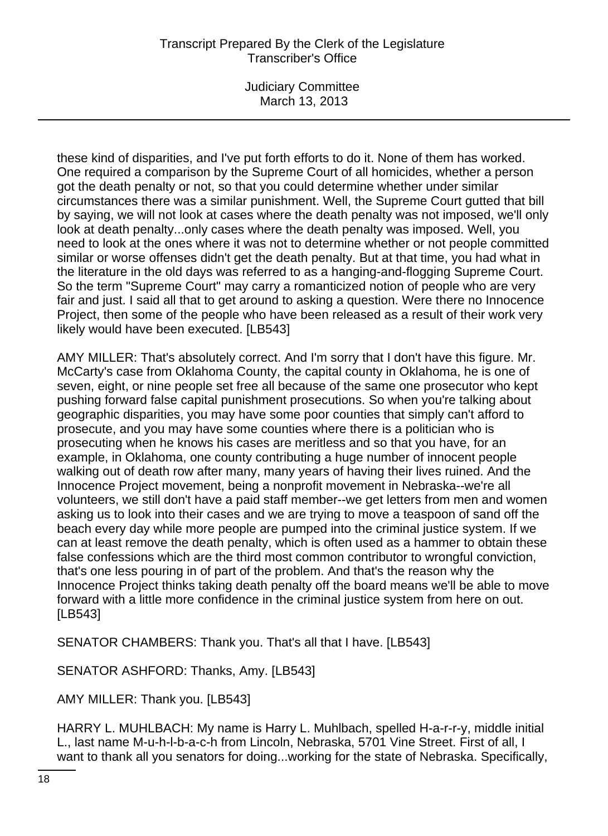Judiciary Committee March 13, 2013

these kind of disparities, and I've put forth efforts to do it. None of them has worked. One required a comparison by the Supreme Court of all homicides, whether a person got the death penalty or not, so that you could determine whether under similar circumstances there was a similar punishment. Well, the Supreme Court gutted that bill by saying, we will not look at cases where the death penalty was not imposed, we'll only look at death penalty...only cases where the death penalty was imposed. Well, you need to look at the ones where it was not to determine whether or not people committed similar or worse offenses didn't get the death penalty. But at that time, you had what in the literature in the old days was referred to as a hanging-and-flogging Supreme Court. So the term "Supreme Court" may carry a romanticized notion of people who are very fair and just. I said all that to get around to asking a question. Were there no Innocence Project, then some of the people who have been released as a result of their work very likely would have been executed. [LB543]

AMY MILLER: That's absolutely correct. And I'm sorry that I don't have this figure. Mr. McCarty's case from Oklahoma County, the capital county in Oklahoma, he is one of seven, eight, or nine people set free all because of the same one prosecutor who kept pushing forward false capital punishment prosecutions. So when you're talking about geographic disparities, you may have some poor counties that simply can't afford to prosecute, and you may have some counties where there is a politician who is prosecuting when he knows his cases are meritless and so that you have, for an example, in Oklahoma, one county contributing a huge number of innocent people walking out of death row after many, many years of having their lives ruined. And the Innocence Project movement, being a nonprofit movement in Nebraska--we're all volunteers, we still don't have a paid staff member--we get letters from men and women asking us to look into their cases and we are trying to move a teaspoon of sand off the beach every day while more people are pumped into the criminal justice system. If we can at least remove the death penalty, which is often used as a hammer to obtain these false confessions which are the third most common contributor to wrongful conviction, that's one less pouring in of part of the problem. And that's the reason why the Innocence Project thinks taking death penalty off the board means we'll be able to move forward with a little more confidence in the criminal justice system from here on out. [LB543]

SENATOR CHAMBERS: Thank you. That's all that I have. [LB543]

SENATOR ASHFORD: Thanks, Amy. [LB543]

AMY MILLER: Thank you. [LB543]

HARRY L. MUHLBACH: My name is Harry L. Muhlbach, spelled H-a-r-r-y, middle initial L., last name M-u-h-l-b-a-c-h from Lincoln, Nebraska, 5701 Vine Street. First of all, I want to thank all you senators for doing...working for the state of Nebraska. Specifically,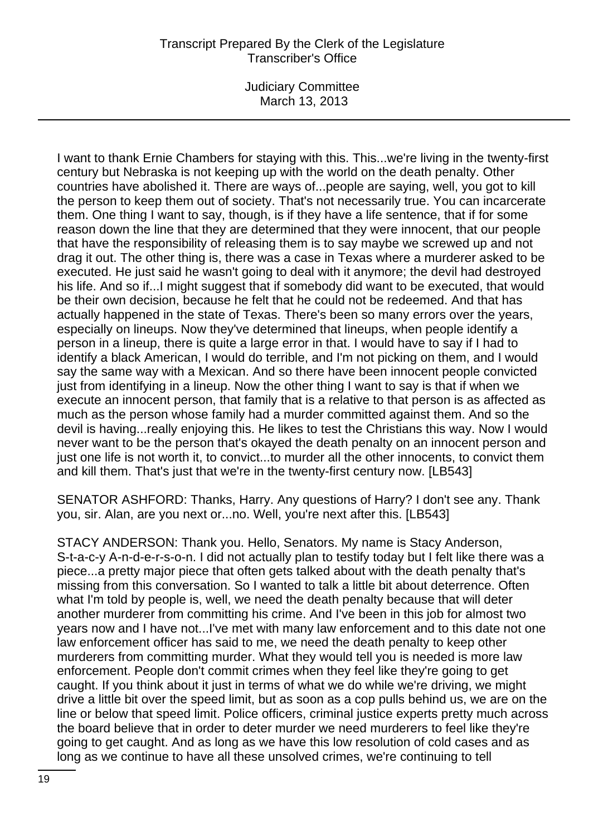Judiciary Committee March 13, 2013

I want to thank Ernie Chambers for staying with this. This...we're living in the twenty-first century but Nebraska is not keeping up with the world on the death penalty. Other countries have abolished it. There are ways of...people are saying, well, you got to kill the person to keep them out of society. That's not necessarily true. You can incarcerate them. One thing I want to say, though, is if they have a life sentence, that if for some reason down the line that they are determined that they were innocent, that our people that have the responsibility of releasing them is to say maybe we screwed up and not drag it out. The other thing is, there was a case in Texas where a murderer asked to be executed. He just said he wasn't going to deal with it anymore; the devil had destroyed his life. And so if...I might suggest that if somebody did want to be executed, that would be their own decision, because he felt that he could not be redeemed. And that has actually happened in the state of Texas. There's been so many errors over the years, especially on lineups. Now they've determined that lineups, when people identify a person in a lineup, there is quite a large error in that. I would have to say if I had to identify a black American, I would do terrible, and I'm not picking on them, and I would say the same way with a Mexican. And so there have been innocent people convicted just from identifying in a lineup. Now the other thing I want to say is that if when we execute an innocent person, that family that is a relative to that person is as affected as much as the person whose family had a murder committed against them. And so the devil is having...really enjoying this. He likes to test the Christians this way. Now I would never want to be the person that's okayed the death penalty on an innocent person and just one life is not worth it, to convict...to murder all the other innocents, to convict them and kill them. That's just that we're in the twenty-first century now. [LB543]

SENATOR ASHFORD: Thanks, Harry. Any questions of Harry? I don't see any. Thank you, sir. Alan, are you next or...no. Well, you're next after this. [LB543]

STACY ANDERSON: Thank you. Hello, Senators. My name is Stacy Anderson, S-t-a-c-y A-n-d-e-r-s-o-n. I did not actually plan to testify today but I felt like there was a piece...a pretty major piece that often gets talked about with the death penalty that's missing from this conversation. So I wanted to talk a little bit about deterrence. Often what I'm told by people is, well, we need the death penalty because that will deter another murderer from committing his crime. And I've been in this job for almost two years now and I have not...I've met with many law enforcement and to this date not one law enforcement officer has said to me, we need the death penalty to keep other murderers from committing murder. What they would tell you is needed is more law enforcement. People don't commit crimes when they feel like they're going to get caught. If you think about it just in terms of what we do while we're driving, we might drive a little bit over the speed limit, but as soon as a cop pulls behind us, we are on the line or below that speed limit. Police officers, criminal justice experts pretty much across the board believe that in order to deter murder we need murderers to feel like they're going to get caught. And as long as we have this low resolution of cold cases and as long as we continue to have all these unsolved crimes, we're continuing to tell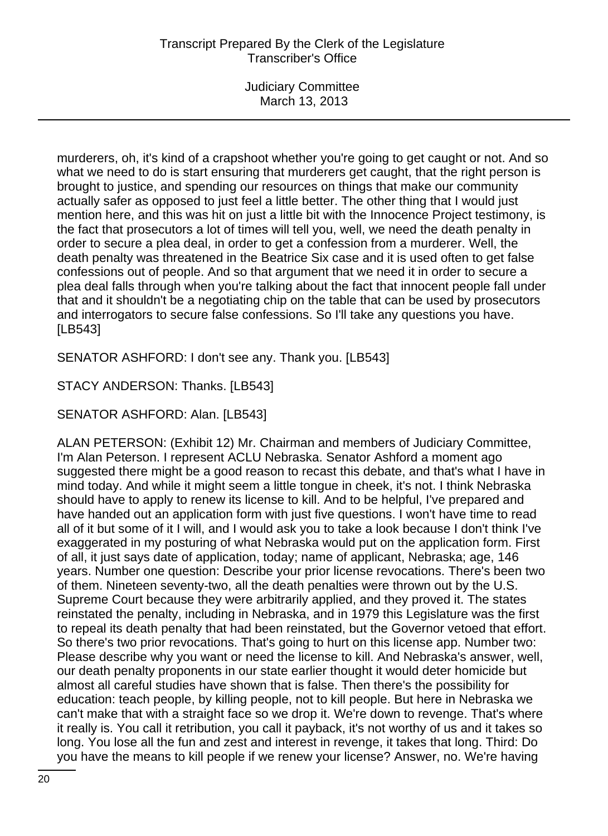murderers, oh, it's kind of a crapshoot whether you're going to get caught or not. And so what we need to do is start ensuring that murderers get caught, that the right person is brought to justice, and spending our resources on things that make our community actually safer as opposed to just feel a little better. The other thing that I would just mention here, and this was hit on just a little bit with the Innocence Project testimony, is the fact that prosecutors a lot of times will tell you, well, we need the death penalty in order to secure a plea deal, in order to get a confession from a murderer. Well, the death penalty was threatened in the Beatrice Six case and it is used often to get false confessions out of people. And so that argument that we need it in order to secure a plea deal falls through when you're talking about the fact that innocent people fall under that and it shouldn't be a negotiating chip on the table that can be used by prosecutors and interrogators to secure false confessions. So I'll take any questions you have. [LB543]

SENATOR ASHFORD: I don't see any. Thank you. [LB543]

STACY ANDERSON: Thanks. [LB543]

SENATOR ASHFORD: Alan. [LB543]

ALAN PETERSON: (Exhibit 12) Mr. Chairman and members of Judiciary Committee, I'm Alan Peterson. I represent ACLU Nebraska. Senator Ashford a moment ago suggested there might be a good reason to recast this debate, and that's what I have in mind today. And while it might seem a little tongue in cheek, it's not. I think Nebraska should have to apply to renew its license to kill. And to be helpful, I've prepared and have handed out an application form with just five questions. I won't have time to read all of it but some of it I will, and I would ask you to take a look because I don't think I've exaggerated in my posturing of what Nebraska would put on the application form. First of all, it just says date of application, today; name of applicant, Nebraska; age, 146 years. Number one question: Describe your prior license revocations. There's been two of them. Nineteen seventy-two, all the death penalties were thrown out by the U.S. Supreme Court because they were arbitrarily applied, and they proved it. The states reinstated the penalty, including in Nebraska, and in 1979 this Legislature was the first to repeal its death penalty that had been reinstated, but the Governor vetoed that effort. So there's two prior revocations. That's going to hurt on this license app. Number two: Please describe why you want or need the license to kill. And Nebraska's answer, well, our death penalty proponents in our state earlier thought it would deter homicide but almost all careful studies have shown that is false. Then there's the possibility for education: teach people, by killing people, not to kill people. But here in Nebraska we can't make that with a straight face so we drop it. We're down to revenge. That's where it really is. You call it retribution, you call it payback, it's not worthy of us and it takes so long. You lose all the fun and zest and interest in revenge, it takes that long. Third: Do you have the means to kill people if we renew your license? Answer, no. We're having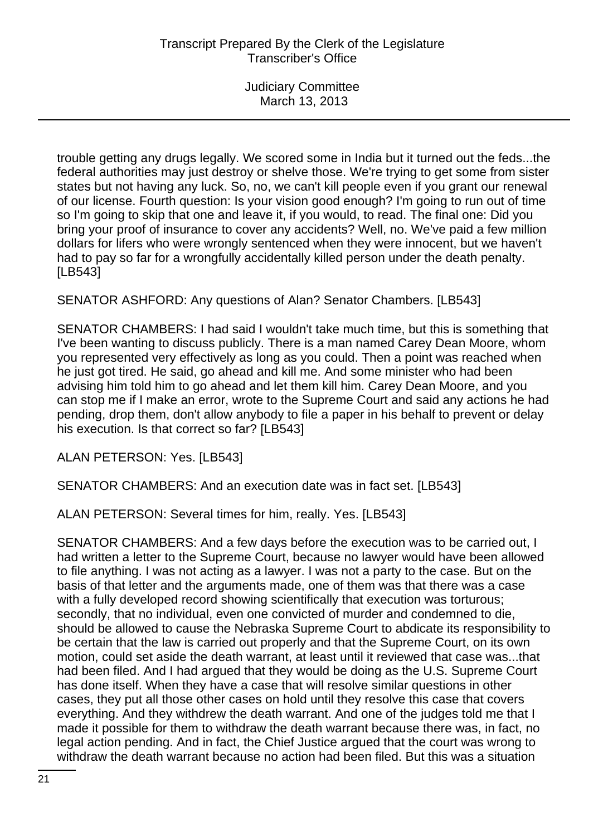trouble getting any drugs legally. We scored some in India but it turned out the feds...the federal authorities may just destroy or shelve those. We're trying to get some from sister states but not having any luck. So, no, we can't kill people even if you grant our renewal of our license. Fourth question: Is your vision good enough? I'm going to run out of time so I'm going to skip that one and leave it, if you would, to read. The final one: Did you bring your proof of insurance to cover any accidents? Well, no. We've paid a few million dollars for lifers who were wrongly sentenced when they were innocent, but we haven't had to pay so far for a wrongfully accidentally killed person under the death penalty. [LB543]

SENATOR ASHFORD: Any questions of Alan? Senator Chambers. [LB543]

SENATOR CHAMBERS: I had said I wouldn't take much time, but this is something that I've been wanting to discuss publicly. There is a man named Carey Dean Moore, whom you represented very effectively as long as you could. Then a point was reached when he just got tired. He said, go ahead and kill me. And some minister who had been advising him told him to go ahead and let them kill him. Carey Dean Moore, and you can stop me if I make an error, wrote to the Supreme Court and said any actions he had pending, drop them, don't allow anybody to file a paper in his behalf to prevent or delay his execution. Is that correct so far? [LB543]

ALAN PETERSON: Yes. [LB543]

SENATOR CHAMBERS: And an execution date was in fact set. [LB543]

ALAN PETERSON: Several times for him, really. Yes. [LB543]

SENATOR CHAMBERS: And a few days before the execution was to be carried out, I had written a letter to the Supreme Court, because no lawyer would have been allowed to file anything. I was not acting as a lawyer. I was not a party to the case. But on the basis of that letter and the arguments made, one of them was that there was a case with a fully developed record showing scientifically that execution was torturous; secondly, that no individual, even one convicted of murder and condemned to die, should be allowed to cause the Nebraska Supreme Court to abdicate its responsibility to be certain that the law is carried out properly and that the Supreme Court, on its own motion, could set aside the death warrant, at least until it reviewed that case was...that had been filed. And I had argued that they would be doing as the U.S. Supreme Court has done itself. When they have a case that will resolve similar questions in other cases, they put all those other cases on hold until they resolve this case that covers everything. And they withdrew the death warrant. And one of the judges told me that I made it possible for them to withdraw the death warrant because there was, in fact, no legal action pending. And in fact, the Chief Justice argued that the court was wrong to withdraw the death warrant because no action had been filed. But this was a situation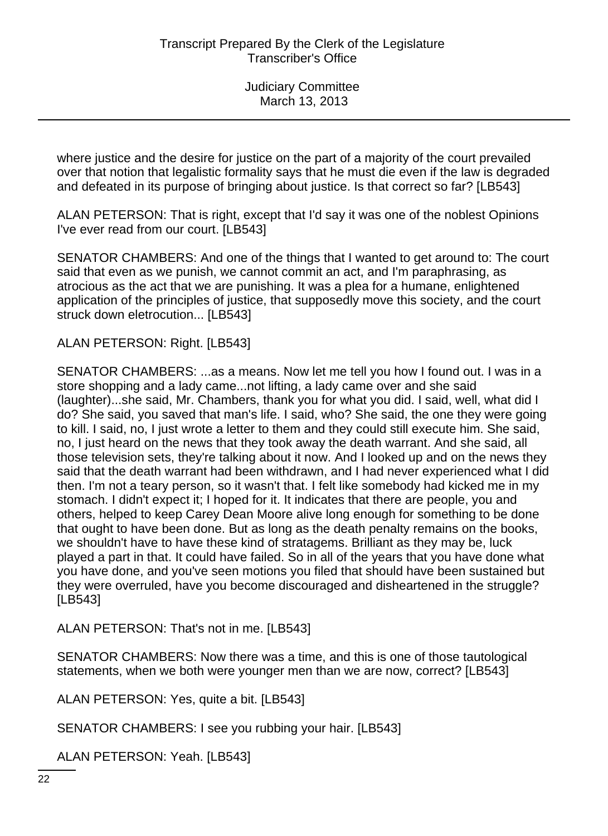where justice and the desire for justice on the part of a majority of the court prevailed over that notion that legalistic formality says that he must die even if the law is degraded and defeated in its purpose of bringing about justice. Is that correct so far? [LB543]

ALAN PETERSON: That is right, except that I'd say it was one of the noblest Opinions I've ever read from our court. [LB543]

SENATOR CHAMBERS: And one of the things that I wanted to get around to: The court said that even as we punish, we cannot commit an act, and I'm paraphrasing, as atrocious as the act that we are punishing. It was a plea for a humane, enlightened application of the principles of justice, that supposedly move this society, and the court struck down eletrocution... [LB543]

ALAN PETERSON: Right. [LB543]

SENATOR CHAMBERS: ...as a means. Now let me tell you how I found out. I was in a store shopping and a lady came...not lifting, a lady came over and she said (laughter)...she said, Mr. Chambers, thank you for what you did. I said, well, what did I do? She said, you saved that man's life. I said, who? She said, the one they were going to kill. I said, no, I just wrote a letter to them and they could still execute him. She said, no, I just heard on the news that they took away the death warrant. And she said, all those television sets, they're talking about it now. And I looked up and on the news they said that the death warrant had been withdrawn, and I had never experienced what I did then. I'm not a teary person, so it wasn't that. I felt like somebody had kicked me in my stomach. I didn't expect it; I hoped for it. It indicates that there are people, you and others, helped to keep Carey Dean Moore alive long enough for something to be done that ought to have been done. But as long as the death penalty remains on the books, we shouldn't have to have these kind of stratagems. Brilliant as they may be, luck played a part in that. It could have failed. So in all of the years that you have done what you have done, and you've seen motions you filed that should have been sustained but they were overruled, have you become discouraged and disheartened in the struggle? [LB543]

ALAN PETERSON: That's not in me. [LB543]

SENATOR CHAMBERS: Now there was a time, and this is one of those tautological statements, when we both were younger men than we are now, correct? [LB543]

ALAN PETERSON: Yes, quite a bit. [LB543]

SENATOR CHAMBERS: I see you rubbing your hair. [LB543]

ALAN PETERSON: Yeah. [LB543]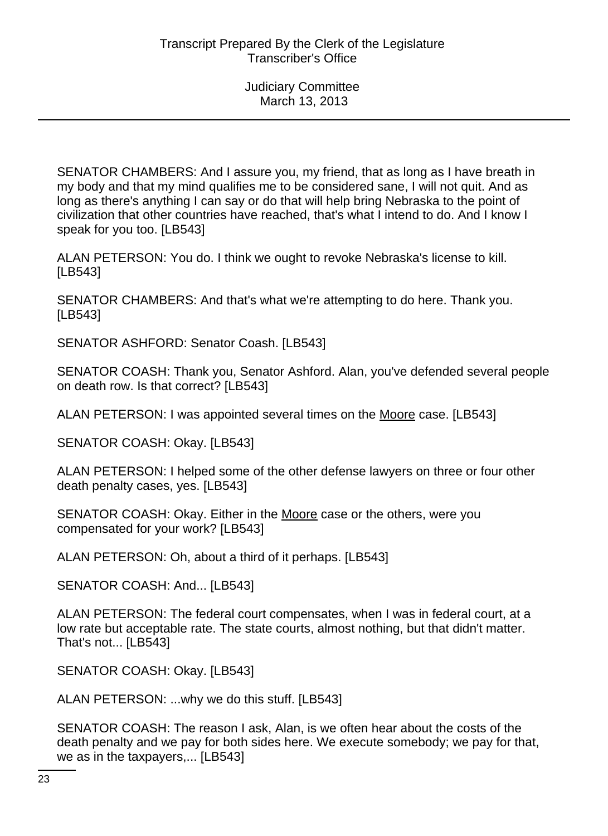SENATOR CHAMBERS: And I assure you, my friend, that as long as I have breath in my body and that my mind qualifies me to be considered sane, I will not quit. And as long as there's anything I can say or do that will help bring Nebraska to the point of civilization that other countries have reached, that's what I intend to do. And I know I speak for you too. [LB543]

ALAN PETERSON: You do. I think we ought to revoke Nebraska's license to kill. [LB543]

SENATOR CHAMBERS: And that's what we're attempting to do here. Thank you. [LB543]

SENATOR ASHFORD: Senator Coash. [LB543]

SENATOR COASH: Thank you, Senator Ashford. Alan, you've defended several people on death row. Is that correct? [LB543]

ALAN PETERSON: I was appointed several times on the Moore case. [LB543]

SENATOR COASH: Okay. [LB543]

ALAN PETERSON: I helped some of the other defense lawyers on three or four other death penalty cases, yes. [LB543]

SENATOR COASH: Okay. Either in the Moore case or the others, were you compensated for your work? [LB543]

ALAN PETERSON: Oh, about a third of it perhaps. [LB543]

SENATOR COASH: And... [LB543]

ALAN PETERSON: The federal court compensates, when I was in federal court, at a low rate but acceptable rate. The state courts, almost nothing, but that didn't matter. That's not... [LB543]

SENATOR COASH: Okay. [LB543]

ALAN PETERSON: ...why we do this stuff. [LB543]

SENATOR COASH: The reason I ask, Alan, is we often hear about the costs of the death penalty and we pay for both sides here. We execute somebody; we pay for that, we as in the taxpayers,... [LB543]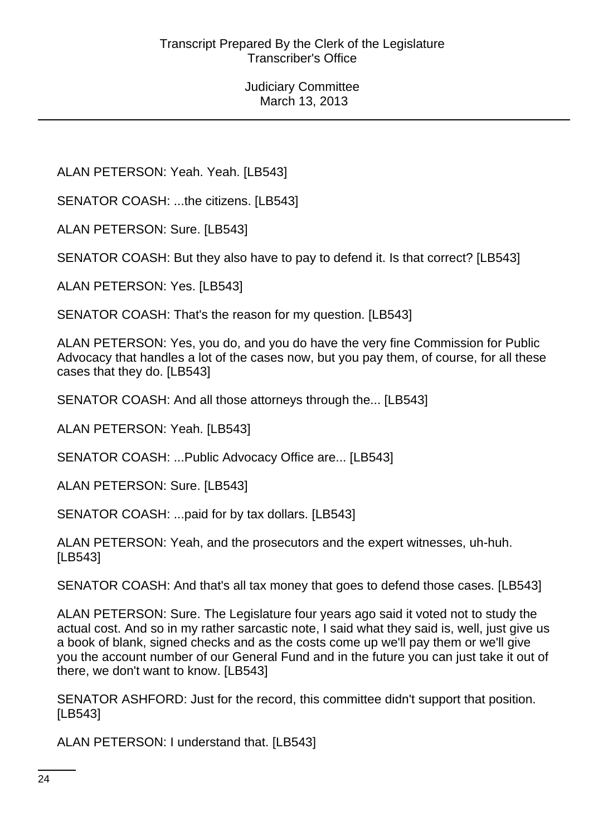ALAN PETERSON: Yeah. Yeah. [LB543]

SENATOR COASH: ...the citizens. [LB543]

ALAN PETERSON: Sure. [LB543]

SENATOR COASH: But they also have to pay to defend it. Is that correct? [LB543]

ALAN PETERSON: Yes. [LB543]

SENATOR COASH: That's the reason for my question. [LB543]

ALAN PETERSON: Yes, you do, and you do have the very fine Commission for Public Advocacy that handles a lot of the cases now, but you pay them, of course, for all these cases that they do. [LB543]

SENATOR COASH: And all those attorneys through the... [LB543]

ALAN PETERSON: Yeah. [LB543]

SENATOR COASH: ...Public Advocacy Office are... [LB543]

ALAN PETERSON: Sure. [LB543]

SENATOR COASH: ...paid for by tax dollars. [LB543]

ALAN PETERSON: Yeah, and the prosecutors and the expert witnesses, uh-huh. [LB543]

SENATOR COASH: And that's all tax money that goes to defend those cases. [LB543]

ALAN PETERSON: Sure. The Legislature four years ago said it voted not to study the actual cost. And so in my rather sarcastic note, I said what they said is, well, just give us a book of blank, signed checks and as the costs come up we'll pay them or we'll give you the account number of our General Fund and in the future you can just take it out of there, we don't want to know. [LB543]

SENATOR ASHFORD: Just for the record, this committee didn't support that position. [LB543]

ALAN PETERSON: I understand that. [LB543]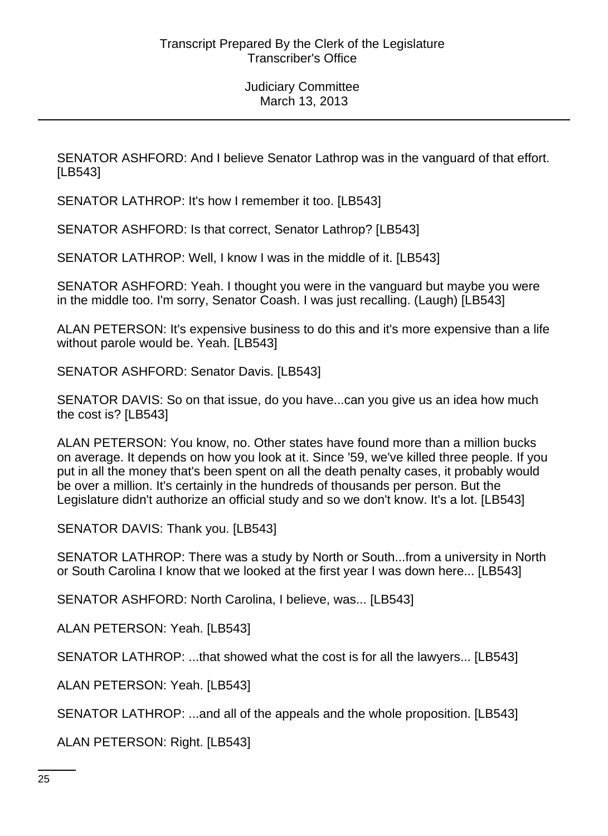SENATOR ASHFORD: And I believe Senator Lathrop was in the vanguard of that effort. [LB543]

SENATOR LATHROP: It's how I remember it too. [LB543]

SENATOR ASHFORD: Is that correct, Senator Lathrop? [LB543]

SENATOR LATHROP: Well, I know I was in the middle of it. [LB543]

SENATOR ASHFORD: Yeah. I thought you were in the vanguard but maybe you were in the middle too. I'm sorry, Senator Coash. I was just recalling. (Laugh) [LB543]

ALAN PETERSON: It's expensive business to do this and it's more expensive than a life without parole would be. Yeah. [LB543]

SENATOR ASHFORD: Senator Davis. [LB543]

SENATOR DAVIS: So on that issue, do you have...can you give us an idea how much the cost is? [LB543]

ALAN PETERSON: You know, no. Other states have found more than a million bucks on average. It depends on how you look at it. Since '59, we've killed three people. If you put in all the money that's been spent on all the death penalty cases, it probably would be over a million. It's certainly in the hundreds of thousands per person. But the Legislature didn't authorize an official study and so we don't know. It's a lot. [LB543]

SENATOR DAVIS: Thank you. [LB543]

SENATOR LATHROP: There was a study by North or South...from a university in North or South Carolina I know that we looked at the first year I was down here... [LB543]

SENATOR ASHFORD: North Carolina, I believe, was... [LB543]

ALAN PETERSON: Yeah. [LB543]

SENATOR LATHROP: ...that showed what the cost is for all the lawyers... [LB543]

ALAN PETERSON: Yeah. [LB543]

SENATOR LATHROP: ...and all of the appeals and the whole proposition. [LB543]

ALAN PETERSON: Right. [LB543]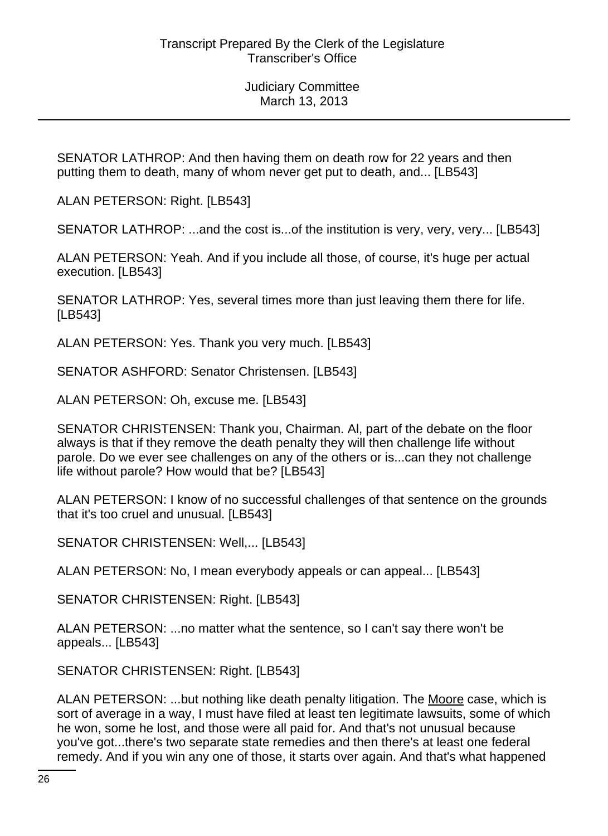SENATOR LATHROP: And then having them on death row for 22 years and then putting them to death, many of whom never get put to death, and... [LB543]

ALAN PETERSON: Right. [LB543]

SENATOR LATHROP: ...and the cost is...of the institution is very, very, very... [LB543]

ALAN PETERSON: Yeah. And if you include all those, of course, it's huge per actual execution. [LB543]

SENATOR LATHROP: Yes, several times more than just leaving them there for life. [LB543]

ALAN PETERSON: Yes. Thank you very much. [LB543]

SENATOR ASHFORD: Senator Christensen. [LB543]

ALAN PETERSON: Oh, excuse me. [LB543]

SENATOR CHRISTENSEN: Thank you, Chairman. Al, part of the debate on the floor always is that if they remove the death penalty they will then challenge life without parole. Do we ever see challenges on any of the others or is...can they not challenge life without parole? How would that be? [LB543]

ALAN PETERSON: I know of no successful challenges of that sentence on the grounds that it's too cruel and unusual. [LB543]

SENATOR CHRISTENSEN: Well,... [LB543]

ALAN PETERSON: No, I mean everybody appeals or can appeal... [LB543]

SENATOR CHRISTENSEN: Right. [LB543]

ALAN PETERSON: ...no matter what the sentence, so I can't say there won't be appeals... [LB543]

SENATOR CHRISTENSEN: Right. [LB543]

ALAN PETERSON: ...but nothing like death penalty litigation. The Moore case, which is sort of average in a way, I must have filed at least ten legitimate lawsuits, some of which he won, some he lost, and those were all paid for. And that's not unusual because you've got...there's two separate state remedies and then there's at least one federal remedy. And if you win any one of those, it starts over again. And that's what happened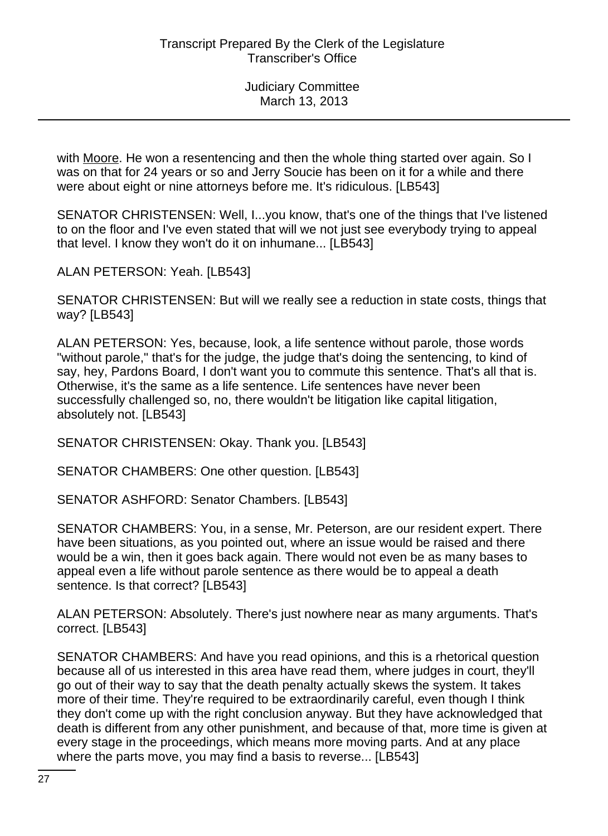with Moore. He won a resentencing and then the whole thing started over again. So I was on that for 24 years or so and Jerry Soucie has been on it for a while and there were about eight or nine attorneys before me. It's ridiculous. [LB543]

SENATOR CHRISTENSEN: Well, I...you know, that's one of the things that I've listened to on the floor and I've even stated that will we not just see everybody trying to appeal that level. I know they won't do it on inhumane... [LB543]

ALAN PETERSON: Yeah. [LB543]

SENATOR CHRISTENSEN: But will we really see a reduction in state costs, things that way? [LB543]

ALAN PETERSON: Yes, because, look, a life sentence without parole, those words "without parole," that's for the judge, the judge that's doing the sentencing, to kind of say, hey, Pardons Board, I don't want you to commute this sentence. That's all that is. Otherwise, it's the same as a life sentence. Life sentences have never been successfully challenged so, no, there wouldn't be litigation like capital litigation, absolutely not. [LB543]

SENATOR CHRISTENSEN: Okay. Thank you. [LB543]

SENATOR CHAMBERS: One other question. [LB543]

SENATOR ASHFORD: Senator Chambers. [LB543]

SENATOR CHAMBERS: You, in a sense, Mr. Peterson, are our resident expert. There have been situations, as you pointed out, where an issue would be raised and there would be a win, then it goes back again. There would not even be as many bases to appeal even a life without parole sentence as there would be to appeal a death sentence. Is that correct? [LB543]

ALAN PETERSON: Absolutely. There's just nowhere near as many arguments. That's correct. [LB543]

SENATOR CHAMBERS: And have you read opinions, and this is a rhetorical question because all of us interested in this area have read them, where judges in court, they'll go out of their way to say that the death penalty actually skews the system. It takes more of their time. They're required to be extraordinarily careful, even though I think they don't come up with the right conclusion anyway. But they have acknowledged that death is different from any other punishment, and because of that, more time is given at every stage in the proceedings, which means more moving parts. And at any place where the parts move, you may find a basis to reverse... [LB543]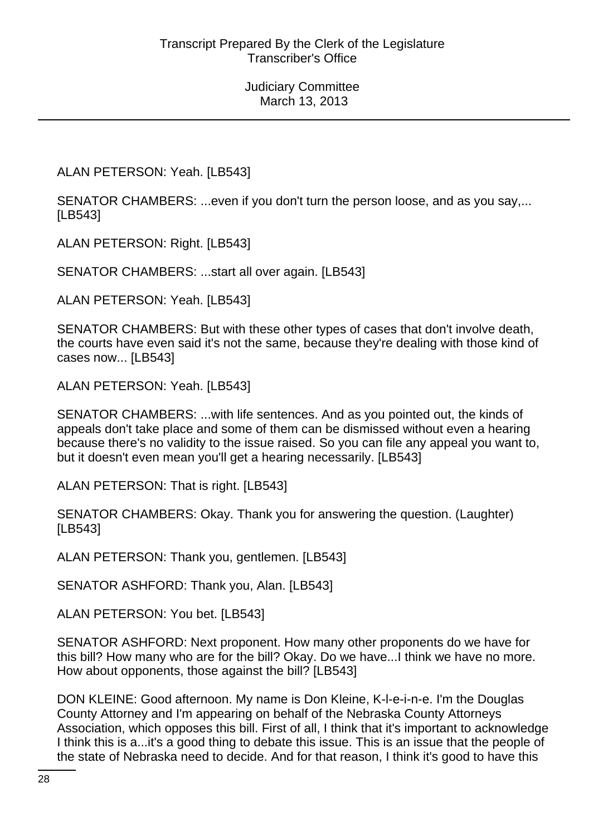ALAN PETERSON: Yeah. [LB543]

SENATOR CHAMBERS: ...even if you don't turn the person loose, and as you say,... [LB543]

ALAN PETERSON: Right. [LB543]

SENATOR CHAMBERS: ...start all over again. [LB543]

ALAN PETERSON: Yeah. [LB543]

SENATOR CHAMBERS: But with these other types of cases that don't involve death, the courts have even said it's not the same, because they're dealing with those kind of cases now... [LB543]

ALAN PETERSON: Yeah. [LB543]

SENATOR CHAMBERS: ...with life sentences. And as you pointed out, the kinds of appeals don't take place and some of them can be dismissed without even a hearing because there's no validity to the issue raised. So you can file any appeal you want to, but it doesn't even mean you'll get a hearing necessarily. [LB543]

ALAN PETERSON: That is right. [LB543]

SENATOR CHAMBERS: Okay. Thank you for answering the question. (Laughter) [LB543]

ALAN PETERSON: Thank you, gentlemen. [LB543]

SENATOR ASHFORD: Thank you, Alan. [LB543]

ALAN PETERSON: You bet. [LB543]

SENATOR ASHFORD: Next proponent. How many other proponents do we have for this bill? How many who are for the bill? Okay. Do we have...I think we have no more. How about opponents, those against the bill? [LB543]

DON KLEINE: Good afternoon. My name is Don Kleine, K-l-e-i-n-e. I'm the Douglas County Attorney and I'm appearing on behalf of the Nebraska County Attorneys Association, which opposes this bill. First of all, I think that it's important to acknowledge I think this is a...it's a good thing to debate this issue. This is an issue that the people of the state of Nebraska need to decide. And for that reason, I think it's good to have this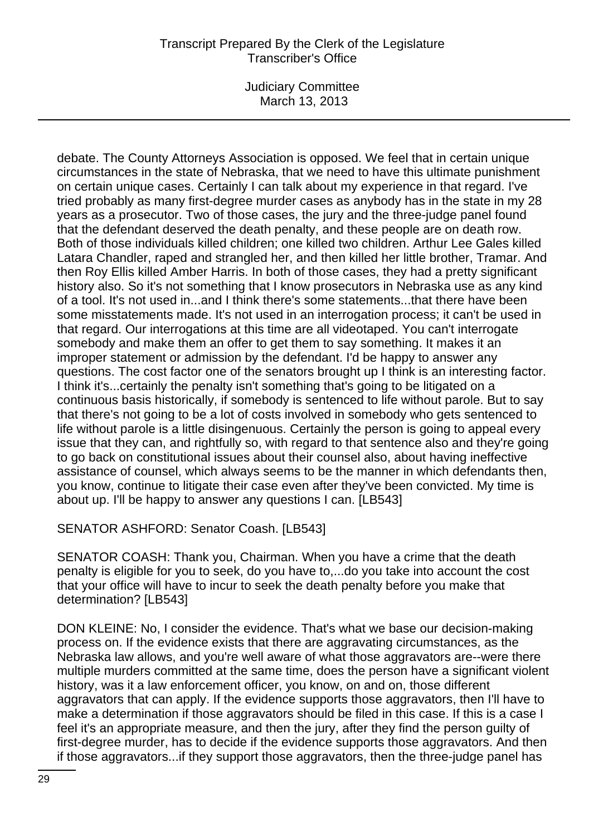Judiciary Committee March 13, 2013

debate. The County Attorneys Association is opposed. We feel that in certain unique circumstances in the state of Nebraska, that we need to have this ultimate punishment on certain unique cases. Certainly I can talk about my experience in that regard. I've tried probably as many first-degree murder cases as anybody has in the state in my 28 years as a prosecutor. Two of those cases, the jury and the three-judge panel found that the defendant deserved the death penalty, and these people are on death row. Both of those individuals killed children; one killed two children. Arthur Lee Gales killed Latara Chandler, raped and strangled her, and then killed her little brother, Tramar. And then Roy Ellis killed Amber Harris. In both of those cases, they had a pretty significant history also. So it's not something that I know prosecutors in Nebraska use as any kind of a tool. It's not used in...and I think there's some statements...that there have been some misstatements made. It's not used in an interrogation process; it can't be used in that regard. Our interrogations at this time are all videotaped. You can't interrogate somebody and make them an offer to get them to say something. It makes it an improper statement or admission by the defendant. I'd be happy to answer any questions. The cost factor one of the senators brought up I think is an interesting factor. I think it's...certainly the penalty isn't something that's going to be litigated on a continuous basis historically, if somebody is sentenced to life without parole. But to say that there's not going to be a lot of costs involved in somebody who gets sentenced to life without parole is a little disingenuous. Certainly the person is going to appeal every issue that they can, and rightfully so, with regard to that sentence also and they're going to go back on constitutional issues about their counsel also, about having ineffective assistance of counsel, which always seems to be the manner in which defendants then, you know, continue to litigate their case even after they've been convicted. My time is about up. I'll be happy to answer any questions I can. [LB543]

SENATOR ASHFORD: Senator Coash. [LB543]

SENATOR COASH: Thank you, Chairman. When you have a crime that the death penalty is eligible for you to seek, do you have to,...do you take into account the cost that your office will have to incur to seek the death penalty before you make that determination? [LB543]

DON KLEINE: No, I consider the evidence. That's what we base our decision-making process on. If the evidence exists that there are aggravating circumstances, as the Nebraska law allows, and you're well aware of what those aggravators are--were there multiple murders committed at the same time, does the person have a significant violent history, was it a law enforcement officer, you know, on and on, those different aggravators that can apply. If the evidence supports those aggravators, then I'll have to make a determination if those aggravators should be filed in this case. If this is a case I feel it's an appropriate measure, and then the jury, after they find the person guilty of first-degree murder, has to decide if the evidence supports those aggravators. And then if those aggravators...if they support those aggravators, then the three-judge panel has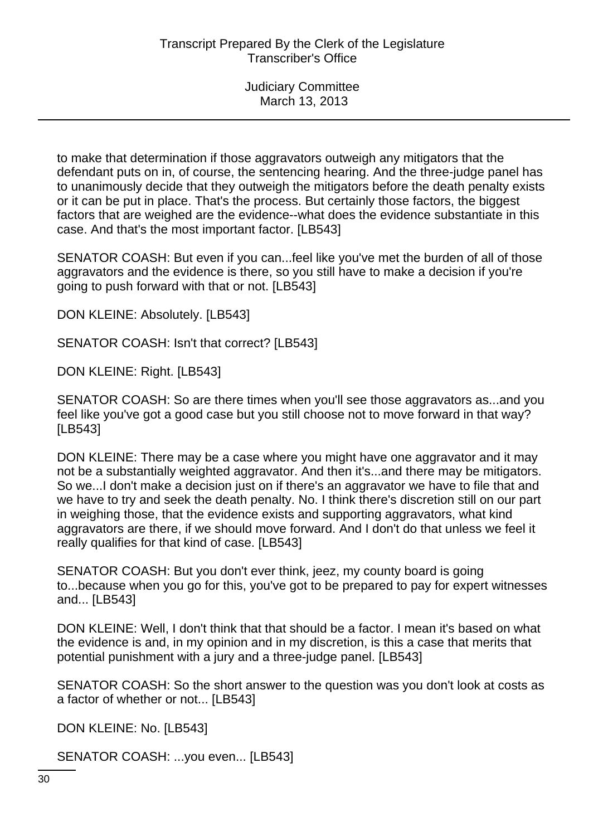to make that determination if those aggravators outweigh any mitigators that the defendant puts on in, of course, the sentencing hearing. And the three-judge panel has to unanimously decide that they outweigh the mitigators before the death penalty exists or it can be put in place. That's the process. But certainly those factors, the biggest factors that are weighed are the evidence--what does the evidence substantiate in this case. And that's the most important factor. [LB543]

SENATOR COASH: But even if you can...feel like you've met the burden of all of those aggravators and the evidence is there, so you still have to make a decision if you're going to push forward with that or not. [LB543]

DON KLEINE: Absolutely. [LB543]

SENATOR COASH: Isn't that correct? [LB543]

DON KLEINE: Right. [LB543]

SENATOR COASH: So are there times when you'll see those aggravators as...and you feel like you've got a good case but you still choose not to move forward in that way? [LB543]

DON KLEINE: There may be a case where you might have one aggravator and it may not be a substantially weighted aggravator. And then it's...and there may be mitigators. So we...I don't make a decision just on if there's an aggravator we have to file that and we have to try and seek the death penalty. No. I think there's discretion still on our part in weighing those, that the evidence exists and supporting aggravators, what kind aggravators are there, if we should move forward. And I don't do that unless we feel it really qualifies for that kind of case. [LB543]

SENATOR COASH: But you don't ever think, jeez, my county board is going to...because when you go for this, you've got to be prepared to pay for expert witnesses and... [LB543]

DON KLEINE: Well, I don't think that that should be a factor. I mean it's based on what the evidence is and, in my opinion and in my discretion, is this a case that merits that potential punishment with a jury and a three-judge panel. [LB543]

SENATOR COASH: So the short answer to the question was you don't look at costs as a factor of whether or not... [LB543]

DON KLEINE: No. [LB543]

SENATOR COASH: ...you even... [LB543]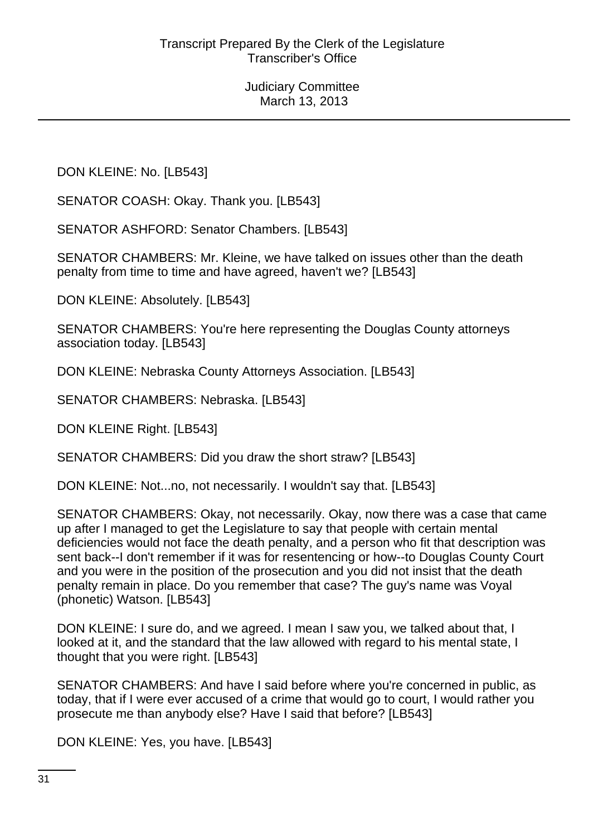DON KLEINE: No. [LB543]

SENATOR COASH: Okay. Thank you. [LB543]

SENATOR ASHFORD: Senator Chambers. [LB543]

SENATOR CHAMBERS: Mr. Kleine, we have talked on issues other than the death penalty from time to time and have agreed, haven't we? [LB543]

DON KLEINE: Absolutely. [LB543]

SENATOR CHAMBERS: You're here representing the Douglas County attorneys association today. [LB543]

DON KLEINE: Nebraska County Attorneys Association. [LB543]

SENATOR CHAMBERS: Nebraska. [LB543]

DON KLEINE Right. [LB543]

SENATOR CHAMBERS: Did you draw the short straw? [LB543]

DON KLEINE: Not...no, not necessarily. I wouldn't say that. [LB543]

SENATOR CHAMBERS: Okay, not necessarily. Okay, now there was a case that came up after I managed to get the Legislature to say that people with certain mental deficiencies would not face the death penalty, and a person who fit that description was sent back--I don't remember if it was for resentencing or how--to Douglas County Court and you were in the position of the prosecution and you did not insist that the death penalty remain in place. Do you remember that case? The guy's name was Voyal (phonetic) Watson. [LB543]

DON KLEINE: I sure do, and we agreed. I mean I saw you, we talked about that, I looked at it, and the standard that the law allowed with regard to his mental state, I thought that you were right. [LB543]

SENATOR CHAMBERS: And have I said before where you're concerned in public, as today, that if I were ever accused of a crime that would go to court, I would rather you prosecute me than anybody else? Have I said that before? [LB543]

DON KLEINE: Yes, you have. [LB543]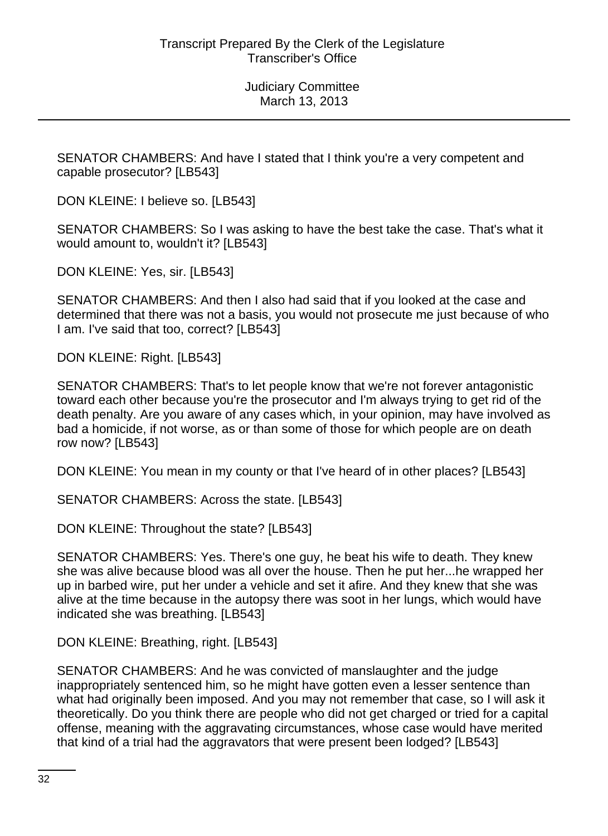SENATOR CHAMBERS: And have I stated that I think you're a very competent and capable prosecutor? [LB543]

DON KLEINE: I believe so. [LB543]

SENATOR CHAMBERS: So I was asking to have the best take the case. That's what it would amount to, wouldn't it? [LB543]

DON KLEINE: Yes, sir. [LB543]

SENATOR CHAMBERS: And then I also had said that if you looked at the case and determined that there was not a basis, you would not prosecute me just because of who I am. I've said that too, correct? [LB543]

DON KLEINE: Right. [LB543]

SENATOR CHAMBERS: That's to let people know that we're not forever antagonistic toward each other because you're the prosecutor and I'm always trying to get rid of the death penalty. Are you aware of any cases which, in your opinion, may have involved as bad a homicide, if not worse, as or than some of those for which people are on death row now? [LB543]

DON KLEINE: You mean in my county or that I've heard of in other places? [LB543]

SENATOR CHAMBERS: Across the state. [LB543]

DON KLEINE: Throughout the state? [LB543]

SENATOR CHAMBERS: Yes. There's one guy, he beat his wife to death. They knew she was alive because blood was all over the house. Then he put her...he wrapped her up in barbed wire, put her under a vehicle and set it afire. And they knew that she was alive at the time because in the autopsy there was soot in her lungs, which would have indicated she was breathing. [LB543]

DON KLEINE: Breathing, right. [LB543]

SENATOR CHAMBERS: And he was convicted of manslaughter and the judge inappropriately sentenced him, so he might have gotten even a lesser sentence than what had originally been imposed. And you may not remember that case, so I will ask it theoretically. Do you think there are people who did not get charged or tried for a capital offense, meaning with the aggravating circumstances, whose case would have merited that kind of a trial had the aggravators that were present been lodged? [LB543]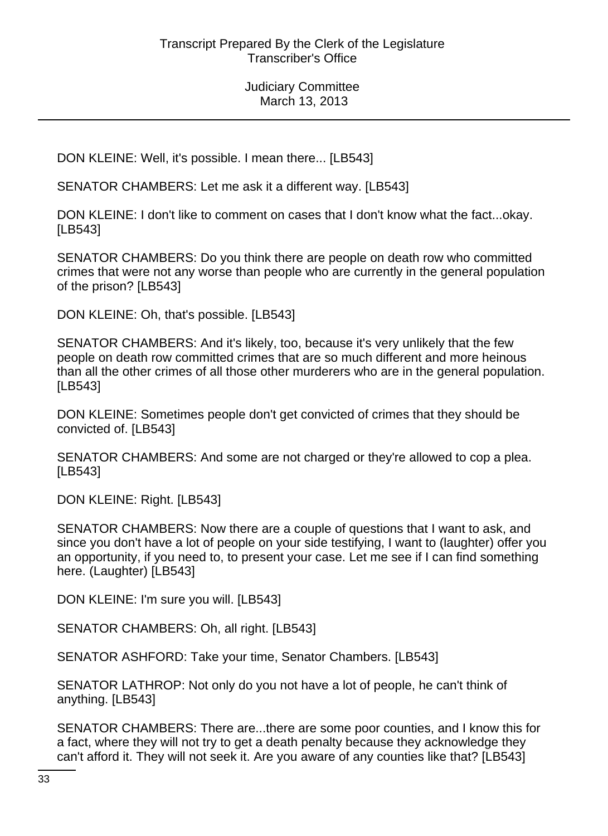DON KLEINE: Well, it's possible. I mean there... [LB543]

SENATOR CHAMBERS: Let me ask it a different way. [LB543]

DON KLEINE: I don't like to comment on cases that I don't know what the fact...okay. [LB543]

SENATOR CHAMBERS: Do you think there are people on death row who committed crimes that were not any worse than people who are currently in the general population of the prison? [LB543]

DON KLEINE: Oh, that's possible. [LB543]

SENATOR CHAMBERS: And it's likely, too, because it's very unlikely that the few people on death row committed crimes that are so much different and more heinous than all the other crimes of all those other murderers who are in the general population. [LB543]

DON KLEINE: Sometimes people don't get convicted of crimes that they should be convicted of. [LB543]

SENATOR CHAMBERS: And some are not charged or they're allowed to cop a plea. [LB543]

DON KLEINE: Right. [LB543]

SENATOR CHAMBERS: Now there are a couple of questions that I want to ask, and since you don't have a lot of people on your side testifying, I want to (laughter) offer you an opportunity, if you need to, to present your case. Let me see if I can find something here. (Laughter) [LB543]

DON KLEINE: I'm sure you will. [LB543]

SENATOR CHAMBERS: Oh, all right. [LB543]

SENATOR ASHFORD: Take your time, Senator Chambers. [LB543]

SENATOR LATHROP: Not only do you not have a lot of people, he can't think of anything. [LB543]

SENATOR CHAMBERS: There are...there are some poor counties, and I know this for a fact, where they will not try to get a death penalty because they acknowledge they can't afford it. They will not seek it. Are you aware of any counties like that? [LB543]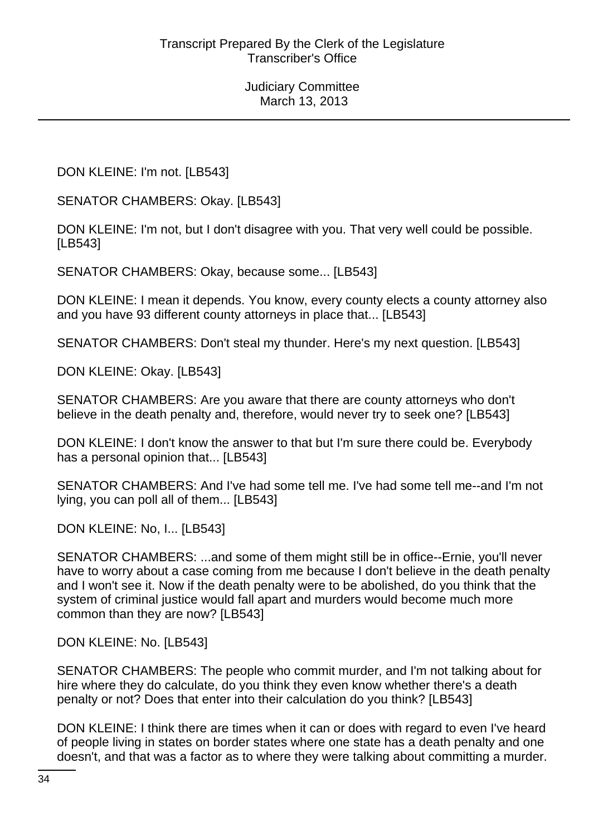DON KLEINE: I'm not. [LB543]

SENATOR CHAMBERS: Okay. [LB543]

DON KLEINE: I'm not, but I don't disagree with you. That very well could be possible. [LB543]

SENATOR CHAMBERS: Okay, because some... [LB543]

DON KLEINE: I mean it depends. You know, every county elects a county attorney also and you have 93 different county attorneys in place that... [LB543]

SENATOR CHAMBERS: Don't steal my thunder. Here's my next question. [LB543]

DON KLEINE: Okay. [LB543]

SENATOR CHAMBERS: Are you aware that there are county attorneys who don't believe in the death penalty and, therefore, would never try to seek one? [LB543]

DON KLEINE: I don't know the answer to that but I'm sure there could be. Everybody has a personal opinion that... [LB543]

SENATOR CHAMBERS: And I've had some tell me. I've had some tell me--and I'm not lying, you can poll all of them... [LB543]

DON KLEINE: No, I... [LB543]

SENATOR CHAMBERS: ...and some of them might still be in office--Ernie, you'll never have to worry about a case coming from me because I don't believe in the death penalty and I won't see it. Now if the death penalty were to be abolished, do you think that the system of criminal justice would fall apart and murders would become much more common than they are now? [LB543]

DON KLEINE: No. [LB543]

SENATOR CHAMBERS: The people who commit murder, and I'm not talking about for hire where they do calculate, do you think they even know whether there's a death penalty or not? Does that enter into their calculation do you think? [LB543]

DON KLEINE: I think there are times when it can or does with regard to even I've heard of people living in states on border states where one state has a death penalty and one doesn't, and that was a factor as to where they were talking about committing a murder.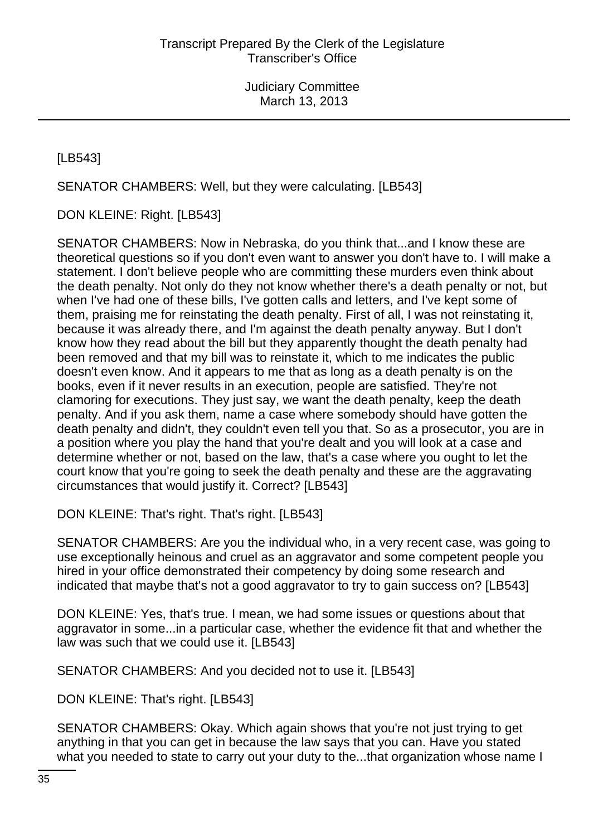[LB543]

SENATOR CHAMBERS: Well, but they were calculating. [LB543]

DON KLEINE: Right. [LB543]

SENATOR CHAMBERS: Now in Nebraska, do you think that...and I know these are theoretical questions so if you don't even want to answer you don't have to. I will make a statement. I don't believe people who are committing these murders even think about the death penalty. Not only do they not know whether there's a death penalty or not, but when I've had one of these bills, I've gotten calls and letters, and I've kept some of them, praising me for reinstating the death penalty. First of all, I was not reinstating it, because it was already there, and I'm against the death penalty anyway. But I don't know how they read about the bill but they apparently thought the death penalty had been removed and that my bill was to reinstate it, which to me indicates the public doesn't even know. And it appears to me that as long as a death penalty is on the books, even if it never results in an execution, people are satisfied. They're not clamoring for executions. They just say, we want the death penalty, keep the death penalty. And if you ask them, name a case where somebody should have gotten the death penalty and didn't, they couldn't even tell you that. So as a prosecutor, you are in a position where you play the hand that you're dealt and you will look at a case and determine whether or not, based on the law, that's a case where you ought to let the court know that you're going to seek the death penalty and these are the aggravating circumstances that would justify it. Correct? [LB543]

DON KLEINE: That's right. That's right. [LB543]

SENATOR CHAMBERS: Are you the individual who, in a very recent case, was going to use exceptionally heinous and cruel as an aggravator and some competent people you hired in your office demonstrated their competency by doing some research and indicated that maybe that's not a good aggravator to try to gain success on? [LB543]

DON KLEINE: Yes, that's true. I mean, we had some issues or questions about that aggravator in some...in a particular case, whether the evidence fit that and whether the law was such that we could use it. [LB543]

SENATOR CHAMBERS: And you decided not to use it. [LB543]

DON KLEINE: That's right. [LB543]

SENATOR CHAMBERS: Okay. Which again shows that you're not just trying to get anything in that you can get in because the law says that you can. Have you stated what you needed to state to carry out your duty to the...that organization whose name I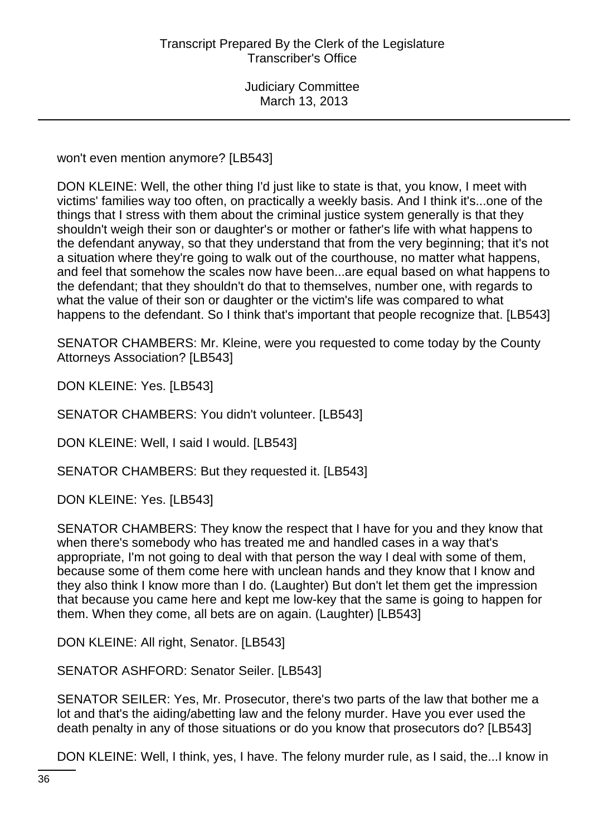won't even mention anymore? [LB543]

DON KLEINE: Well, the other thing I'd just like to state is that, you know, I meet with victims' families way too often, on practically a weekly basis. And I think it's...one of the things that I stress with them about the criminal justice system generally is that they shouldn't weigh their son or daughter's or mother or father's life with what happens to the defendant anyway, so that they understand that from the very beginning; that it's not a situation where they're going to walk out of the courthouse, no matter what happens, and feel that somehow the scales now have been...are equal based on what happens to the defendant; that they shouldn't do that to themselves, number one, with regards to what the value of their son or daughter or the victim's life was compared to what happens to the defendant. So I think that's important that people recognize that. [LB543]

SENATOR CHAMBERS: Mr. Kleine, were you requested to come today by the County Attorneys Association? [LB543]

DON KLEINE: Yes. [LB543]

SENATOR CHAMBERS: You didn't volunteer. [LB543]

DON KLEINE: Well, I said I would. [LB543]

SENATOR CHAMBERS: But they requested it. [LB543]

DON KLEINE: Yes. [LB543]

SENATOR CHAMBERS: They know the respect that I have for you and they know that when there's somebody who has treated me and handled cases in a way that's appropriate, I'm not going to deal with that person the way I deal with some of them, because some of them come here with unclean hands and they know that I know and they also think I know more than I do. (Laughter) But don't let them get the impression that because you came here and kept me low-key that the same is going to happen for them. When they come, all bets are on again. (Laughter) [LB543]

DON KLEINE: All right, Senator. [LB543]

SENATOR ASHFORD: Senator Seiler. [LB543]

SENATOR SEILER: Yes, Mr. Prosecutor, there's two parts of the law that bother me a lot and that's the aiding/abetting law and the felony murder. Have you ever used the death penalty in any of those situations or do you know that prosecutors do? [LB543]

DON KLEINE: Well, I think, yes, I have. The felony murder rule, as I said, the...I know in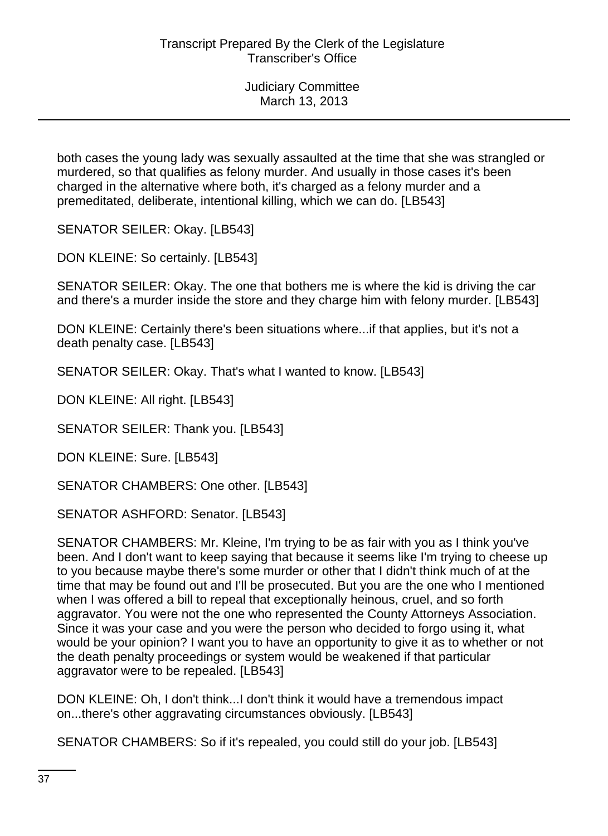both cases the young lady was sexually assaulted at the time that she was strangled or murdered, so that qualifies as felony murder. And usually in those cases it's been charged in the alternative where both, it's charged as a felony murder and a premeditated, deliberate, intentional killing, which we can do. [LB543]

SENATOR SEILER: Okay. [LB543]

DON KLEINE: So certainly. [LB543]

SENATOR SEILER: Okay. The one that bothers me is where the kid is driving the car and there's a murder inside the store and they charge him with felony murder. [LB543]

DON KLEINE: Certainly there's been situations where...if that applies, but it's not a death penalty case. [LB543]

SENATOR SEILER: Okay. That's what I wanted to know. [LB543]

DON KLEINE: All right. [LB543]

SENATOR SEILER: Thank you. [LB543]

DON KLEINE: Sure. [LB543]

SENATOR CHAMBERS: One other. [LB543]

SENATOR ASHFORD: Senator. [LB543]

SENATOR CHAMBERS: Mr. Kleine, I'm trying to be as fair with you as I think you've been. And I don't want to keep saying that because it seems like I'm trying to cheese up to you because maybe there's some murder or other that I didn't think much of at the time that may be found out and I'll be prosecuted. But you are the one who I mentioned when I was offered a bill to repeal that exceptionally heinous, cruel, and so forth aggravator. You were not the one who represented the County Attorneys Association. Since it was your case and you were the person who decided to forgo using it, what would be your opinion? I want you to have an opportunity to give it as to whether or not the death penalty proceedings or system would be weakened if that particular aggravator were to be repealed. [LB543]

DON KLEINE: Oh, I don't think...I don't think it would have a tremendous impact on...there's other aggravating circumstances obviously. [LB543]

SENATOR CHAMBERS: So if it's repealed, you could still do your job. [LB543]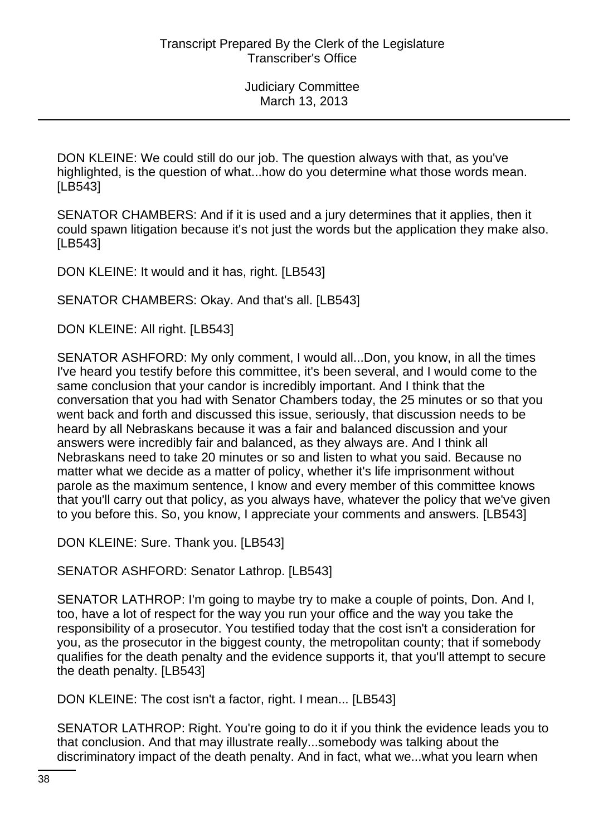DON KLEINE: We could still do our job. The question always with that, as you've highlighted, is the question of what...how do you determine what those words mean. [LB543]

SENATOR CHAMBERS: And if it is used and a jury determines that it applies, then it could spawn litigation because it's not just the words but the application they make also. [LB543]

DON KLEINE: It would and it has, right. [LB543]

SENATOR CHAMBERS: Okay. And that's all. [LB543]

DON KLEINE: All right. [LB543]

SENATOR ASHFORD: My only comment, I would all...Don, you know, in all the times I've heard you testify before this committee, it's been several, and I would come to the same conclusion that your candor is incredibly important. And I think that the conversation that you had with Senator Chambers today, the 25 minutes or so that you went back and forth and discussed this issue, seriously, that discussion needs to be heard by all Nebraskans because it was a fair and balanced discussion and your answers were incredibly fair and balanced, as they always are. And I think all Nebraskans need to take 20 minutes or so and listen to what you said. Because no matter what we decide as a matter of policy, whether it's life imprisonment without parole as the maximum sentence, I know and every member of this committee knows that you'll carry out that policy, as you always have, whatever the policy that we've given to you before this. So, you know, I appreciate your comments and answers. [LB543]

DON KLEINE: Sure. Thank you. [LB543]

SENATOR ASHFORD: Senator Lathrop. [LB543]

SENATOR LATHROP: I'm going to maybe try to make a couple of points, Don. And I, too, have a lot of respect for the way you run your office and the way you take the responsibility of a prosecutor. You testified today that the cost isn't a consideration for you, as the prosecutor in the biggest county, the metropolitan county; that if somebody qualifies for the death penalty and the evidence supports it, that you'll attempt to secure the death penalty. [LB543]

DON KLEINE: The cost isn't a factor, right. I mean... [LB543]

SENATOR LATHROP: Right. You're going to do it if you think the evidence leads you to that conclusion. And that may illustrate really...somebody was talking about the discriminatory impact of the death penalty. And in fact, what we...what you learn when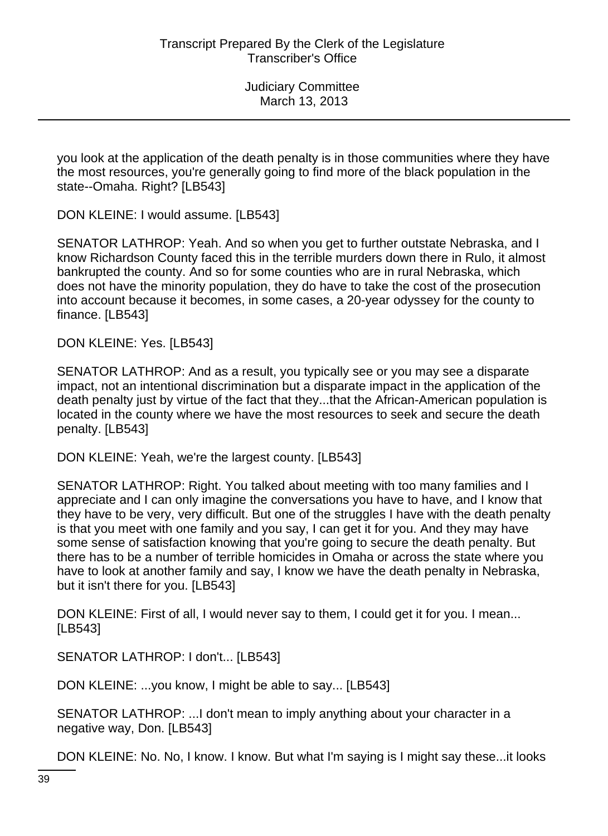you look at the application of the death penalty is in those communities where they have the most resources, you're generally going to find more of the black population in the state--Omaha. Right? [LB543]

DON KLEINE: I would assume. [LB543]

SENATOR LATHROP: Yeah. And so when you get to further outstate Nebraska, and I know Richardson County faced this in the terrible murders down there in Rulo, it almost bankrupted the county. And so for some counties who are in rural Nebraska, which does not have the minority population, they do have to take the cost of the prosecution into account because it becomes, in some cases, a 20-year odyssey for the county to finance. [LB543]

DON KLEINE: Yes. [LB543]

SENATOR LATHROP: And as a result, you typically see or you may see a disparate impact, not an intentional discrimination but a disparate impact in the application of the death penalty just by virtue of the fact that they...that the African-American population is located in the county where we have the most resources to seek and secure the death penalty. [LB543]

DON KLEINE: Yeah, we're the largest county. [LB543]

SENATOR LATHROP: Right. You talked about meeting with too many families and I appreciate and I can only imagine the conversations you have to have, and I know that they have to be very, very difficult. But one of the struggles I have with the death penalty is that you meet with one family and you say, I can get it for you. And they may have some sense of satisfaction knowing that you're going to secure the death penalty. But there has to be a number of terrible homicides in Omaha or across the state where you have to look at another family and say, I know we have the death penalty in Nebraska, but it isn't there for you. [LB543]

DON KLEINE: First of all, I would never say to them, I could get it for you. I mean... [LB543]

SENATOR LATHROP: I don't... [LB543]

DON KLEINE: ...you know, I might be able to say... [LB543]

SENATOR LATHROP: ...I don't mean to imply anything about your character in a negative way, Don. [LB543]

DON KLEINE: No. No, I know. I know. But what I'm saying is I might say these...it looks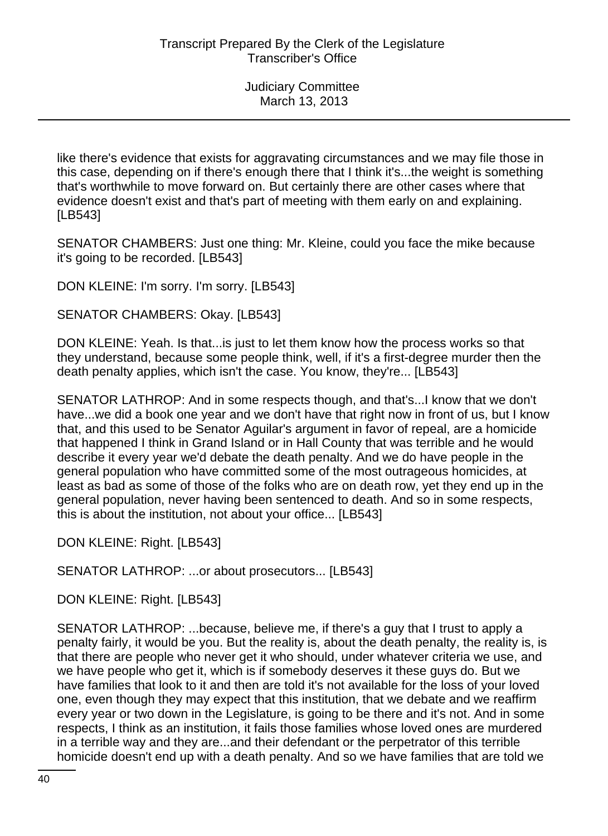like there's evidence that exists for aggravating circumstances and we may file those in this case, depending on if there's enough there that I think it's...the weight is something that's worthwhile to move forward on. But certainly there are other cases where that evidence doesn't exist and that's part of meeting with them early on and explaining. [LB543]

SENATOR CHAMBERS: Just one thing: Mr. Kleine, could you face the mike because it's going to be recorded. [LB543]

DON KLEINE: I'm sorry. I'm sorry. [LB543]

SENATOR CHAMBERS: Okay. [LB543]

DON KLEINE: Yeah. Is that...is just to let them know how the process works so that they understand, because some people think, well, if it's a first-degree murder then the death penalty applies, which isn't the case. You know, they're... [LB543]

SENATOR LATHROP: And in some respects though, and that's...I know that we don't have...we did a book one year and we don't have that right now in front of us, but I know that, and this used to be Senator Aguilar's argument in favor of repeal, are a homicide that happened I think in Grand Island or in Hall County that was terrible and he would describe it every year we'd debate the death penalty. And we do have people in the general population who have committed some of the most outrageous homicides, at least as bad as some of those of the folks who are on death row, yet they end up in the general population, never having been sentenced to death. And so in some respects, this is about the institution, not about your office... [LB543]

DON KLEINE: Right. [LB543]

SENATOR LATHROP: ...or about prosecutors... [LB543]

DON KLEINE: Right. [LB543]

SENATOR LATHROP: ...because, believe me, if there's a guy that I trust to apply a penalty fairly, it would be you. But the reality is, about the death penalty, the reality is, is that there are people who never get it who should, under whatever criteria we use, and we have people who get it, which is if somebody deserves it these guys do. But we have families that look to it and then are told it's not available for the loss of your loved one, even though they may expect that this institution, that we debate and we reaffirm every year or two down in the Legislature, is going to be there and it's not. And in some respects, I think as an institution, it fails those families whose loved ones are murdered in a terrible way and they are...and their defendant or the perpetrator of this terrible homicide doesn't end up with a death penalty. And so we have families that are told we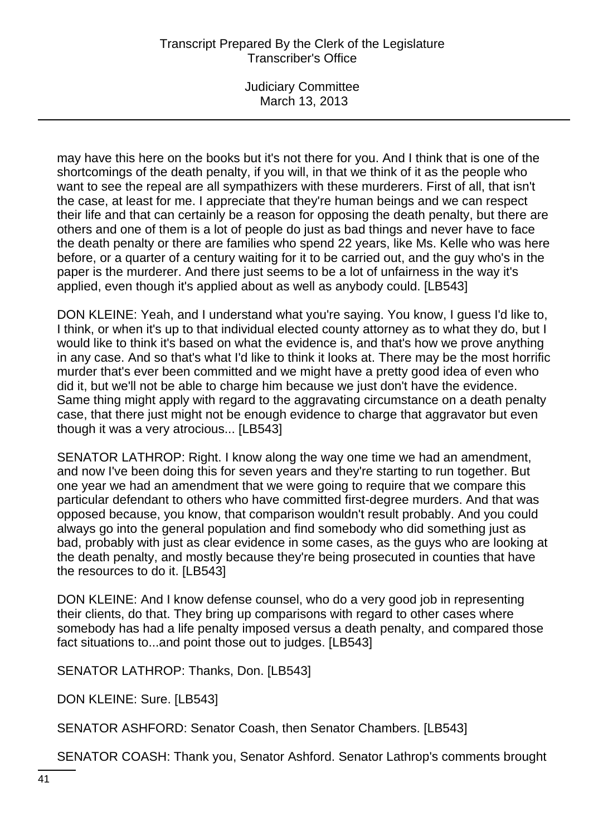Judiciary Committee March 13, 2013

may have this here on the books but it's not there for you. And I think that is one of the shortcomings of the death penalty, if you will, in that we think of it as the people who want to see the repeal are all sympathizers with these murderers. First of all, that isn't the case, at least for me. I appreciate that they're human beings and we can respect their life and that can certainly be a reason for opposing the death penalty, but there are others and one of them is a lot of people do just as bad things and never have to face the death penalty or there are families who spend 22 years, like Ms. Kelle who was here before, or a quarter of a century waiting for it to be carried out, and the guy who's in the paper is the murderer. And there just seems to be a lot of unfairness in the way it's applied, even though it's applied about as well as anybody could. [LB543]

DON KLEINE: Yeah, and I understand what you're saying. You know, I guess I'd like to, I think, or when it's up to that individual elected county attorney as to what they do, but I would like to think it's based on what the evidence is, and that's how we prove anything in any case. And so that's what I'd like to think it looks at. There may be the most horrific murder that's ever been committed and we might have a pretty good idea of even who did it, but we'll not be able to charge him because we just don't have the evidence. Same thing might apply with regard to the aggravating circumstance on a death penalty case, that there just might not be enough evidence to charge that aggravator but even though it was a very atrocious... [LB543]

SENATOR LATHROP: Right. I know along the way one time we had an amendment, and now I've been doing this for seven years and they're starting to run together. But one year we had an amendment that we were going to require that we compare this particular defendant to others who have committed first-degree murders. And that was opposed because, you know, that comparison wouldn't result probably. And you could always go into the general population and find somebody who did something just as bad, probably with just as clear evidence in some cases, as the guys who are looking at the death penalty, and mostly because they're being prosecuted in counties that have the resources to do it. [LB543]

DON KLEINE: And I know defense counsel, who do a very good job in representing their clients, do that. They bring up comparisons with regard to other cases where somebody has had a life penalty imposed versus a death penalty, and compared those fact situations to...and point those out to judges. [LB543]

SENATOR LATHROP: Thanks, Don. [LB543]

DON KLEINE: Sure. [LB543]

SENATOR ASHFORD: Senator Coash, then Senator Chambers. [LB543]

SENATOR COASH: Thank you, Senator Ashford. Senator Lathrop's comments brought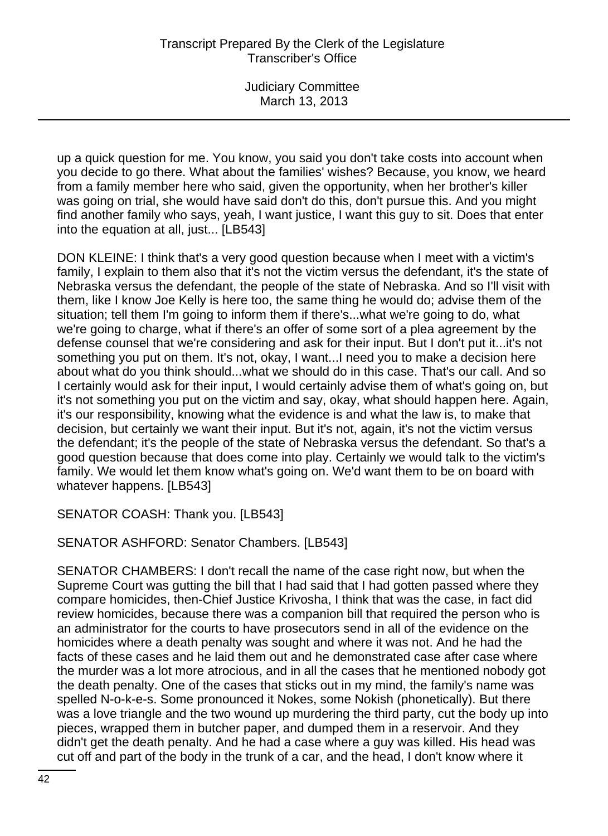up a quick question for me. You know, you said you don't take costs into account when you decide to go there. What about the families' wishes? Because, you know, we heard from a family member here who said, given the opportunity, when her brother's killer was going on trial, she would have said don't do this, don't pursue this. And you might find another family who says, yeah, I want justice, I want this guy to sit. Does that enter into the equation at all, just... [LB543]

DON KLEINE: I think that's a very good question because when I meet with a victim's family, I explain to them also that it's not the victim versus the defendant, it's the state of Nebraska versus the defendant, the people of the state of Nebraska. And so I'll visit with them, like I know Joe Kelly is here too, the same thing he would do; advise them of the situation; tell them I'm going to inform them if there's...what we're going to do, what we're going to charge, what if there's an offer of some sort of a plea agreement by the defense counsel that we're considering and ask for their input. But I don't put it...it's not something you put on them. It's not, okay, I want...I need you to make a decision here about what do you think should...what we should do in this case. That's our call. And so I certainly would ask for their input, I would certainly advise them of what's going on, but it's not something you put on the victim and say, okay, what should happen here. Again, it's our responsibility, knowing what the evidence is and what the law is, to make that decision, but certainly we want their input. But it's not, again, it's not the victim versus the defendant; it's the people of the state of Nebraska versus the defendant. So that's a good question because that does come into play. Certainly we would talk to the victim's family. We would let them know what's going on. We'd want them to be on board with whatever happens. [LB543]

SENATOR COASH: Thank you. [LB543]

SENATOR ASHFORD: Senator Chambers. [LB543]

SENATOR CHAMBERS: I don't recall the name of the case right now, but when the Supreme Court was gutting the bill that I had said that I had gotten passed where they compare homicides, then-Chief Justice Krivosha, I think that was the case, in fact did review homicides, because there was a companion bill that required the person who is an administrator for the courts to have prosecutors send in all of the evidence on the homicides where a death penalty was sought and where it was not. And he had the facts of these cases and he laid them out and he demonstrated case after case where the murder was a lot more atrocious, and in all the cases that he mentioned nobody got the death penalty. One of the cases that sticks out in my mind, the family's name was spelled N-o-k-e-s. Some pronounced it Nokes, some Nokish (phonetically). But there was a love triangle and the two wound up murdering the third party, cut the body up into pieces, wrapped them in butcher paper, and dumped them in a reservoir. And they didn't get the death penalty. And he had a case where a guy was killed. His head was cut off and part of the body in the trunk of a car, and the head, I don't know where it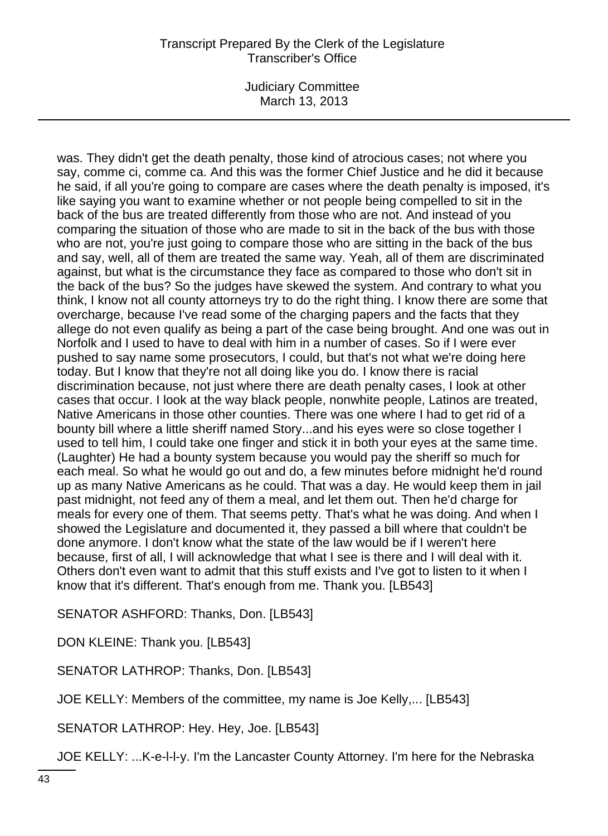Judiciary Committee March 13, 2013

was. They didn't get the death penalty, those kind of atrocious cases; not where you say, comme ci, comme ca. And this was the former Chief Justice and he did it because he said, if all you're going to compare are cases where the death penalty is imposed, it's like saying you want to examine whether or not people being compelled to sit in the back of the bus are treated differently from those who are not. And instead of you comparing the situation of those who are made to sit in the back of the bus with those who are not, you're just going to compare those who are sitting in the back of the bus and say, well, all of them are treated the same way. Yeah, all of them are discriminated against, but what is the circumstance they face as compared to those who don't sit in the back of the bus? So the judges have skewed the system. And contrary to what you think, I know not all county attorneys try to do the right thing. I know there are some that overcharge, because I've read some of the charging papers and the facts that they allege do not even qualify as being a part of the case being brought. And one was out in Norfolk and I used to have to deal with him in a number of cases. So if I were ever pushed to say name some prosecutors, I could, but that's not what we're doing here today. But I know that they're not all doing like you do. I know there is racial discrimination because, not just where there are death penalty cases, I look at other cases that occur. I look at the way black people, nonwhite people, Latinos are treated, Native Americans in those other counties. There was one where I had to get rid of a bounty bill where a little sheriff named Story...and his eyes were so close together I used to tell him, I could take one finger and stick it in both your eyes at the same time. (Laughter) He had a bounty system because you would pay the sheriff so much for each meal. So what he would go out and do, a few minutes before midnight he'd round up as many Native Americans as he could. That was a day. He would keep them in jail past midnight, not feed any of them a meal, and let them out. Then he'd charge for meals for every one of them. That seems petty. That's what he was doing. And when I showed the Legislature and documented it, they passed a bill where that couldn't be done anymore. I don't know what the state of the law would be if I weren't here because, first of all, I will acknowledge that what I see is there and I will deal with it. Others don't even want to admit that this stuff exists and I've got to listen to it when I know that it's different. That's enough from me. Thank you. [LB543]

SENATOR ASHFORD: Thanks, Don. [LB543]

DON KLEINE: Thank you. [LB543]

SENATOR LATHROP: Thanks, Don. [LB543]

JOE KELLY: Members of the committee, my name is Joe Kelly,... [LB543]

SENATOR LATHROP: Hey. Hey, Joe. [LB543]

JOE KELLY: ...K-e-l-l-y. I'm the Lancaster County Attorney. I'm here for the Nebraska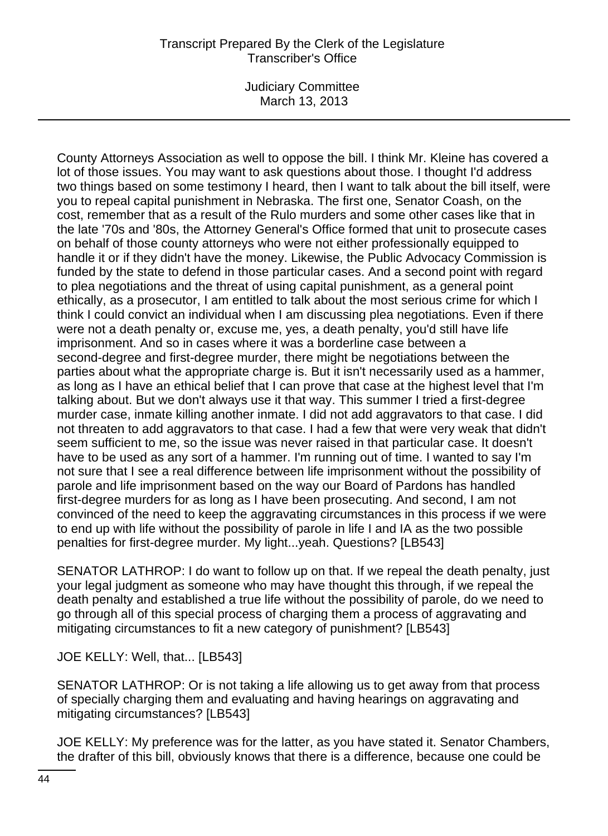Judiciary Committee March 13, 2013

County Attorneys Association as well to oppose the bill. I think Mr. Kleine has covered a lot of those issues. You may want to ask questions about those. I thought I'd address two things based on some testimony I heard, then I want to talk about the bill itself, were you to repeal capital punishment in Nebraska. The first one, Senator Coash, on the cost, remember that as a result of the Rulo murders and some other cases like that in the late '70s and '80s, the Attorney General's Office formed that unit to prosecute cases on behalf of those county attorneys who were not either professionally equipped to handle it or if they didn't have the money. Likewise, the Public Advocacy Commission is funded by the state to defend in those particular cases. And a second point with regard to plea negotiations and the threat of using capital punishment, as a general point ethically, as a prosecutor, I am entitled to talk about the most serious crime for which I think I could convict an individual when I am discussing plea negotiations. Even if there were not a death penalty or, excuse me, yes, a death penalty, you'd still have life imprisonment. And so in cases where it was a borderline case between a second-degree and first-degree murder, there might be negotiations between the parties about what the appropriate charge is. But it isn't necessarily used as a hammer, as long as I have an ethical belief that I can prove that case at the highest level that I'm talking about. But we don't always use it that way. This summer I tried a first-degree murder case, inmate killing another inmate. I did not add aggravators to that case. I did not threaten to add aggravators to that case. I had a few that were very weak that didn't seem sufficient to me, so the issue was never raised in that particular case. It doesn't have to be used as any sort of a hammer. I'm running out of time. I wanted to say I'm not sure that I see a real difference between life imprisonment without the possibility of parole and life imprisonment based on the way our Board of Pardons has handled first-degree murders for as long as I have been prosecuting. And second, I am not convinced of the need to keep the aggravating circumstances in this process if we were to end up with life without the possibility of parole in life I and IA as the two possible penalties for first-degree murder. My light...yeah. Questions? [LB543]

SENATOR LATHROP: I do want to follow up on that. If we repeal the death penalty, just your legal judgment as someone who may have thought this through, if we repeal the death penalty and established a true life without the possibility of parole, do we need to go through all of this special process of charging them a process of aggravating and mitigating circumstances to fit a new category of punishment? [LB543]

JOE KELLY: Well, that... [LB543]

SENATOR LATHROP: Or is not taking a life allowing us to get away from that process of specially charging them and evaluating and having hearings on aggravating and mitigating circumstances? [LB543]

JOE KELLY: My preference was for the latter, as you have stated it. Senator Chambers, the drafter of this bill, obviously knows that there is a difference, because one could be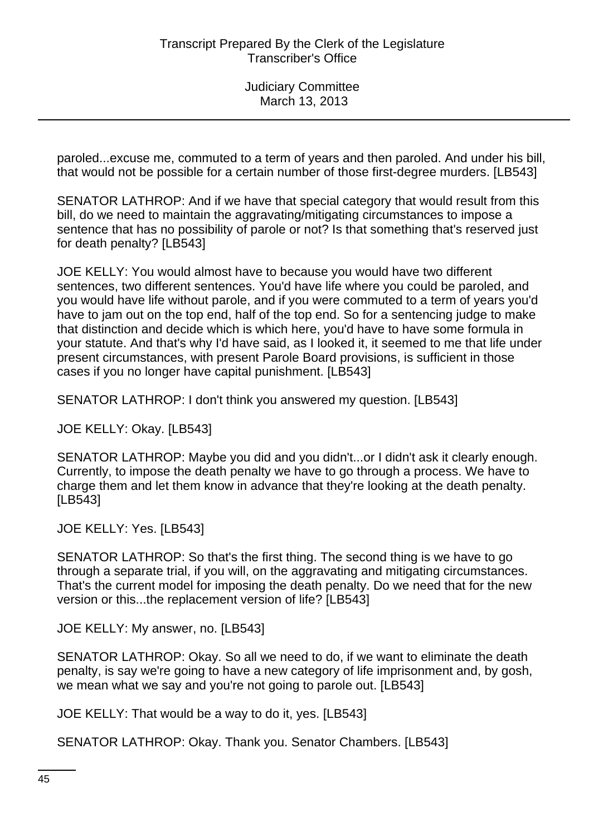paroled...excuse me, commuted to a term of years and then paroled. And under his bill, that would not be possible for a certain number of those first-degree murders. [LB543]

SENATOR LATHROP: And if we have that special category that would result from this bill, do we need to maintain the aggravating/mitigating circumstances to impose a sentence that has no possibility of parole or not? Is that something that's reserved just for death penalty? [LB543]

JOE KELLY: You would almost have to because you would have two different sentences, two different sentences. You'd have life where you could be paroled, and you would have life without parole, and if you were commuted to a term of years you'd have to jam out on the top end, half of the top end. So for a sentencing judge to make that distinction and decide which is which here, you'd have to have some formula in your statute. And that's why I'd have said, as I looked it, it seemed to me that life under present circumstances, with present Parole Board provisions, is sufficient in those cases if you no longer have capital punishment. [LB543]

SENATOR LATHROP: I don't think you answered my question. [LB543]

JOE KELLY: Okay. [LB543]

SENATOR LATHROP: Maybe you did and you didn't...or I didn't ask it clearly enough. Currently, to impose the death penalty we have to go through a process. We have to charge them and let them know in advance that they're looking at the death penalty. [LB543]

JOE KELLY: Yes. [LB543]

SENATOR LATHROP: So that's the first thing. The second thing is we have to go through a separate trial, if you will, on the aggravating and mitigating circumstances. That's the current model for imposing the death penalty. Do we need that for the new version or this...the replacement version of life? [LB543]

JOE KELLY: My answer, no. [LB543]

SENATOR LATHROP: Okay. So all we need to do, if we want to eliminate the death penalty, is say we're going to have a new category of life imprisonment and, by gosh, we mean what we say and you're not going to parole out. [LB543]

JOE KELLY: That would be a way to do it, yes. [LB543]

SENATOR LATHROP: Okay. Thank you. Senator Chambers. [LB543]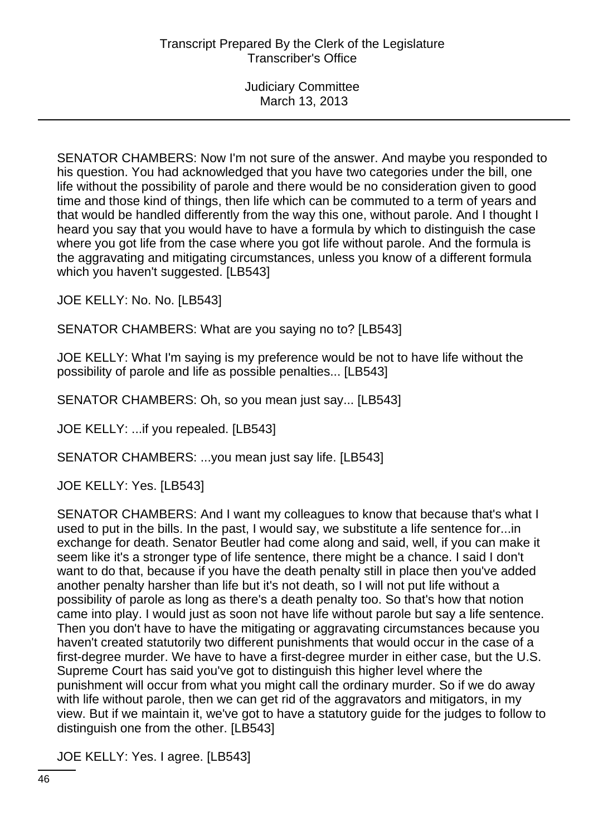SENATOR CHAMBERS: Now I'm not sure of the answer. And maybe you responded to his question. You had acknowledged that you have two categories under the bill, one life without the possibility of parole and there would be no consideration given to good time and those kind of things, then life which can be commuted to a term of years and that would be handled differently from the way this one, without parole. And I thought I heard you say that you would have to have a formula by which to distinguish the case where you got life from the case where you got life without parole. And the formula is the aggravating and mitigating circumstances, unless you know of a different formula which you haven't suggested. [LB543]

JOE KELLY: No. No. [LB543]

SENATOR CHAMBERS: What are you saying no to? [LB543]

JOE KELLY: What I'm saying is my preference would be not to have life without the possibility of parole and life as possible penalties... [LB543]

SENATOR CHAMBERS: Oh, so you mean just say... [LB543]

JOE KELLY: ...if you repealed. [LB543]

SENATOR CHAMBERS: ...you mean just say life. [LB543]

JOE KELLY: Yes. [LB543]

SENATOR CHAMBERS: And I want my colleagues to know that because that's what I used to put in the bills. In the past, I would say, we substitute a life sentence for...in exchange for death. Senator Beutler had come along and said, well, if you can make it seem like it's a stronger type of life sentence, there might be a chance. I said I don't want to do that, because if you have the death penalty still in place then you've added another penalty harsher than life but it's not death, so I will not put life without a possibility of parole as long as there's a death penalty too. So that's how that notion came into play. I would just as soon not have life without parole but say a life sentence. Then you don't have to have the mitigating or aggravating circumstances because you haven't created statutorily two different punishments that would occur in the case of a first-degree murder. We have to have a first-degree murder in either case, but the U.S. Supreme Court has said you've got to distinguish this higher level where the punishment will occur from what you might call the ordinary murder. So if we do away with life without parole, then we can get rid of the aggravators and mitigators, in my view. But if we maintain it, we've got to have a statutory guide for the judges to follow to distinguish one from the other. [LB543]

JOE KELLY: Yes. I agree. [LB543]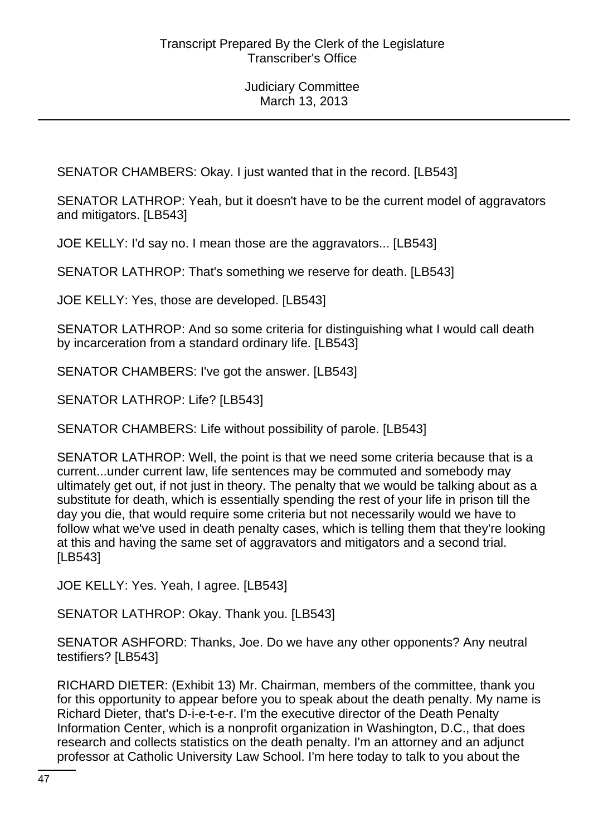SENATOR CHAMBERS: Okay. I just wanted that in the record. [LB543]

SENATOR LATHROP: Yeah, but it doesn't have to be the current model of aggravators and mitigators. [LB543]

JOE KELLY: I'd say no. I mean those are the aggravators... [LB543]

SENATOR LATHROP: That's something we reserve for death. [LB543]

JOE KELLY: Yes, those are developed. [LB543]

SENATOR LATHROP: And so some criteria for distinguishing what I would call death by incarceration from a standard ordinary life. [LB543]

SENATOR CHAMBERS: I've got the answer. [LB543]

SENATOR LATHROP: Life? [LB543]

SENATOR CHAMBERS: Life without possibility of parole. [LB543]

SENATOR LATHROP: Well, the point is that we need some criteria because that is a current...under current law, life sentences may be commuted and somebody may ultimately get out, if not just in theory. The penalty that we would be talking about as a substitute for death, which is essentially spending the rest of your life in prison till the day you die, that would require some criteria but not necessarily would we have to follow what we've used in death penalty cases, which is telling them that they're looking at this and having the same set of aggravators and mitigators and a second trial. [LB543]

JOE KELLY: Yes. Yeah, I agree. [LB543]

SENATOR LATHROP: Okay. Thank you. [LB543]

SENATOR ASHFORD: Thanks, Joe. Do we have any other opponents? Any neutral testifiers? [LB543]

RICHARD DIETER: (Exhibit 13) Mr. Chairman, members of the committee, thank you for this opportunity to appear before you to speak about the death penalty. My name is Richard Dieter, that's D-i-e-t-e-r. I'm the executive director of the Death Penalty Information Center, which is a nonprofit organization in Washington, D.C., that does research and collects statistics on the death penalty. I'm an attorney and an adjunct professor at Catholic University Law School. I'm here today to talk to you about the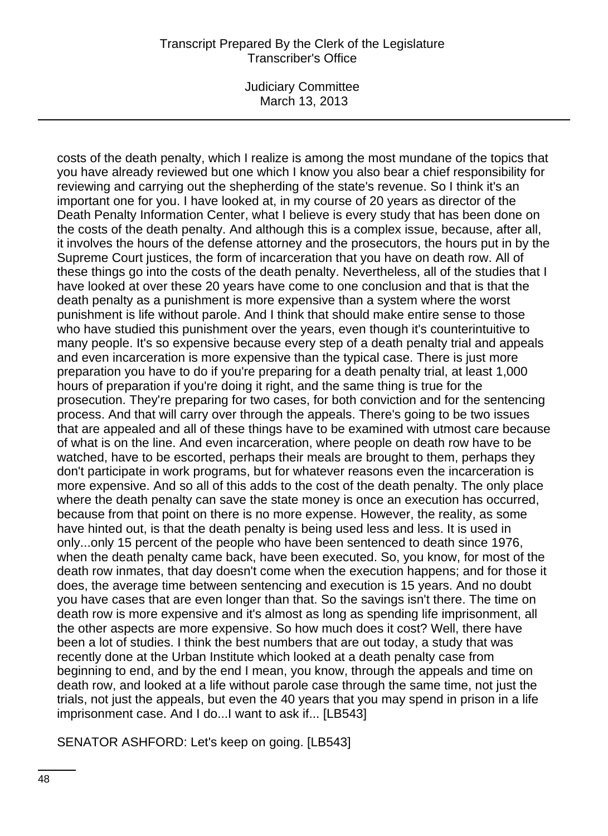Judiciary Committee March 13, 2013

costs of the death penalty, which I realize is among the most mundane of the topics that you have already reviewed but one which I know you also bear a chief responsibility for reviewing and carrying out the shepherding of the state's revenue. So I think it's an important one for you. I have looked at, in my course of 20 years as director of the Death Penalty Information Center, what I believe is every study that has been done on the costs of the death penalty. And although this is a complex issue, because, after all, it involves the hours of the defense attorney and the prosecutors, the hours put in by the Supreme Court justices, the form of incarceration that you have on death row. All of these things go into the costs of the death penalty. Nevertheless, all of the studies that I have looked at over these 20 years have come to one conclusion and that is that the death penalty as a punishment is more expensive than a system where the worst punishment is life without parole. And I think that should make entire sense to those who have studied this punishment over the years, even though it's counterintuitive to many people. It's so expensive because every step of a death penalty trial and appeals and even incarceration is more expensive than the typical case. There is just more preparation you have to do if you're preparing for a death penalty trial, at least 1,000 hours of preparation if you're doing it right, and the same thing is true for the prosecution. They're preparing for two cases, for both conviction and for the sentencing process. And that will carry over through the appeals. There's going to be two issues that are appealed and all of these things have to be examined with utmost care because of what is on the line. And even incarceration, where people on death row have to be watched, have to be escorted, perhaps their meals are brought to them, perhaps they don't participate in work programs, but for whatever reasons even the incarceration is more expensive. And so all of this adds to the cost of the death penalty. The only place where the death penalty can save the state money is once an execution has occurred, because from that point on there is no more expense. However, the reality, as some have hinted out, is that the death penalty is being used less and less. It is used in only...only 15 percent of the people who have been sentenced to death since 1976, when the death penalty came back, have been executed. So, you know, for most of the death row inmates, that day doesn't come when the execution happens; and for those it does, the average time between sentencing and execution is 15 years. And no doubt you have cases that are even longer than that. So the savings isn't there. The time on death row is more expensive and it's almost as long as spending life imprisonment, all the other aspects are more expensive. So how much does it cost? Well, there have been a lot of studies. I think the best numbers that are out today, a study that was recently done at the Urban Institute which looked at a death penalty case from beginning to end, and by the end I mean, you know, through the appeals and time on death row, and looked at a life without parole case through the same time, not just the trials, not just the appeals, but even the 40 years that you may spend in prison in a life imprisonment case. And I do...I want to ask if... [LB543]

SENATOR ASHFORD: Let's keep on going. [LB543]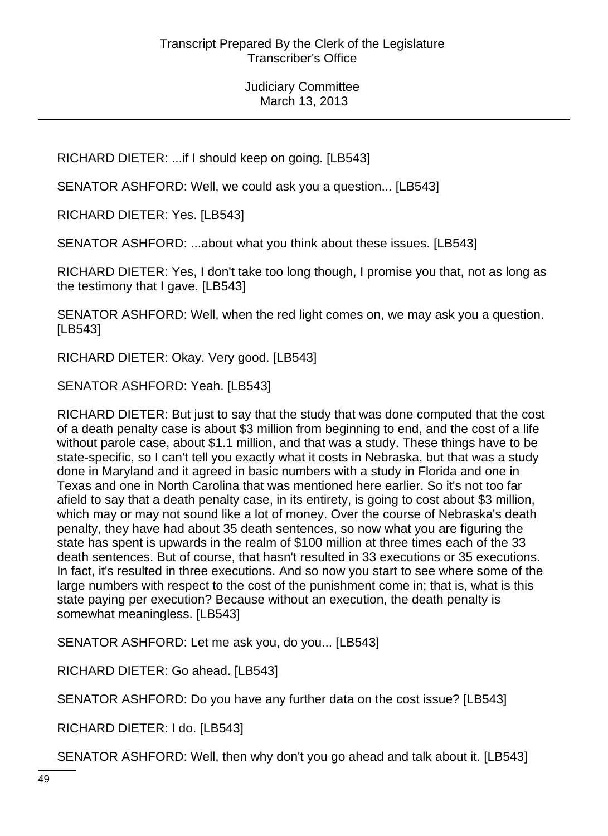RICHARD DIETER: ...if I should keep on going. [LB543]

SENATOR ASHFORD: Well, we could ask you a question... [LB543]

RICHARD DIETER: Yes. [LB543]

SENATOR ASHFORD: ...about what you think about these issues. [LB543]

RICHARD DIETER: Yes, I don't take too long though, I promise you that, not as long as the testimony that I gave. [LB543]

SENATOR ASHFORD: Well, when the red light comes on, we may ask you a question. [LB543]

RICHARD DIETER: Okay. Very good. [LB543]

SENATOR ASHFORD: Yeah. [LB543]

RICHARD DIETER: But just to say that the study that was done computed that the cost of a death penalty case is about \$3 million from beginning to end, and the cost of a life without parole case, about \$1.1 million, and that was a study. These things have to be state-specific, so I can't tell you exactly what it costs in Nebraska, but that was a study done in Maryland and it agreed in basic numbers with a study in Florida and one in Texas and one in North Carolina that was mentioned here earlier. So it's not too far afield to say that a death penalty case, in its entirety, is going to cost about \$3 million, which may or may not sound like a lot of money. Over the course of Nebraska's death penalty, they have had about 35 death sentences, so now what you are figuring the state has spent is upwards in the realm of \$100 million at three times each of the 33 death sentences. But of course, that hasn't resulted in 33 executions or 35 executions. In fact, it's resulted in three executions. And so now you start to see where some of the large numbers with respect to the cost of the punishment come in; that is, what is this state paying per execution? Because without an execution, the death penalty is somewhat meaningless. [LB543]

SENATOR ASHFORD: Let me ask you, do you... [LB543]

RICHARD DIETER: Go ahead. [LB543]

SENATOR ASHFORD: Do you have any further data on the cost issue? [LB543]

RICHARD DIETER: I do. [LB543]

SENATOR ASHFORD: Well, then why don't you go ahead and talk about it. [LB543]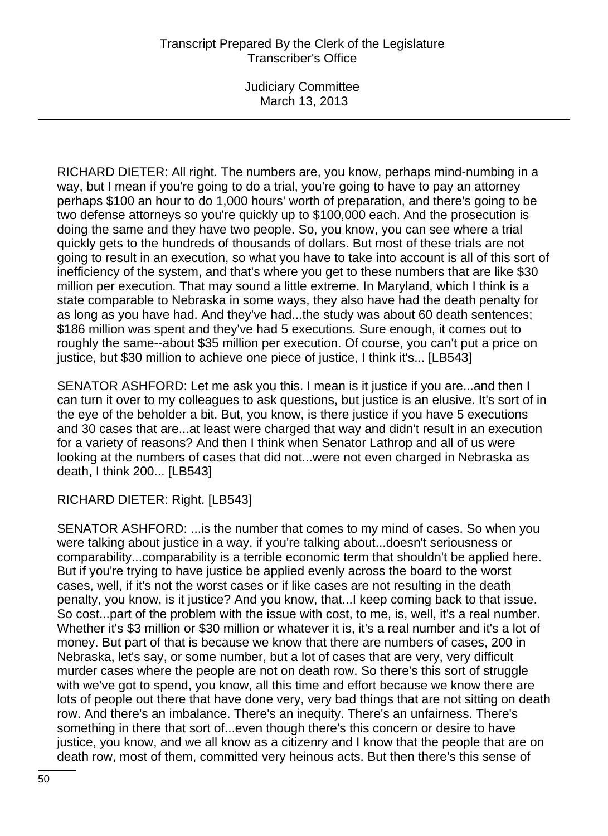Judiciary Committee March 13, 2013

RICHARD DIETER: All right. The numbers are, you know, perhaps mind-numbing in a way, but I mean if you're going to do a trial, you're going to have to pay an attorney perhaps \$100 an hour to do 1,000 hours' worth of preparation, and there's going to be two defense attorneys so you're quickly up to \$100,000 each. And the prosecution is doing the same and they have two people. So, you know, you can see where a trial quickly gets to the hundreds of thousands of dollars. But most of these trials are not going to result in an execution, so what you have to take into account is all of this sort of inefficiency of the system, and that's where you get to these numbers that are like \$30 million per execution. That may sound a little extreme. In Maryland, which I think is a state comparable to Nebraska in some ways, they also have had the death penalty for as long as you have had. And they've had...the study was about 60 death sentences; \$186 million was spent and they've had 5 executions. Sure enough, it comes out to roughly the same--about \$35 million per execution. Of course, you can't put a price on justice, but \$30 million to achieve one piece of justice, I think it's... [LB543]

SENATOR ASHFORD: Let me ask you this. I mean is it justice if you are...and then I can turn it over to my colleagues to ask questions, but justice is an elusive. It's sort of in the eye of the beholder a bit. But, you know, is there justice if you have 5 executions and 30 cases that are...at least were charged that way and didn't result in an execution for a variety of reasons? And then I think when Senator Lathrop and all of us were looking at the numbers of cases that did not...were not even charged in Nebraska as death, I think 200... [LB543]

RICHARD DIETER: Right. [LB543]

SENATOR ASHFORD: ...is the number that comes to my mind of cases. So when you were talking about justice in a way, if you're talking about...doesn't seriousness or comparability...comparability is a terrible economic term that shouldn't be applied here. But if you're trying to have justice be applied evenly across the board to the worst cases, well, if it's not the worst cases or if like cases are not resulting in the death penalty, you know, is it justice? And you know, that...I keep coming back to that issue. So cost...part of the problem with the issue with cost, to me, is, well, it's a real number. Whether it's \$3 million or \$30 million or whatever it is, it's a real number and it's a lot of money. But part of that is because we know that there are numbers of cases, 200 in Nebraska, let's say, or some number, but a lot of cases that are very, very difficult murder cases where the people are not on death row. So there's this sort of struggle with we've got to spend, you know, all this time and effort because we know there are lots of people out there that have done very, very bad things that are not sitting on death row. And there's an imbalance. There's an inequity. There's an unfairness. There's something in there that sort of...even though there's this concern or desire to have justice, you know, and we all know as a citizenry and I know that the people that are on death row, most of them, committed very heinous acts. But then there's this sense of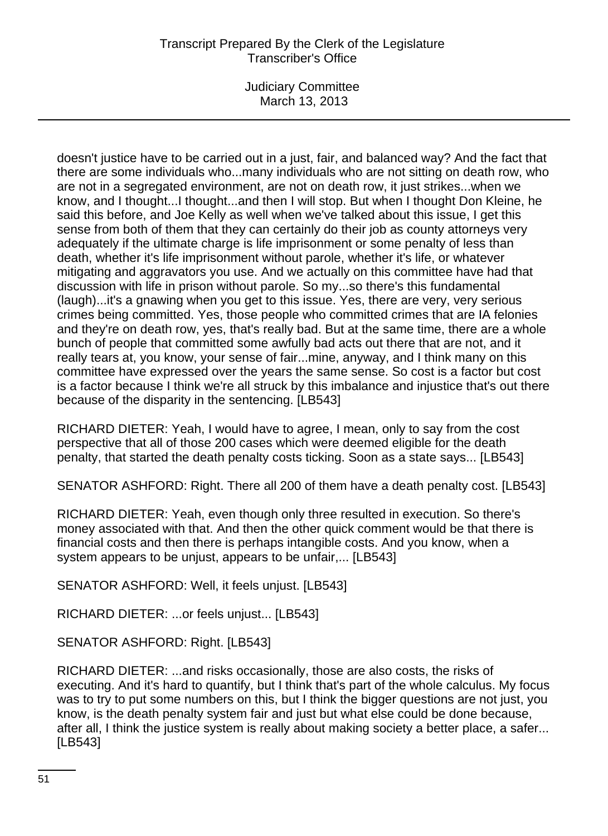Judiciary Committee March 13, 2013

doesn't justice have to be carried out in a just, fair, and balanced way? And the fact that there are some individuals who...many individuals who are not sitting on death row, who are not in a segregated environment, are not on death row, it just strikes...when we know, and I thought...I thought...and then I will stop. But when I thought Don Kleine, he said this before, and Joe Kelly as well when we've talked about this issue, I get this sense from both of them that they can certainly do their job as county attorneys very adequately if the ultimate charge is life imprisonment or some penalty of less than death, whether it's life imprisonment without parole, whether it's life, or whatever mitigating and aggravators you use. And we actually on this committee have had that discussion with life in prison without parole. So my...so there's this fundamental (laugh)...it's a gnawing when you get to this issue. Yes, there are very, very serious crimes being committed. Yes, those people who committed crimes that are IA felonies and they're on death row, yes, that's really bad. But at the same time, there are a whole bunch of people that committed some awfully bad acts out there that are not, and it really tears at, you know, your sense of fair...mine, anyway, and I think many on this committee have expressed over the years the same sense. So cost is a factor but cost is a factor because I think we're all struck by this imbalance and injustice that's out there because of the disparity in the sentencing. [LB543]

RICHARD DIETER: Yeah, I would have to agree, I mean, only to say from the cost perspective that all of those 200 cases which were deemed eligible for the death penalty, that started the death penalty costs ticking. Soon as a state says... [LB543]

SENATOR ASHFORD: Right. There all 200 of them have a death penalty cost. [LB543]

RICHARD DIETER: Yeah, even though only three resulted in execution. So there's money associated with that. And then the other quick comment would be that there is financial costs and then there is perhaps intangible costs. And you know, when a system appears to be unjust, appears to be unfair,... [LB543]

SENATOR ASHFORD: Well, it feels unjust. [LB543]

RICHARD DIETER: ...or feels unjust... [LB543]

SENATOR ASHFORD: Right. [LB543]

RICHARD DIETER: ...and risks occasionally, those are also costs, the risks of executing. And it's hard to quantify, but I think that's part of the whole calculus. My focus was to try to put some numbers on this, but I think the bigger questions are not just, you know, is the death penalty system fair and just but what else could be done because, after all, I think the justice system is really about making society a better place, a safer... [LB543]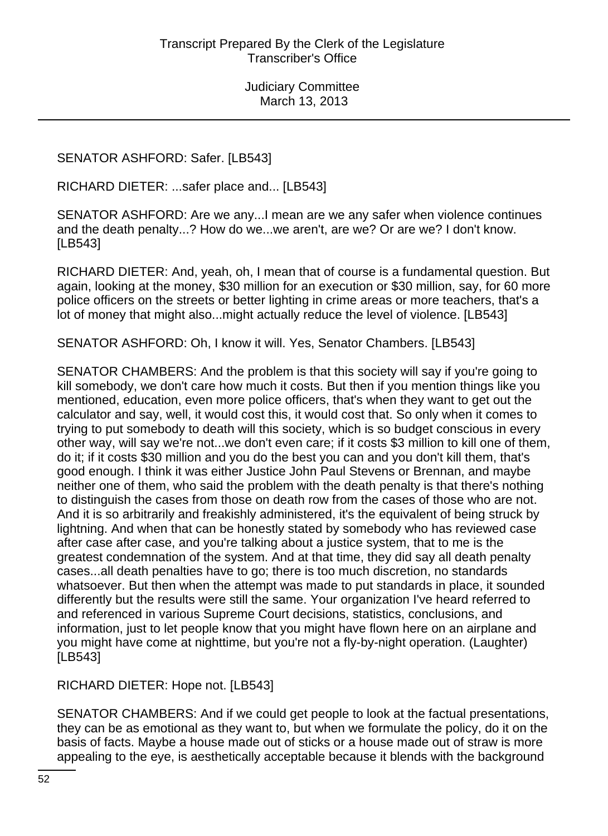SENATOR ASHFORD: Safer. [LB543]

RICHARD DIETER: ...safer place and... [LB543]

SENATOR ASHFORD: Are we any...I mean are we any safer when violence continues and the death penalty...? How do we...we aren't, are we? Or are we? I don't know. [LB543]

RICHARD DIETER: And, yeah, oh, I mean that of course is a fundamental question. But again, looking at the money, \$30 million for an execution or \$30 million, say, for 60 more police officers on the streets or better lighting in crime areas or more teachers, that's a lot of money that might also...might actually reduce the level of violence. [LB543]

SENATOR ASHFORD: Oh, I know it will. Yes, Senator Chambers. [LB543]

SENATOR CHAMBERS: And the problem is that this society will say if you're going to kill somebody, we don't care how much it costs. But then if you mention things like you mentioned, education, even more police officers, that's when they want to get out the calculator and say, well, it would cost this, it would cost that. So only when it comes to trying to put somebody to death will this society, which is so budget conscious in every other way, will say we're not...we don't even care; if it costs \$3 million to kill one of them, do it; if it costs \$30 million and you do the best you can and you don't kill them, that's good enough. I think it was either Justice John Paul Stevens or Brennan, and maybe neither one of them, who said the problem with the death penalty is that there's nothing to distinguish the cases from those on death row from the cases of those who are not. And it is so arbitrarily and freakishly administered, it's the equivalent of being struck by lightning. And when that can be honestly stated by somebody who has reviewed case after case after case, and you're talking about a justice system, that to me is the greatest condemnation of the system. And at that time, they did say all death penalty cases...all death penalties have to go; there is too much discretion, no standards whatsoever. But then when the attempt was made to put standards in place, it sounded differently but the results were still the same. Your organization I've heard referred to and referenced in various Supreme Court decisions, statistics, conclusions, and information, just to let people know that you might have flown here on an airplane and you might have come at nighttime, but you're not a fly-by-night operation. (Laughter) [LB543]

RICHARD DIETER: Hope not. [LB543]

SENATOR CHAMBERS: And if we could get people to look at the factual presentations, they can be as emotional as they want to, but when we formulate the policy, do it on the basis of facts. Maybe a house made out of sticks or a house made out of straw is more appealing to the eye, is aesthetically acceptable because it blends with the background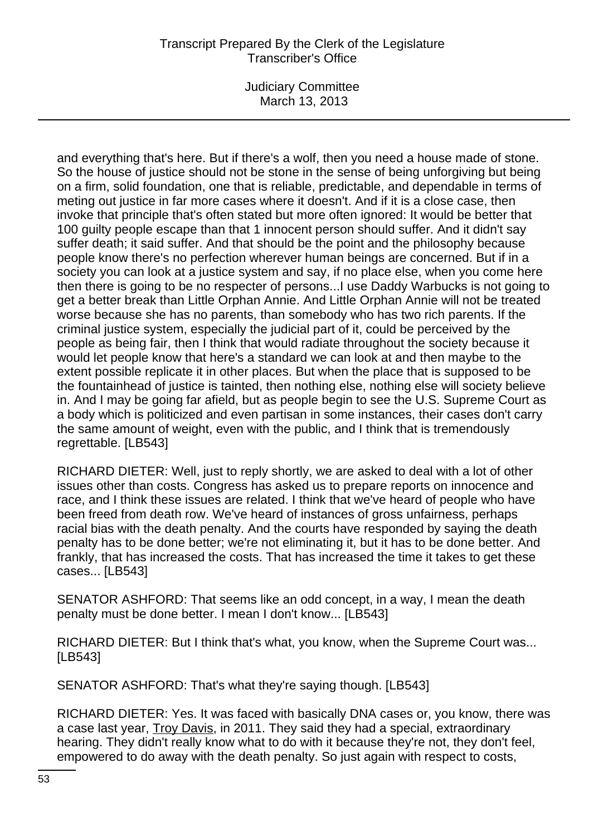Judiciary Committee March 13, 2013

and everything that's here. But if there's a wolf, then you need a house made of stone. So the house of justice should not be stone in the sense of being unforgiving but being on a firm, solid foundation, one that is reliable, predictable, and dependable in terms of meting out justice in far more cases where it doesn't. And if it is a close case, then invoke that principle that's often stated but more often ignored: It would be better that 100 guilty people escape than that 1 innocent person should suffer. And it didn't say suffer death; it said suffer. And that should be the point and the philosophy because people know there's no perfection wherever human beings are concerned. But if in a society you can look at a justice system and say, if no place else, when you come here then there is going to be no respecter of persons...I use Daddy Warbucks is not going to get a better break than Little Orphan Annie. And Little Orphan Annie will not be treated worse because she has no parents, than somebody who has two rich parents. If the criminal justice system, especially the judicial part of it, could be perceived by the people as being fair, then I think that would radiate throughout the society because it would let people know that here's a standard we can look at and then maybe to the extent possible replicate it in other places. But when the place that is supposed to be the fountainhead of justice is tainted, then nothing else, nothing else will society believe in. And I may be going far afield, but as people begin to see the U.S. Supreme Court as a body which is politicized and even partisan in some instances, their cases don't carry the same amount of weight, even with the public, and I think that is tremendously regrettable. [LB543]

RICHARD DIETER: Well, just to reply shortly, we are asked to deal with a lot of other issues other than costs. Congress has asked us to prepare reports on innocence and race, and I think these issues are related. I think that we've heard of people who have been freed from death row. We've heard of instances of gross unfairness, perhaps racial bias with the death penalty. And the courts have responded by saying the death penalty has to be done better; we're not eliminating it, but it has to be done better. And frankly, that has increased the costs. That has increased the time it takes to get these cases... [LB543]

SENATOR ASHFORD: That seems like an odd concept, in a way, I mean the death penalty must be done better. I mean I don't know... [LB543]

RICHARD DIETER: But I think that's what, you know, when the Supreme Court was... [LB543]

SENATOR ASHFORD: That's what they're saying though. [LB543]

RICHARD DIETER: Yes. It was faced with basically DNA cases or, you know, there was a case last year, Troy Davis, in 2011. They said they had a special, extraordinary hearing. They didn't really know what to do with it because they're not, they don't feel, empowered to do away with the death penalty. So just again with respect to costs,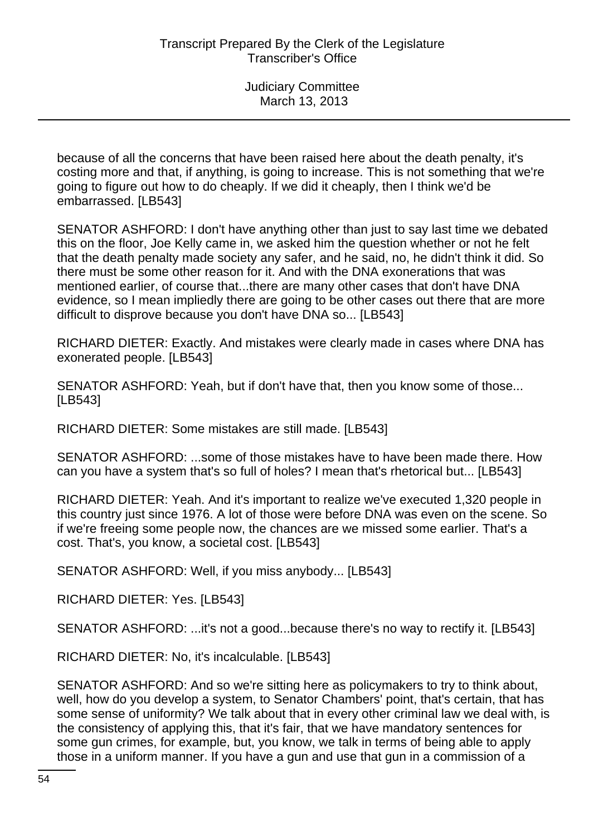because of all the concerns that have been raised here about the death penalty, it's costing more and that, if anything, is going to increase. This is not something that we're going to figure out how to do cheaply. If we did it cheaply, then I think we'd be embarrassed. [LB543]

SENATOR ASHFORD: I don't have anything other than just to say last time we debated this on the floor, Joe Kelly came in, we asked him the question whether or not he felt that the death penalty made society any safer, and he said, no, he didn't think it did. So there must be some other reason for it. And with the DNA exonerations that was mentioned earlier, of course that...there are many other cases that don't have DNA evidence, so I mean impliedly there are going to be other cases out there that are more difficult to disprove because you don't have DNA so... [LB543]

RICHARD DIETER: Exactly. And mistakes were clearly made in cases where DNA has exonerated people. [LB543]

SENATOR ASHFORD: Yeah, but if don't have that, then you know some of those... [LB543]

RICHARD DIETER: Some mistakes are still made. [LB543]

SENATOR ASHFORD: ...some of those mistakes have to have been made there. How can you have a system that's so full of holes? I mean that's rhetorical but... [LB543]

RICHARD DIETER: Yeah. And it's important to realize we've executed 1,320 people in this country just since 1976. A lot of those were before DNA was even on the scene. So if we're freeing some people now, the chances are we missed some earlier. That's a cost. That's, you know, a societal cost. [LB543]

SENATOR ASHFORD: Well, if you miss anybody... [LB543]

RICHARD DIETER: Yes. [LB543]

SENATOR ASHFORD: ...it's not a good...because there's no way to rectify it. [LB543]

RICHARD DIETER: No, it's incalculable. [LB543]

SENATOR ASHFORD: And so we're sitting here as policymakers to try to think about, well, how do you develop a system, to Senator Chambers' point, that's certain, that has some sense of uniformity? We talk about that in every other criminal law we deal with, is the consistency of applying this, that it's fair, that we have mandatory sentences for some gun crimes, for example, but, you know, we talk in terms of being able to apply those in a uniform manner. If you have a gun and use that gun in a commission of a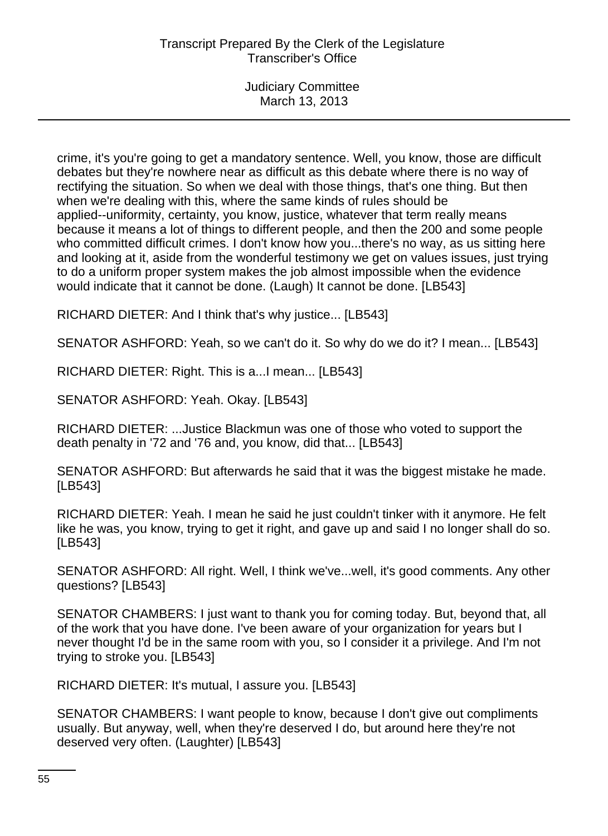crime, it's you're going to get a mandatory sentence. Well, you know, those are difficult debates but they're nowhere near as difficult as this debate where there is no way of rectifying the situation. So when we deal with those things, that's one thing. But then when we're dealing with this, where the same kinds of rules should be applied--uniformity, certainty, you know, justice, whatever that term really means because it means a lot of things to different people, and then the 200 and some people who committed difficult crimes. I don't know how you...there's no way, as us sitting here and looking at it, aside from the wonderful testimony we get on values issues, just trying to do a uniform proper system makes the job almost impossible when the evidence would indicate that it cannot be done. (Laugh) It cannot be done. [LB543]

RICHARD DIETER: And I think that's why justice... [LB543]

SENATOR ASHFORD: Yeah, so we can't do it. So why do we do it? I mean... [LB543]

RICHARD DIETER: Right. This is a...I mean... [LB543]

SENATOR ASHFORD: Yeah. Okay. [LB543]

RICHARD DIETER: ...Justice Blackmun was one of those who voted to support the death penalty in '72 and '76 and, you know, did that... [LB543]

SENATOR ASHFORD: But afterwards he said that it was the biggest mistake he made. [LB543]

RICHARD DIETER: Yeah. I mean he said he just couldn't tinker with it anymore. He felt like he was, you know, trying to get it right, and gave up and said I no longer shall do so. [LB543]

SENATOR ASHFORD: All right. Well, I think we've...well, it's good comments. Any other questions? [LB543]

SENATOR CHAMBERS: I just want to thank you for coming today. But, beyond that, all of the work that you have done. I've been aware of your organization for years but I never thought I'd be in the same room with you, so I consider it a privilege. And I'm not trying to stroke you. [LB543]

RICHARD DIETER: It's mutual, I assure you. [LB543]

SENATOR CHAMBERS: I want people to know, because I don't give out compliments usually. But anyway, well, when they're deserved I do, but around here they're not deserved very often. (Laughter) [LB543]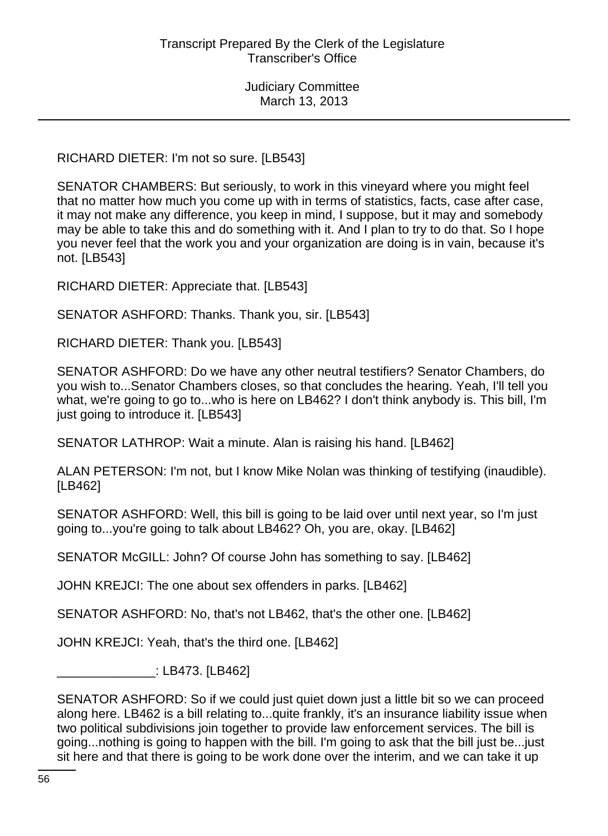RICHARD DIETER: I'm not so sure. [LB543]

SENATOR CHAMBERS: But seriously, to work in this vineyard where you might feel that no matter how much you come up with in terms of statistics, facts, case after case, it may not make any difference, you keep in mind, I suppose, but it may and somebody may be able to take this and do something with it. And I plan to try to do that. So I hope you never feel that the work you and your organization are doing is in vain, because it's not. [LB543]

RICHARD DIETER: Appreciate that. [LB543]

SENATOR ASHFORD: Thanks. Thank you, sir. [LB543]

RICHARD DIETER: Thank you. [LB543]

SENATOR ASHFORD: Do we have any other neutral testifiers? Senator Chambers, do you wish to...Senator Chambers closes, so that concludes the hearing. Yeah, I'll tell you what, we're going to go to...who is here on LB462? I don't think anybody is. This bill, I'm just going to introduce it. [LB543]

SENATOR LATHROP: Wait a minute. Alan is raising his hand. [LB462]

ALAN PETERSON: I'm not, but I know Mike Nolan was thinking of testifying (inaudible). [LB462]

SENATOR ASHFORD: Well, this bill is going to be laid over until next year, so I'm just going to...you're going to talk about LB462? Oh, you are, okay. [LB462]

SENATOR McGILL: John? Of course John has something to say. [LB462]

JOHN KREJCI: The one about sex offenders in parks. [LB462]

SENATOR ASHFORD: No, that's not LB462, that's the other one. [LB462]

JOHN KREJCI: Yeah, that's the third one. [LB462]

\_\_\_\_\_\_\_\_\_\_\_\_\_\_: LB473. [LB462]

SENATOR ASHFORD: So if we could just quiet down just a little bit so we can proceed along here. LB462 is a bill relating to...quite frankly, it's an insurance liability issue when two political subdivisions join together to provide law enforcement services. The bill is going...nothing is going to happen with the bill. I'm going to ask that the bill just be...just sit here and that there is going to be work done over the interim, and we can take it up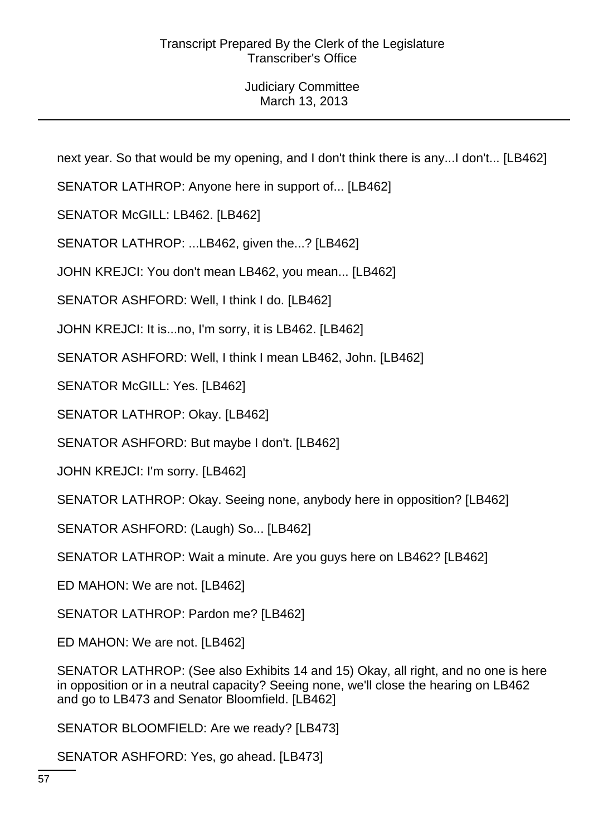next year. So that would be my opening, and I don't think there is any...I don't... [LB462]

SENATOR LATHROP: Anyone here in support of... [LB462]

SENATOR McGILL: LB462. [LB462]

SENATOR LATHROP: ...LB462, given the...? [LB462]

JOHN KREJCI: You don't mean LB462, you mean... [LB462]

SENATOR ASHFORD: Well, I think I do. [LB462]

JOHN KREJCI: It is...no, I'm sorry, it is LB462. [LB462]

SENATOR ASHFORD: Well, I think I mean LB462, John. [LB462]

SENATOR McGILL: Yes. [LB462]

SENATOR LATHROP: Okay. [LB462]

SENATOR ASHFORD: But maybe I don't. [LB462]

JOHN KREJCI: I'm sorry. [LB462]

SENATOR LATHROP: Okay. Seeing none, anybody here in opposition? [LB462]

SENATOR ASHFORD: (Laugh) So... [LB462]

SENATOR LATHROP: Wait a minute. Are you guys here on LB462? [LB462]

ED MAHON: We are not. [LB462]

SENATOR LATHROP: Pardon me? [LB462]

ED MAHON: We are not. [LB462]

SENATOR LATHROP: (See also Exhibits 14 and 15) Okay, all right, and no one is here in opposition or in a neutral capacity? Seeing none, we'll close the hearing on LB462 and go to LB473 and Senator Bloomfield. [LB462]

SENATOR BLOOMFIELD: Are we ready? [LB473]

SENATOR ASHFORD: Yes, go ahead. [LB473]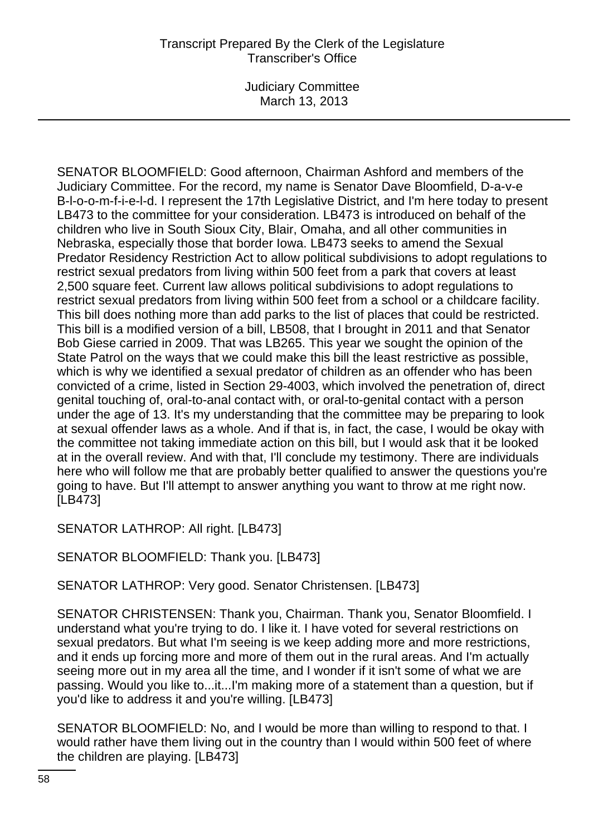Judiciary Committee March 13, 2013

SENATOR BLOOMFIELD: Good afternoon, Chairman Ashford and members of the Judiciary Committee. For the record, my name is Senator Dave Bloomfield, D-a-v-e B-l-o-o-m-f-i-e-l-d. I represent the 17th Legislative District, and I'm here today to present LB473 to the committee for your consideration. LB473 is introduced on behalf of the children who live in South Sioux City, Blair, Omaha, and all other communities in Nebraska, especially those that border Iowa. LB473 seeks to amend the Sexual Predator Residency Restriction Act to allow political subdivisions to adopt regulations to restrict sexual predators from living within 500 feet from a park that covers at least 2,500 square feet. Current law allows political subdivisions to adopt regulations to restrict sexual predators from living within 500 feet from a school or a childcare facility. This bill does nothing more than add parks to the list of places that could be restricted. This bill is a modified version of a bill, LB508, that I brought in 2011 and that Senator Bob Giese carried in 2009. That was LB265. This year we sought the opinion of the State Patrol on the ways that we could make this bill the least restrictive as possible, which is why we identified a sexual predator of children as an offender who has been convicted of a crime, listed in Section 29-4003, which involved the penetration of, direct genital touching of, oral-to-anal contact with, or oral-to-genital contact with a person under the age of 13. It's my understanding that the committee may be preparing to look at sexual offender laws as a whole. And if that is, in fact, the case, I would be okay with the committee not taking immediate action on this bill, but I would ask that it be looked at in the overall review. And with that, I'll conclude my testimony. There are individuals here who will follow me that are probably better qualified to answer the questions you're going to have. But I'll attempt to answer anything you want to throw at me right now. [LB473]

SENATOR LATHROP: All right. [LB473]

SENATOR BLOOMFIELD: Thank you. [LB473]

SENATOR LATHROP: Very good. Senator Christensen. [LB473]

SENATOR CHRISTENSEN: Thank you, Chairman. Thank you, Senator Bloomfield. I understand what you're trying to do. I like it. I have voted for several restrictions on sexual predators. But what I'm seeing is we keep adding more and more restrictions, and it ends up forcing more and more of them out in the rural areas. And I'm actually seeing more out in my area all the time, and I wonder if it isn't some of what we are passing. Would you like to...it...I'm making more of a statement than a question, but if you'd like to address it and you're willing. [LB473]

SENATOR BLOOMFIELD: No, and I would be more than willing to respond to that. I would rather have them living out in the country than I would within 500 feet of where the children are playing. [LB473]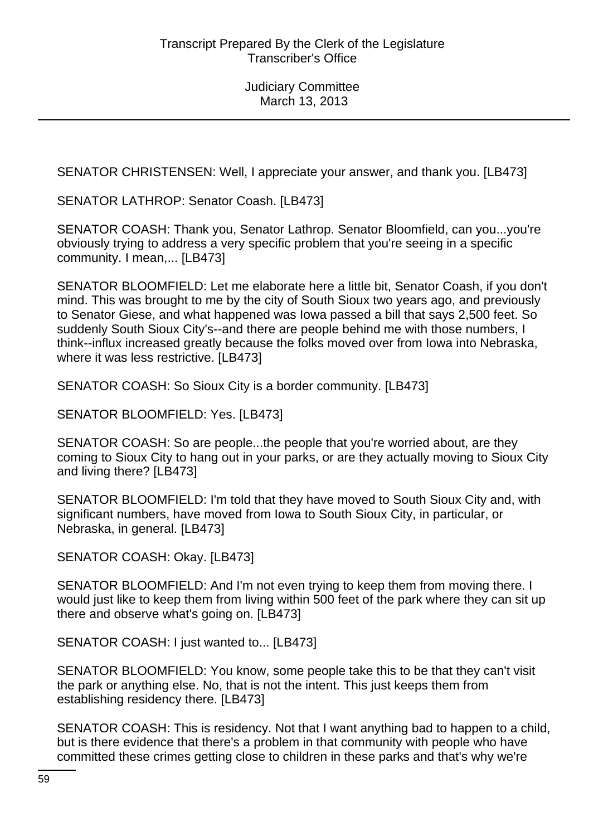SENATOR CHRISTENSEN: Well, I appreciate your answer, and thank you. [LB473]

SENATOR LATHROP: Senator Coash. [LB473]

SENATOR COASH: Thank you, Senator Lathrop. Senator Bloomfield, can you...you're obviously trying to address a very specific problem that you're seeing in a specific community. I mean,... [LB473]

SENATOR BLOOMFIELD: Let me elaborate here a little bit, Senator Coash, if you don't mind. This was brought to me by the city of South Sioux two years ago, and previously to Senator Giese, and what happened was Iowa passed a bill that says 2,500 feet. So suddenly South Sioux City's--and there are people behind me with those numbers, I think--influx increased greatly because the folks moved over from Iowa into Nebraska, where it was less restrictive. [LB473]

SENATOR COASH: So Sioux City is a border community. [LB473]

SENATOR BLOOMFIELD: Yes. [LB473]

SENATOR COASH: So are people...the people that you're worried about, are they coming to Sioux City to hang out in your parks, or are they actually moving to Sioux City and living there? [LB473]

SENATOR BLOOMFIELD: I'm told that they have moved to South Sioux City and, with significant numbers, have moved from Iowa to South Sioux City, in particular, or Nebraska, in general. [LB473]

SENATOR COASH: Okay. [LB473]

SENATOR BLOOMFIELD: And I'm not even trying to keep them from moving there. I would just like to keep them from living within 500 feet of the park where they can sit up there and observe what's going on. [LB473]

SENATOR COASH: I just wanted to... [LB473]

SENATOR BLOOMFIELD: You know, some people take this to be that they can't visit the park or anything else. No, that is not the intent. This just keeps them from establishing residency there. [LB473]

SENATOR COASH: This is residency. Not that I want anything bad to happen to a child, but is there evidence that there's a problem in that community with people who have committed these crimes getting close to children in these parks and that's why we're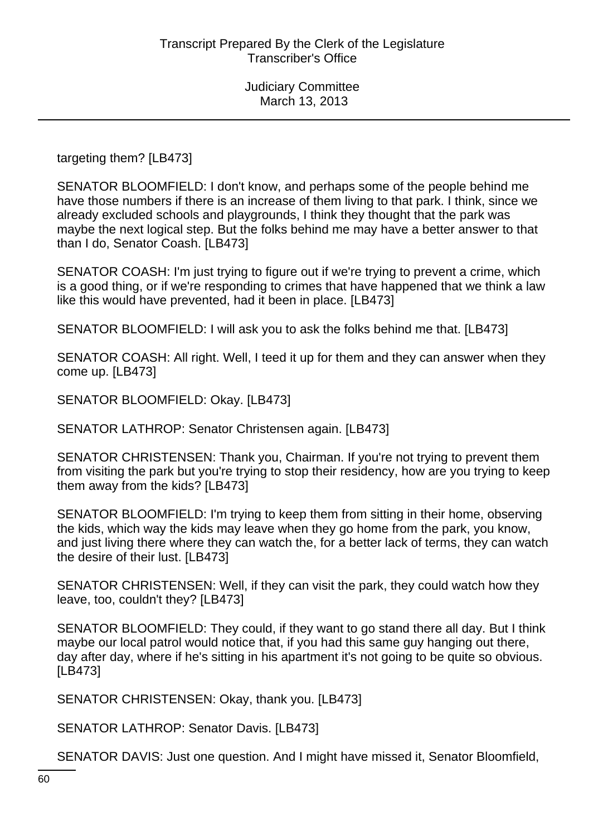targeting them? [LB473]

SENATOR BLOOMFIELD: I don't know, and perhaps some of the people behind me have those numbers if there is an increase of them living to that park. I think, since we already excluded schools and playgrounds, I think they thought that the park was maybe the next logical step. But the folks behind me may have a better answer to that than I do, Senator Coash. [LB473]

SENATOR COASH: I'm just trying to figure out if we're trying to prevent a crime, which is a good thing, or if we're responding to crimes that have happened that we think a law like this would have prevented, had it been in place. [LB473]

SENATOR BLOOMFIELD: I will ask you to ask the folks behind me that. [LB473]

SENATOR COASH: All right. Well, I teed it up for them and they can answer when they come up. [LB473]

SENATOR BLOOMFIELD: Okay. [LB473]

SENATOR LATHROP: Senator Christensen again. [LB473]

SENATOR CHRISTENSEN: Thank you, Chairman. If you're not trying to prevent them from visiting the park but you're trying to stop their residency, how are you trying to keep them away from the kids? [LB473]

SENATOR BLOOMFIELD: I'm trying to keep them from sitting in their home, observing the kids, which way the kids may leave when they go home from the park, you know, and just living there where they can watch the, for a better lack of terms, they can watch the desire of their lust. [LB473]

SENATOR CHRISTENSEN: Well, if they can visit the park, they could watch how they leave, too, couldn't they? [LB473]

SENATOR BLOOMFIELD: They could, if they want to go stand there all day. But I think maybe our local patrol would notice that, if you had this same guy hanging out there, day after day, where if he's sitting in his apartment it's not going to be quite so obvious. [LB473]

SENATOR CHRISTENSEN: Okay, thank you. [LB473]

SENATOR LATHROP: Senator Davis. [LB473]

SENATOR DAVIS: Just one question. And I might have missed it, Senator Bloomfield,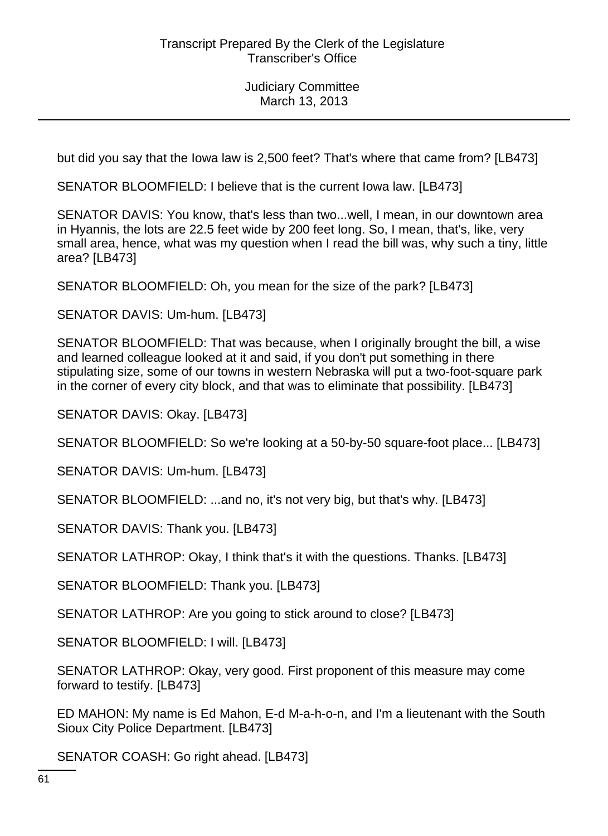but did you say that the Iowa law is 2,500 feet? That's where that came from? [LB473]

SENATOR BLOOMFIELD: I believe that is the current Iowa law. [LB473]

SENATOR DAVIS: You know, that's less than two...well, I mean, in our downtown area in Hyannis, the lots are 22.5 feet wide by 200 feet long. So, I mean, that's, like, very small area, hence, what was my question when I read the bill was, why such a tiny, little area? [LB473]

SENATOR BLOOMFIELD: Oh, you mean for the size of the park? [LB473]

SENATOR DAVIS: Um-hum. [LB473]

SENATOR BLOOMFIELD: That was because, when I originally brought the bill, a wise and learned colleague looked at it and said, if you don't put something in there stipulating size, some of our towns in western Nebraska will put a two-foot-square park in the corner of every city block, and that was to eliminate that possibility. [LB473]

SENATOR DAVIS: Okay. [LB473]

SENATOR BLOOMFIELD: So we're looking at a 50-by-50 square-foot place... [LB473]

SENATOR DAVIS: Um-hum. [LB473]

SENATOR BLOOMFIELD: ...and no, it's not very big, but that's why. [LB473]

SENATOR DAVIS: Thank you. [LB473]

SENATOR LATHROP: Okay, I think that's it with the questions. Thanks. [LB473]

SENATOR BLOOMFIELD: Thank you. [LB473]

SENATOR LATHROP: Are you going to stick around to close? [LB473]

SENATOR BLOOMFIELD: I will. [LB473]

SENATOR LATHROP: Okay, very good. First proponent of this measure may come forward to testify. [LB473]

ED MAHON: My name is Ed Mahon, E-d M-a-h-o-n, and I'm a lieutenant with the South Sioux City Police Department. [LB473]

SENATOR COASH: Go right ahead. [LB473]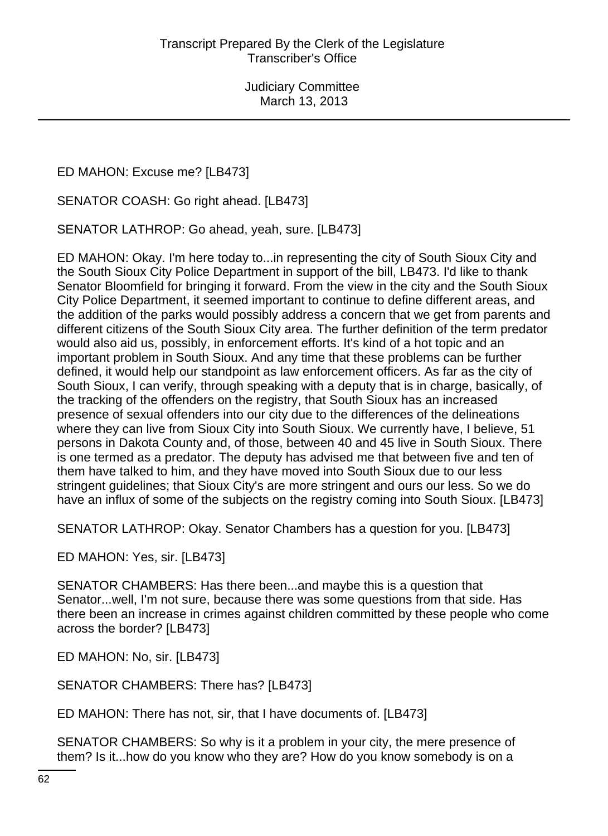ED MAHON: Excuse me? [LB473]

SENATOR COASH: Go right ahead. [LB473]

SENATOR LATHROP: Go ahead, yeah, sure. [LB473]

ED MAHON: Okay. I'm here today to...in representing the city of South Sioux City and the South Sioux City Police Department in support of the bill, LB473. I'd like to thank Senator Bloomfield for bringing it forward. From the view in the city and the South Sioux City Police Department, it seemed important to continue to define different areas, and the addition of the parks would possibly address a concern that we get from parents and different citizens of the South Sioux City area. The further definition of the term predator would also aid us, possibly, in enforcement efforts. It's kind of a hot topic and an important problem in South Sioux. And any time that these problems can be further defined, it would help our standpoint as law enforcement officers. As far as the city of South Sioux, I can verify, through speaking with a deputy that is in charge, basically, of the tracking of the offenders on the registry, that South Sioux has an increased presence of sexual offenders into our city due to the differences of the delineations where they can live from Sioux City into South Sioux. We currently have, I believe, 51 persons in Dakota County and, of those, between 40 and 45 live in South Sioux. There is one termed as a predator. The deputy has advised me that between five and ten of them have talked to him, and they have moved into South Sioux due to our less stringent guidelines; that Sioux City's are more stringent and ours our less. So we do have an influx of some of the subjects on the registry coming into South Sioux. [LB473]

SENATOR LATHROP: Okay. Senator Chambers has a question for you. [LB473]

ED MAHON: Yes, sir. [LB473]

SENATOR CHAMBERS: Has there been...and maybe this is a question that Senator...well, I'm not sure, because there was some questions from that side. Has there been an increase in crimes against children committed by these people who come across the border? [LB473]

ED MAHON: No, sir. [LB473]

SENATOR CHAMBERS: There has? [LB473]

ED MAHON: There has not, sir, that I have documents of. [LB473]

SENATOR CHAMBERS: So why is it a problem in your city, the mere presence of them? Is it...how do you know who they are? How do you know somebody is on a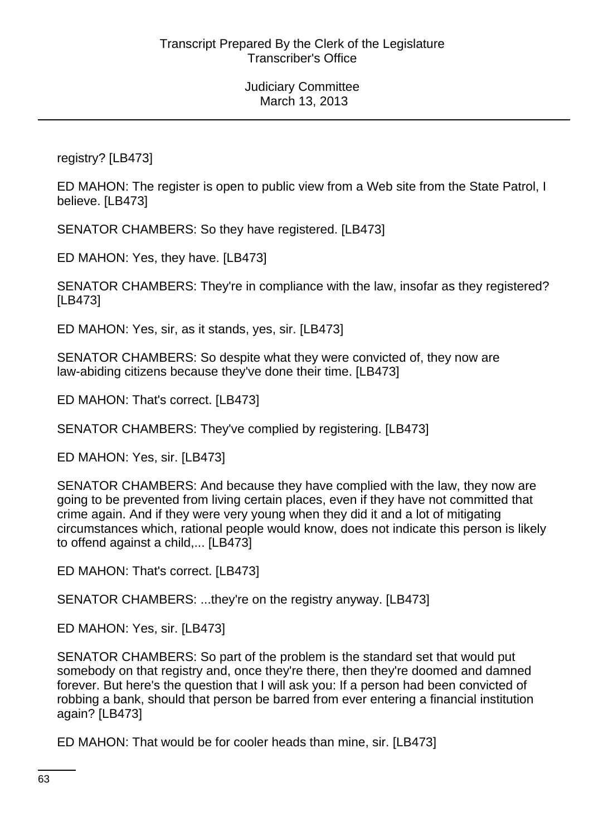registry? [LB473]

ED MAHON: The register is open to public view from a Web site from the State Patrol, I believe. [LB473]

SENATOR CHAMBERS: So they have registered. [LB473]

ED MAHON: Yes, they have. [LB473]

SENATOR CHAMBERS: They're in compliance with the law, insofar as they registered? [LB473]

ED MAHON: Yes, sir, as it stands, yes, sir. [LB473]

SENATOR CHAMBERS: So despite what they were convicted of, they now are law-abiding citizens because they've done their time. [LB473]

ED MAHON: That's correct. [LB473]

SENATOR CHAMBERS: They've complied by registering. [LB473]

ED MAHON: Yes, sir. [LB473]

SENATOR CHAMBERS: And because they have complied with the law, they now are going to be prevented from living certain places, even if they have not committed that crime again. And if they were very young when they did it and a lot of mitigating circumstances which, rational people would know, does not indicate this person is likely to offend against a child,... [LB473]

ED MAHON: That's correct. [LB473]

SENATOR CHAMBERS: ...they're on the registry anyway. [LB473]

ED MAHON: Yes, sir. [LB473]

SENATOR CHAMBERS: So part of the problem is the standard set that would put somebody on that registry and, once they're there, then they're doomed and damned forever. But here's the question that I will ask you: If a person had been convicted of robbing a bank, should that person be barred from ever entering a financial institution again? [LB473]

ED MAHON: That would be for cooler heads than mine, sir. [LB473]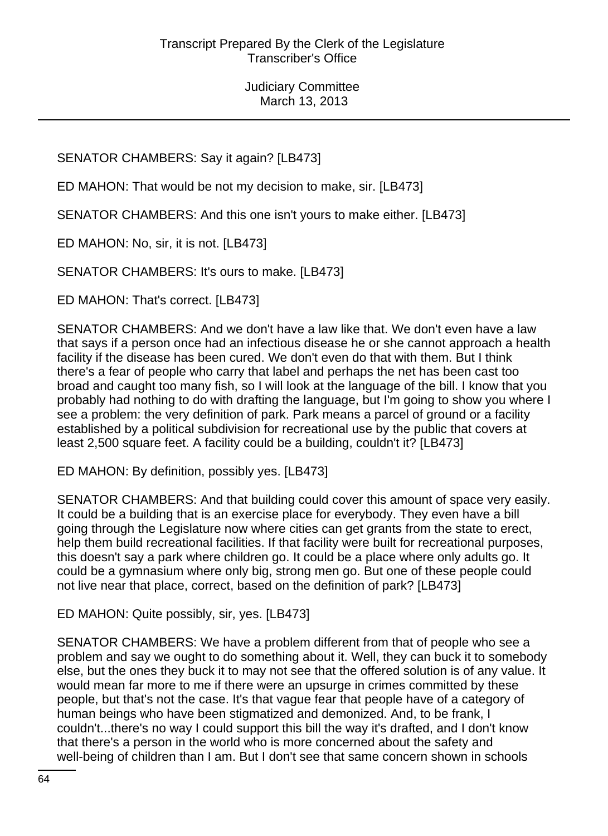# SENATOR CHAMBERS: Say it again? [LB473]

ED MAHON: That would be not my decision to make, sir. [LB473]

SENATOR CHAMBERS: And this one isn't yours to make either. [LB473]

ED MAHON: No, sir, it is not. [LB473]

SENATOR CHAMBERS: It's ours to make. [LB473]

ED MAHON: That's correct. [LB473]

SENATOR CHAMBERS: And we don't have a law like that. We don't even have a law that says if a person once had an infectious disease he or she cannot approach a health facility if the disease has been cured. We don't even do that with them. But I think there's a fear of people who carry that label and perhaps the net has been cast too broad and caught too many fish, so I will look at the language of the bill. I know that you probably had nothing to do with drafting the language, but I'm going to show you where I see a problem: the very definition of park. Park means a parcel of ground or a facility established by a political subdivision for recreational use by the public that covers at least 2,500 square feet. A facility could be a building, couldn't it? [LB473]

ED MAHON: By definition, possibly yes. [LB473]

SENATOR CHAMBERS: And that building could cover this amount of space very easily. It could be a building that is an exercise place for everybody. They even have a bill going through the Legislature now where cities can get grants from the state to erect, help them build recreational facilities. If that facility were built for recreational purposes, this doesn't say a park where children go. It could be a place where only adults go. It could be a gymnasium where only big, strong men go. But one of these people could not live near that place, correct, based on the definition of park? [LB473]

ED MAHON: Quite possibly, sir, yes. [LB473]

SENATOR CHAMBERS: We have a problem different from that of people who see a problem and say we ought to do something about it. Well, they can buck it to somebody else, but the ones they buck it to may not see that the offered solution is of any value. It would mean far more to me if there were an upsurge in crimes committed by these people, but that's not the case. It's that vague fear that people have of a category of human beings who have been stigmatized and demonized. And, to be frank, I couldn't...there's no way I could support this bill the way it's drafted, and I don't know that there's a person in the world who is more concerned about the safety and well-being of children than I am. But I don't see that same concern shown in schools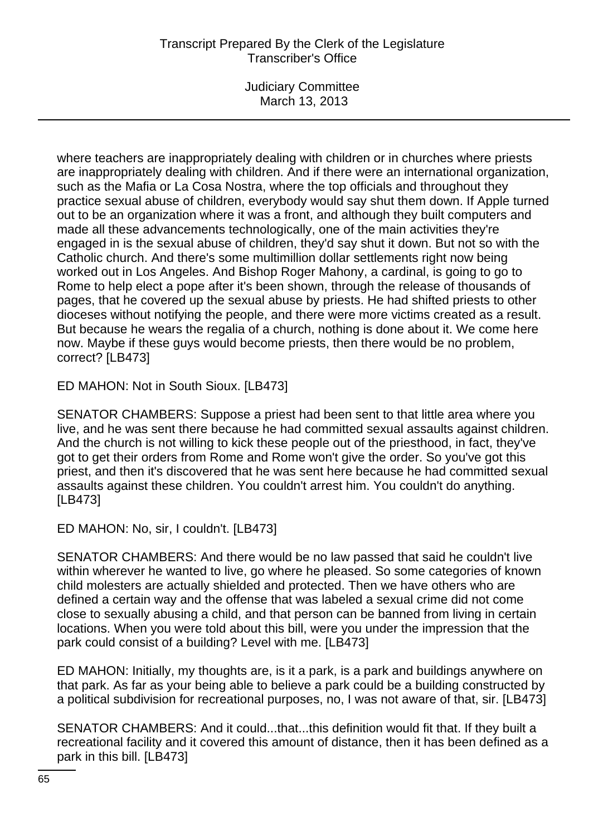Judiciary Committee March 13, 2013

where teachers are inappropriately dealing with children or in churches where priests are inappropriately dealing with children. And if there were an international organization, such as the Mafia or La Cosa Nostra, where the top officials and throughout they practice sexual abuse of children, everybody would say shut them down. If Apple turned out to be an organization where it was a front, and although they built computers and made all these advancements technologically, one of the main activities they're engaged in is the sexual abuse of children, they'd say shut it down. But not so with the Catholic church. And there's some multimillion dollar settlements right now being worked out in Los Angeles. And Bishop Roger Mahony, a cardinal, is going to go to Rome to help elect a pope after it's been shown, through the release of thousands of pages, that he covered up the sexual abuse by priests. He had shifted priests to other dioceses without notifying the people, and there were more victims created as a result. But because he wears the regalia of a church, nothing is done about it. We come here now. Maybe if these guys would become priests, then there would be no problem, correct? [LB473]

ED MAHON: Not in South Sioux. [LB473]

SENATOR CHAMBERS: Suppose a priest had been sent to that little area where you live, and he was sent there because he had committed sexual assaults against children. And the church is not willing to kick these people out of the priesthood, in fact, they've got to get their orders from Rome and Rome won't give the order. So you've got this priest, and then it's discovered that he was sent here because he had committed sexual assaults against these children. You couldn't arrest him. You couldn't do anything. [LB473]

ED MAHON: No, sir, I couldn't. [LB473]

SENATOR CHAMBERS: And there would be no law passed that said he couldn't live within wherever he wanted to live, go where he pleased. So some categories of known child molesters are actually shielded and protected. Then we have others who are defined a certain way and the offense that was labeled a sexual crime did not come close to sexually abusing a child, and that person can be banned from living in certain locations. When you were told about this bill, were you under the impression that the park could consist of a building? Level with me. [LB473]

ED MAHON: Initially, my thoughts are, is it a park, is a park and buildings anywhere on that park. As far as your being able to believe a park could be a building constructed by a political subdivision for recreational purposes, no, I was not aware of that, sir. [LB473]

SENATOR CHAMBERS: And it could...that...this definition would fit that. If they built a recreational facility and it covered this amount of distance, then it has been defined as a park in this bill. [LB473]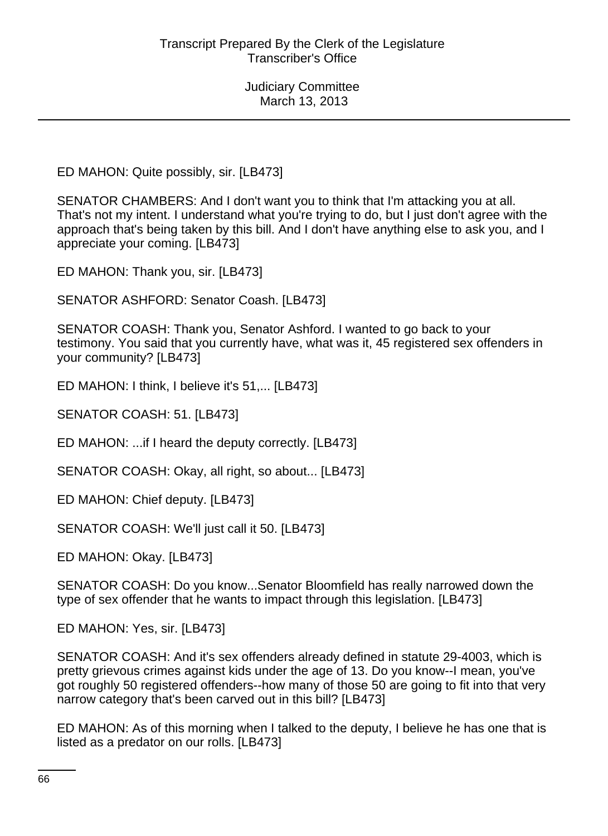ED MAHON: Quite possibly, sir. [LB473]

SENATOR CHAMBERS: And I don't want you to think that I'm attacking you at all. That's not my intent. I understand what you're trying to do, but I just don't agree with the approach that's being taken by this bill. And I don't have anything else to ask you, and I appreciate your coming. [LB473]

ED MAHON: Thank you, sir. [LB473]

SENATOR ASHFORD: Senator Coash. [LB473]

SENATOR COASH: Thank you, Senator Ashford. I wanted to go back to your testimony. You said that you currently have, what was it, 45 registered sex offenders in your community? [LB473]

ED MAHON: I think, I believe it's 51,... [LB473]

SENATOR COASH: 51. [LB473]

ED MAHON: ...if I heard the deputy correctly. [LB473]

SENATOR COASH: Okay, all right, so about... [LB473]

ED MAHON: Chief deputy. [LB473]

SENATOR COASH: We'll just call it 50. [LB473]

ED MAHON: Okay. [LB473]

SENATOR COASH: Do you know...Senator Bloomfield has really narrowed down the type of sex offender that he wants to impact through this legislation. [LB473]

ED MAHON: Yes, sir. [LB473]

SENATOR COASH: And it's sex offenders already defined in statute 29-4003, which is pretty grievous crimes against kids under the age of 13. Do you know--I mean, you've got roughly 50 registered offenders--how many of those 50 are going to fit into that very narrow category that's been carved out in this bill? [LB473]

ED MAHON: As of this morning when I talked to the deputy, I believe he has one that is listed as a predator on our rolls. [LB473]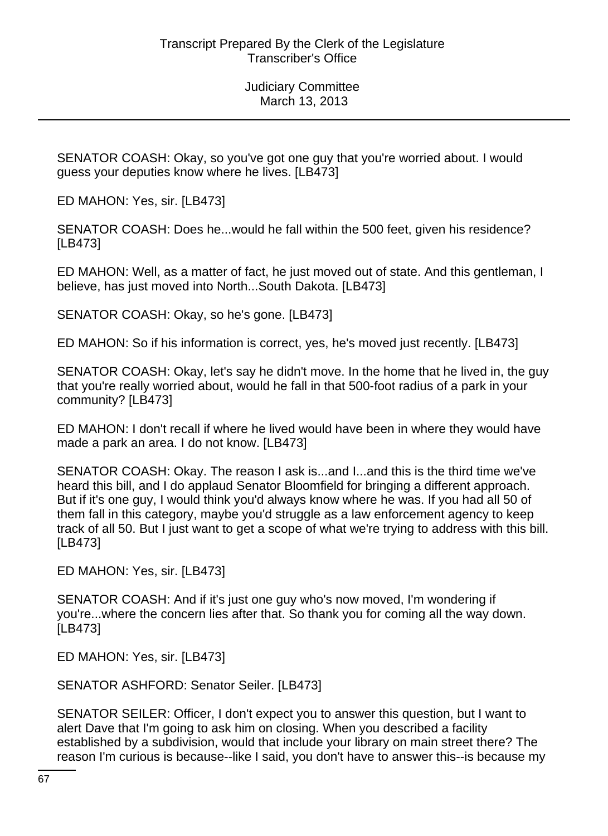SENATOR COASH: Okay, so you've got one guy that you're worried about. I would guess your deputies know where he lives. [LB473]

ED MAHON: Yes, sir. [LB473]

SENATOR COASH: Does he...would he fall within the 500 feet, given his residence? [LB473]

ED MAHON: Well, as a matter of fact, he just moved out of state. And this gentleman, I believe, has just moved into North...South Dakota. [LB473]

SENATOR COASH: Okay, so he's gone. [LB473]

ED MAHON: So if his information is correct, yes, he's moved just recently. [LB473]

SENATOR COASH: Okay, let's say he didn't move. In the home that he lived in, the guy that you're really worried about, would he fall in that 500-foot radius of a park in your community? [LB473]

ED MAHON: I don't recall if where he lived would have been in where they would have made a park an area. I do not know. [LB473]

SENATOR COASH: Okay. The reason I ask is...and I...and this is the third time we've heard this bill, and I do applaud Senator Bloomfield for bringing a different approach. But if it's one guy, I would think you'd always know where he was. If you had all 50 of them fall in this category, maybe you'd struggle as a law enforcement agency to keep track of all 50. But I just want to get a scope of what we're trying to address with this bill. [LB473]

ED MAHON: Yes, sir. [LB473]

SENATOR COASH: And if it's just one guy who's now moved, I'm wondering if you're...where the concern lies after that. So thank you for coming all the way down. [LB473]

ED MAHON: Yes, sir. [LB473]

SENATOR ASHFORD: Senator Seiler. [LB473]

SENATOR SEILER: Officer, I don't expect you to answer this question, but I want to alert Dave that I'm going to ask him on closing. When you described a facility established by a subdivision, would that include your library on main street there? The reason I'm curious is because--like I said, you don't have to answer this--is because my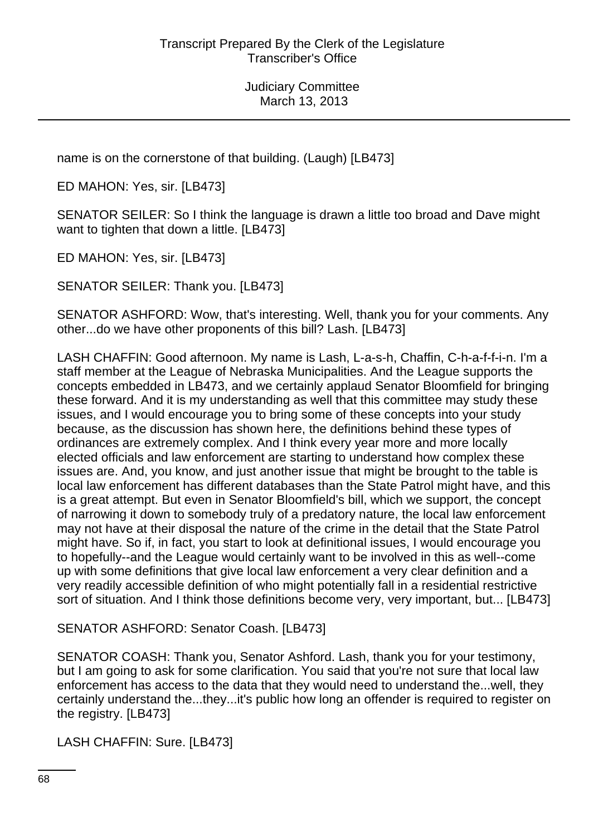name is on the cornerstone of that building. (Laugh) [LB473]

ED MAHON: Yes, sir. [LB473]

SENATOR SEILER: So I think the language is drawn a little too broad and Dave might want to tighten that down a little. [LB473]

ED MAHON: Yes, sir. [LB473]

SENATOR SEILER: Thank you. [LB473]

SENATOR ASHFORD: Wow, that's interesting. Well, thank you for your comments. Any other...do we have other proponents of this bill? Lash. [LB473]

LASH CHAFFIN: Good afternoon. My name is Lash, L-a-s-h, Chaffin, C-h-a-f-f-i-n. I'm a staff member at the League of Nebraska Municipalities. And the League supports the concepts embedded in LB473, and we certainly applaud Senator Bloomfield for bringing these forward. And it is my understanding as well that this committee may study these issues, and I would encourage you to bring some of these concepts into your study because, as the discussion has shown here, the definitions behind these types of ordinances are extremely complex. And I think every year more and more locally elected officials and law enforcement are starting to understand how complex these issues are. And, you know, and just another issue that might be brought to the table is local law enforcement has different databases than the State Patrol might have, and this is a great attempt. But even in Senator Bloomfield's bill, which we support, the concept of narrowing it down to somebody truly of a predatory nature, the local law enforcement may not have at their disposal the nature of the crime in the detail that the State Patrol might have. So if, in fact, you start to look at definitional issues, I would encourage you to hopefully--and the League would certainly want to be involved in this as well--come up with some definitions that give local law enforcement a very clear definition and a very readily accessible definition of who might potentially fall in a residential restrictive sort of situation. And I think those definitions become very, very important, but... [LB473]

SENATOR ASHFORD: Senator Coash. [LB473]

SENATOR COASH: Thank you, Senator Ashford. Lash, thank you for your testimony, but I am going to ask for some clarification. You said that you're not sure that local law enforcement has access to the data that they would need to understand the...well, they certainly understand the...they...it's public how long an offender is required to register on the registry. [LB473]

LASH CHAFFIN: Sure. [LB473]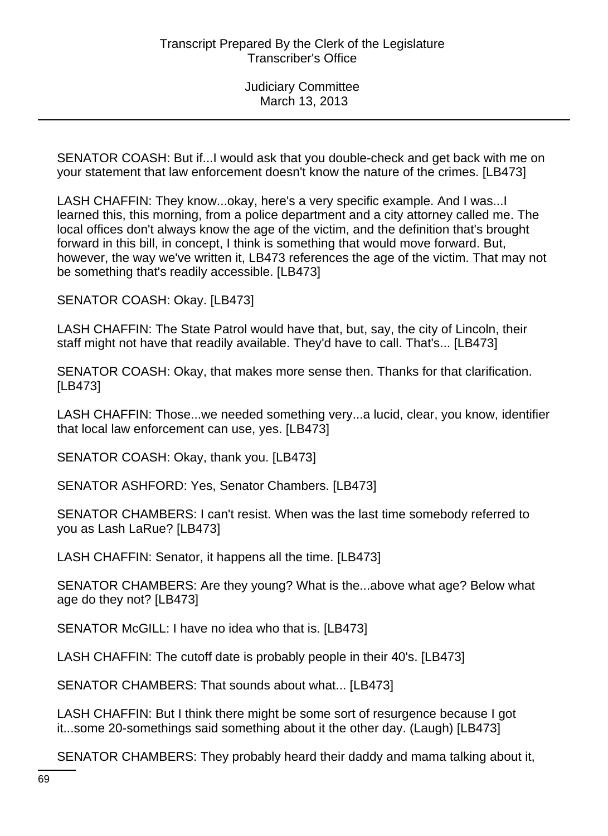SENATOR COASH: But if...I would ask that you double-check and get back with me on your statement that law enforcement doesn't know the nature of the crimes. [LB473]

LASH CHAFFIN: They know...okay, here's a very specific example. And I was...I learned this, this morning, from a police department and a city attorney called me. The local offices don't always know the age of the victim, and the definition that's brought forward in this bill, in concept, I think is something that would move forward. But, however, the way we've written it, LB473 references the age of the victim. That may not be something that's readily accessible. [LB473]

SENATOR COASH: Okay. [LB473]

LASH CHAFFIN: The State Patrol would have that, but, say, the city of Lincoln, their staff might not have that readily available. They'd have to call. That's... [LB473]

SENATOR COASH: Okay, that makes more sense then. Thanks for that clarification. [LB473]

LASH CHAFFIN: Those...we needed something very...a lucid, clear, you know, identifier that local law enforcement can use, yes. [LB473]

SENATOR COASH: Okay, thank you. [LB473]

SENATOR ASHFORD: Yes, Senator Chambers. [LB473]

SENATOR CHAMBERS: I can't resist. When was the last time somebody referred to you as Lash LaRue? [LB473]

LASH CHAFFIN: Senator, it happens all the time. [LB473]

SENATOR CHAMBERS: Are they young? What is the...above what age? Below what age do they not? [LB473]

SENATOR McGILL: I have no idea who that is. [LB473]

LASH CHAFFIN: The cutoff date is probably people in their 40's. [LB473]

SENATOR CHAMBERS: That sounds about what... [LB473]

LASH CHAFFIN: But I think there might be some sort of resurgence because I got it...some 20-somethings said something about it the other day. (Laugh) [LB473]

SENATOR CHAMBERS: They probably heard their daddy and mama talking about it,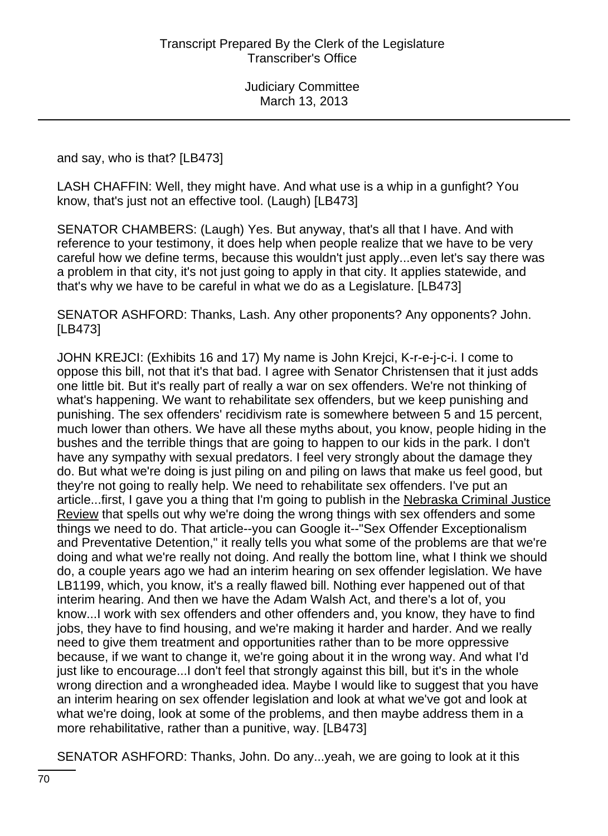and say, who is that? [LB473]

LASH CHAFFIN: Well, they might have. And what use is a whip in a gunfight? You know, that's just not an effective tool. (Laugh) [LB473]

SENATOR CHAMBERS: (Laugh) Yes. But anyway, that's all that I have. And with reference to your testimony, it does help when people realize that we have to be very careful how we define terms, because this wouldn't just apply...even let's say there was a problem in that city, it's not just going to apply in that city. It applies statewide, and that's why we have to be careful in what we do as a Legislature. [LB473]

SENATOR ASHFORD: Thanks, Lash. Any other proponents? Any opponents? John. [LB473]

JOHN KREJCI: (Exhibits 16 and 17) My name is John Krejci, K-r-e-j-c-i. I come to oppose this bill, not that it's that bad. I agree with Senator Christensen that it just adds one little bit. But it's really part of really a war on sex offenders. We're not thinking of what's happening. We want to rehabilitate sex offenders, but we keep punishing and punishing. The sex offenders' recidivism rate is somewhere between 5 and 15 percent, much lower than others. We have all these myths about, you know, people hiding in the bushes and the terrible things that are going to happen to our kids in the park. I don't have any sympathy with sexual predators. I feel very strongly about the damage they do. But what we're doing is just piling on and piling on laws that make us feel good, but they're not going to really help. We need to rehabilitate sex offenders. I've put an article...first, I gave you a thing that I'm going to publish in the Nebraska Criminal Justice Review that spells out why we're doing the wrong things with sex offenders and some things we need to do. That article--you can Google it--"Sex Offender Exceptionalism and Preventative Detention," it really tells you what some of the problems are that we're doing and what we're really not doing. And really the bottom line, what I think we should do, a couple years ago we had an interim hearing on sex offender legislation. We have LB1199, which, you know, it's a really flawed bill. Nothing ever happened out of that interim hearing. And then we have the Adam Walsh Act, and there's a lot of, you know...I work with sex offenders and other offenders and, you know, they have to find jobs, they have to find housing, and we're making it harder and harder. And we really need to give them treatment and opportunities rather than to be more oppressive because, if we want to change it, we're going about it in the wrong way. And what I'd just like to encourage...I don't feel that strongly against this bill, but it's in the whole wrong direction and a wrongheaded idea. Maybe I would like to suggest that you have an interim hearing on sex offender legislation and look at what we've got and look at what we're doing, look at some of the problems, and then maybe address them in a more rehabilitative, rather than a punitive, way. [LB473]

SENATOR ASHFORD: Thanks, John. Do any...yeah, we are going to look at it this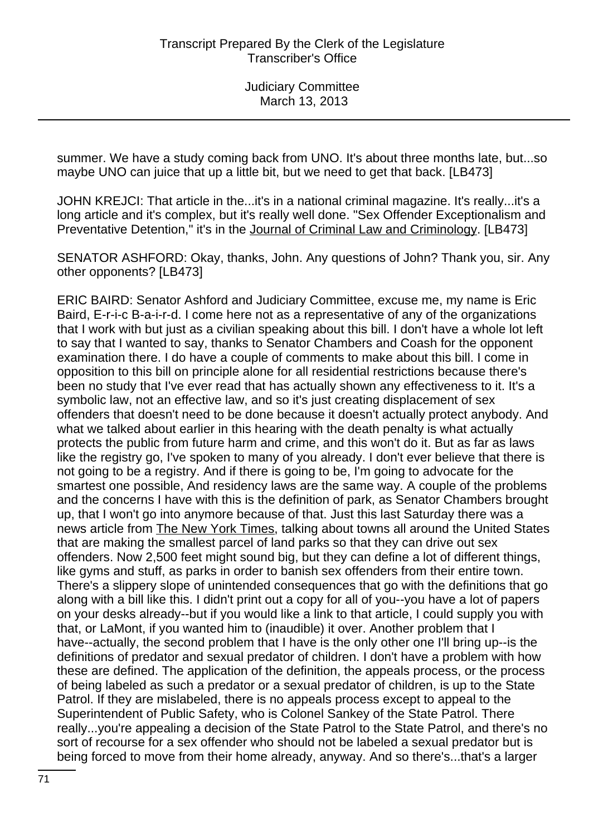summer. We have a study coming back from UNO. It's about three months late, but...so maybe UNO can juice that up a little bit, but we need to get that back. [LB473]

JOHN KREJCI: That article in the...it's in a national criminal magazine. It's really...it's a long article and it's complex, but it's really well done. "Sex Offender Exceptionalism and Preventative Detention," it's in the Journal of Criminal Law and Criminology. [LB473]

SENATOR ASHFORD: Okay, thanks, John. Any questions of John? Thank you, sir. Any other opponents? [LB473]

ERIC BAIRD: Senator Ashford and Judiciary Committee, excuse me, my name is Eric Baird, E-r-i-c B-a-i-r-d. I come here not as a representative of any of the organizations that I work with but just as a civilian speaking about this bill. I don't have a whole lot left to say that I wanted to say, thanks to Senator Chambers and Coash for the opponent examination there. I do have a couple of comments to make about this bill. I come in opposition to this bill on principle alone for all residential restrictions because there's been no study that I've ever read that has actually shown any effectiveness to it. It's a symbolic law, not an effective law, and so it's just creating displacement of sex offenders that doesn't need to be done because it doesn't actually protect anybody. And what we talked about earlier in this hearing with the death penalty is what actually protects the public from future harm and crime, and this won't do it. But as far as laws like the registry go, I've spoken to many of you already. I don't ever believe that there is not going to be a registry. And if there is going to be, I'm going to advocate for the smartest one possible, And residency laws are the same way. A couple of the problems and the concerns I have with this is the definition of park, as Senator Chambers brought up, that I won't go into anymore because of that. Just this last Saturday there was a news article from The New York Times, talking about towns all around the United States that are making the smallest parcel of land parks so that they can drive out sex offenders. Now 2,500 feet might sound big, but they can define a lot of different things, like gyms and stuff, as parks in order to banish sex offenders from their entire town. There's a slippery slope of unintended consequences that go with the definitions that go along with a bill like this. I didn't print out a copy for all of you--you have a lot of papers on your desks already--but if you would like a link to that article, I could supply you with that, or LaMont, if you wanted him to (inaudible) it over. Another problem that I have--actually, the second problem that I have is the only other one I'll bring up--is the definitions of predator and sexual predator of children. I don't have a problem with how these are defined. The application of the definition, the appeals process, or the process of being labeled as such a predator or a sexual predator of children, is up to the State Patrol. If they are mislabeled, there is no appeals process except to appeal to the Superintendent of Public Safety, who is Colonel Sankey of the State Patrol. There really...you're appealing a decision of the State Patrol to the State Patrol, and there's no sort of recourse for a sex offender who should not be labeled a sexual predator but is being forced to move from their home already, anyway. And so there's...that's a larger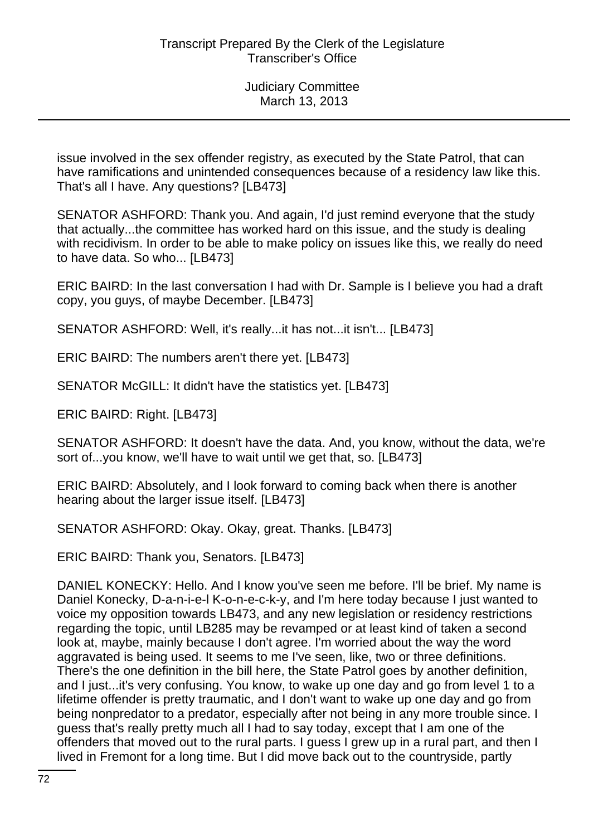issue involved in the sex offender registry, as executed by the State Patrol, that can have ramifications and unintended consequences because of a residency law like this. That's all I have. Any questions? [LB473]

SENATOR ASHFORD: Thank you. And again, I'd just remind everyone that the study that actually...the committee has worked hard on this issue, and the study is dealing with recidivism. In order to be able to make policy on issues like this, we really do need to have data. So who... [LB473]

ERIC BAIRD: In the last conversation I had with Dr. Sample is I believe you had a draft copy, you guys, of maybe December. [LB473]

SENATOR ASHFORD: Well, it's really...it has not...it isn't... [LB473]

ERIC BAIRD: The numbers aren't there yet. [LB473]

SENATOR McGILL: It didn't have the statistics yet. [LB473]

ERIC BAIRD: Right. [LB473]

SENATOR ASHFORD: It doesn't have the data. And, you know, without the data, we're sort of...you know, we'll have to wait until we get that, so. [LB473]

ERIC BAIRD: Absolutely, and I look forward to coming back when there is another hearing about the larger issue itself. [LB473]

SENATOR ASHFORD: Okay. Okay, great. Thanks. [LB473]

ERIC BAIRD: Thank you, Senators. [LB473]

DANIEL KONECKY: Hello. And I know you've seen me before. I'll be brief. My name is Daniel Konecky, D-a-n-i-e-l K-o-n-e-c-k-y, and I'm here today because I just wanted to voice my opposition towards LB473, and any new legislation or residency restrictions regarding the topic, until LB285 may be revamped or at least kind of taken a second look at, maybe, mainly because I don't agree. I'm worried about the way the word aggravated is being used. It seems to me I've seen, like, two or three definitions. There's the one definition in the bill here, the State Patrol goes by another definition, and I just...it's very confusing. You know, to wake up one day and go from level 1 to a lifetime offender is pretty traumatic, and I don't want to wake up one day and go from being nonpredator to a predator, especially after not being in any more trouble since. I guess that's really pretty much all I had to say today, except that I am one of the offenders that moved out to the rural parts. I guess I grew up in a rural part, and then I lived in Fremont for a long time. But I did move back out to the countryside, partly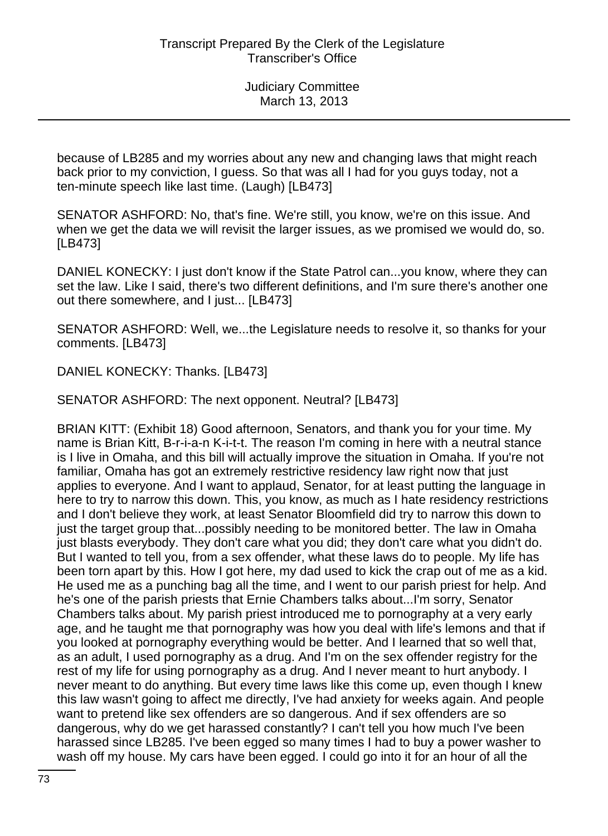because of LB285 and my worries about any new and changing laws that might reach back prior to my conviction, I guess. So that was all I had for you guys today, not a ten-minute speech like last time. (Laugh) [LB473]

SENATOR ASHFORD: No, that's fine. We're still, you know, we're on this issue. And when we get the data we will revisit the larger issues, as we promised we would do, so. [LB473]

DANIEL KONECKY: I just don't know if the State Patrol can...you know, where they can set the law. Like I said, there's two different definitions, and I'm sure there's another one out there somewhere, and I just... [LB473]

SENATOR ASHFORD: Well, we...the Legislature needs to resolve it, so thanks for your comments. [LB473]

DANIEL KONECKY: Thanks. [LB473]

SENATOR ASHFORD: The next opponent. Neutral? [LB473]

BRIAN KITT: (Exhibit 18) Good afternoon, Senators, and thank you for your time. My name is Brian Kitt, B-r-i-a-n K-i-t-t. The reason I'm coming in here with a neutral stance is I live in Omaha, and this bill will actually improve the situation in Omaha. If you're not familiar, Omaha has got an extremely restrictive residency law right now that just applies to everyone. And I want to applaud, Senator, for at least putting the language in here to try to narrow this down. This, you know, as much as I hate residency restrictions and I don't believe they work, at least Senator Bloomfield did try to narrow this down to just the target group that...possibly needing to be monitored better. The law in Omaha just blasts everybody. They don't care what you did; they don't care what you didn't do. But I wanted to tell you, from a sex offender, what these laws do to people. My life has been torn apart by this. How I got here, my dad used to kick the crap out of me as a kid. He used me as a punching bag all the time, and I went to our parish priest for help. And he's one of the parish priests that Ernie Chambers talks about...I'm sorry, Senator Chambers talks about. My parish priest introduced me to pornography at a very early age, and he taught me that pornography was how you deal with life's lemons and that if you looked at pornography everything would be better. And I learned that so well that, as an adult, I used pornography as a drug. And I'm on the sex offender registry for the rest of my life for using pornography as a drug. And I never meant to hurt anybody. I never meant to do anything. But every time laws like this come up, even though I knew this law wasn't going to affect me directly, I've had anxiety for weeks again. And people want to pretend like sex offenders are so dangerous. And if sex offenders are so dangerous, why do we get harassed constantly? I can't tell you how much I've been harassed since LB285. I've been egged so many times I had to buy a power washer to wash off my house. My cars have been egged. I could go into it for an hour of all the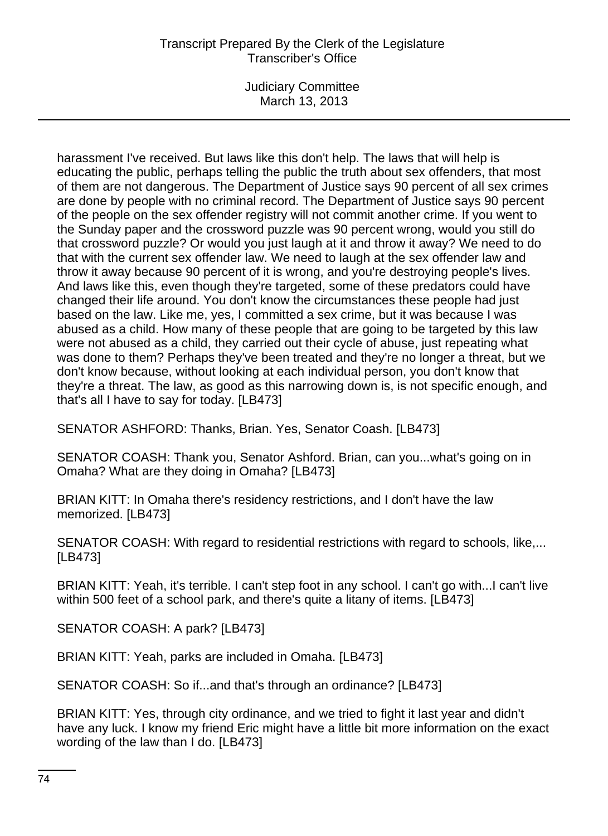Judiciary Committee March 13, 2013

harassment I've received. But laws like this don't help. The laws that will help is educating the public, perhaps telling the public the truth about sex offenders, that most of them are not dangerous. The Department of Justice says 90 percent of all sex crimes are done by people with no criminal record. The Department of Justice says 90 percent of the people on the sex offender registry will not commit another crime. If you went to the Sunday paper and the crossword puzzle was 90 percent wrong, would you still do that crossword puzzle? Or would you just laugh at it and throw it away? We need to do that with the current sex offender law. We need to laugh at the sex offender law and throw it away because 90 percent of it is wrong, and you're destroying people's lives. And laws like this, even though they're targeted, some of these predators could have changed their life around. You don't know the circumstances these people had just based on the law. Like me, yes, I committed a sex crime, but it was because I was abused as a child. How many of these people that are going to be targeted by this law were not abused as a child, they carried out their cycle of abuse, just repeating what was done to them? Perhaps they've been treated and they're no longer a threat, but we don't know because, without looking at each individual person, you don't know that they're a threat. The law, as good as this narrowing down is, is not specific enough, and that's all I have to say for today. [LB473]

SENATOR ASHFORD: Thanks, Brian. Yes, Senator Coash. [LB473]

SENATOR COASH: Thank you, Senator Ashford. Brian, can you...what's going on in Omaha? What are they doing in Omaha? [LB473]

BRIAN KITT: In Omaha there's residency restrictions, and I don't have the law memorized. [LB473]

SENATOR COASH: With regard to residential restrictions with regard to schools, like,... [LB473]

BRIAN KITT: Yeah, it's terrible. I can't step foot in any school. I can't go with...I can't live within 500 feet of a school park, and there's quite a litany of items. [LB473]

SENATOR COASH: A park? [LB473]

BRIAN KITT: Yeah, parks are included in Omaha. [LB473]

SENATOR COASH: So if...and that's through an ordinance? [LB473]

BRIAN KITT: Yes, through city ordinance, and we tried to fight it last year and didn't have any luck. I know my friend Eric might have a little bit more information on the exact wording of the law than I do. [LB473]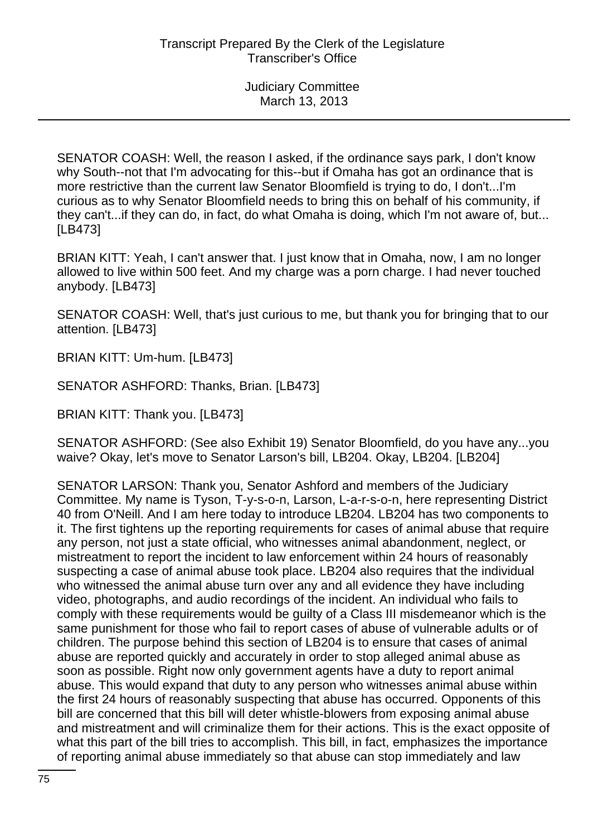SENATOR COASH: Well, the reason I asked, if the ordinance says park, I don't know why South--not that I'm advocating for this--but if Omaha has got an ordinance that is more restrictive than the current law Senator Bloomfield is trying to do, I don't...I'm curious as to why Senator Bloomfield needs to bring this on behalf of his community, if they can't...if they can do, in fact, do what Omaha is doing, which I'm not aware of, but... [LB473]

BRIAN KITT: Yeah, I can't answer that. I just know that in Omaha, now, I am no longer allowed to live within 500 feet. And my charge was a porn charge. I had never touched anybody. [LB473]

SENATOR COASH: Well, that's just curious to me, but thank you for bringing that to our attention. [LB473]

BRIAN KITT: Um-hum. [LB473]

SENATOR ASHFORD: Thanks, Brian. [LB473]

BRIAN KITT: Thank you. [LB473]

SENATOR ASHFORD: (See also Exhibit 19) Senator Bloomfield, do you have any...you waive? Okay, let's move to Senator Larson's bill, LB204. Okay, LB204. [LB204]

SENATOR LARSON: Thank you, Senator Ashford and members of the Judiciary Committee. My name is Tyson, T-y-s-o-n, Larson, L-a-r-s-o-n, here representing District 40 from O'Neill. And I am here today to introduce LB204. LB204 has two components to it. The first tightens up the reporting requirements for cases of animal abuse that require any person, not just a state official, who witnesses animal abandonment, neglect, or mistreatment to report the incident to law enforcement within 24 hours of reasonably suspecting a case of animal abuse took place. LB204 also requires that the individual who witnessed the animal abuse turn over any and all evidence they have including video, photographs, and audio recordings of the incident. An individual who fails to comply with these requirements would be guilty of a Class III misdemeanor which is the same punishment for those who fail to report cases of abuse of vulnerable adults or of children. The purpose behind this section of LB204 is to ensure that cases of animal abuse are reported quickly and accurately in order to stop alleged animal abuse as soon as possible. Right now only government agents have a duty to report animal abuse. This would expand that duty to any person who witnesses animal abuse within the first 24 hours of reasonably suspecting that abuse has occurred. Opponents of this bill are concerned that this bill will deter whistle-blowers from exposing animal abuse and mistreatment and will criminalize them for their actions. This is the exact opposite of what this part of the bill tries to accomplish. This bill, in fact, emphasizes the importance of reporting animal abuse immediately so that abuse can stop immediately and law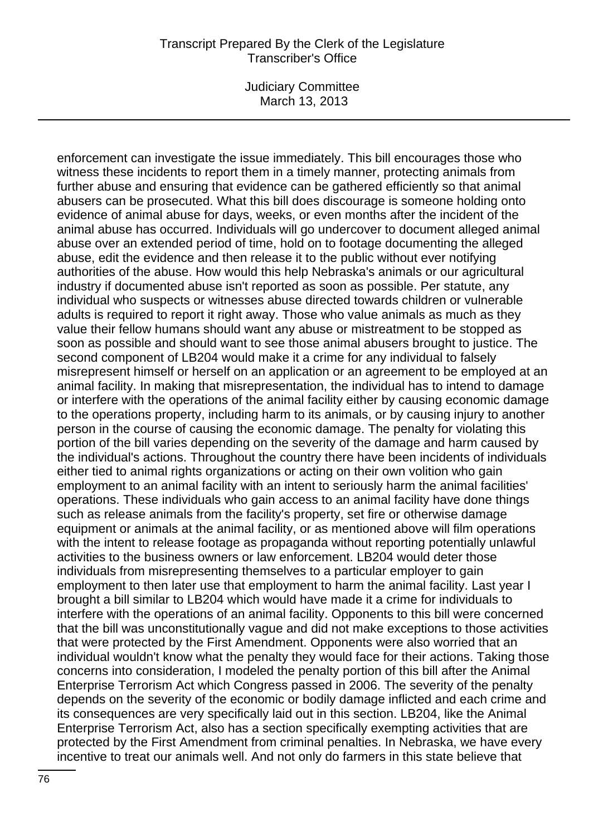Judiciary Committee March 13, 2013

enforcement can investigate the issue immediately. This bill encourages those who witness these incidents to report them in a timely manner, protecting animals from further abuse and ensuring that evidence can be gathered efficiently so that animal abusers can be prosecuted. What this bill does discourage is someone holding onto evidence of animal abuse for days, weeks, or even months after the incident of the animal abuse has occurred. Individuals will go undercover to document alleged animal abuse over an extended period of time, hold on to footage documenting the alleged abuse, edit the evidence and then release it to the public without ever notifying authorities of the abuse. How would this help Nebraska's animals or our agricultural industry if documented abuse isn't reported as soon as possible. Per statute, any individual who suspects or witnesses abuse directed towards children or vulnerable adults is required to report it right away. Those who value animals as much as they value their fellow humans should want any abuse or mistreatment to be stopped as soon as possible and should want to see those animal abusers brought to justice. The second component of LB204 would make it a crime for any individual to falsely misrepresent himself or herself on an application or an agreement to be employed at an animal facility. In making that misrepresentation, the individual has to intend to damage or interfere with the operations of the animal facility either by causing economic damage to the operations property, including harm to its animals, or by causing injury to another person in the course of causing the economic damage. The penalty for violating this portion of the bill varies depending on the severity of the damage and harm caused by the individual's actions. Throughout the country there have been incidents of individuals either tied to animal rights organizations or acting on their own volition who gain employment to an animal facility with an intent to seriously harm the animal facilities' operations. These individuals who gain access to an animal facility have done things such as release animals from the facility's property, set fire or otherwise damage equipment or animals at the animal facility, or as mentioned above will film operations with the intent to release footage as propaganda without reporting potentially unlawful activities to the business owners or law enforcement. LB204 would deter those individuals from misrepresenting themselves to a particular employer to gain employment to then later use that employment to harm the animal facility. Last year I brought a bill similar to LB204 which would have made it a crime for individuals to interfere with the operations of an animal facility. Opponents to this bill were concerned that the bill was unconstitutionally vague and did not make exceptions to those activities that were protected by the First Amendment. Opponents were also worried that an individual wouldn't know what the penalty they would face for their actions. Taking those concerns into consideration, I modeled the penalty portion of this bill after the Animal Enterprise Terrorism Act which Congress passed in 2006. The severity of the penalty depends on the severity of the economic or bodily damage inflicted and each crime and its consequences are very specifically laid out in this section. LB204, like the Animal Enterprise Terrorism Act, also has a section specifically exempting activities that are protected by the First Amendment from criminal penalties. In Nebraska, we have every incentive to treat our animals well. And not only do farmers in this state believe that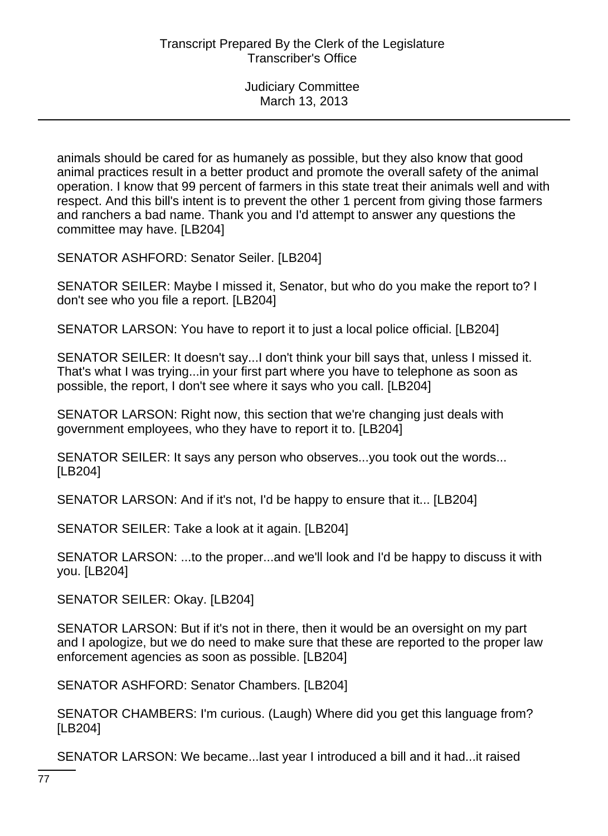animals should be cared for as humanely as possible, but they also know that good animal practices result in a better product and promote the overall safety of the animal operation. I know that 99 percent of farmers in this state treat their animals well and with respect. And this bill's intent is to prevent the other 1 percent from giving those farmers and ranchers a bad name. Thank you and I'd attempt to answer any questions the committee may have. [LB204]

SENATOR ASHFORD: Senator Seiler. [LB204]

SENATOR SEILER: Maybe I missed it, Senator, but who do you make the report to? I don't see who you file a report. [LB204]

SENATOR LARSON: You have to report it to just a local police official. [LB204]

SENATOR SEILER: It doesn't say...I don't think your bill says that, unless I missed it. That's what I was trying...in your first part where you have to telephone as soon as possible, the report, I don't see where it says who you call. [LB204]

SENATOR LARSON: Right now, this section that we're changing just deals with government employees, who they have to report it to. [LB204]

SENATOR SEILER: It says any person who observes...you took out the words... [LB204]

SENATOR LARSON: And if it's not, I'd be happy to ensure that it... [LB204]

SENATOR SEILER: Take a look at it again. [LB204]

SENATOR LARSON: ...to the proper...and we'll look and I'd be happy to discuss it with you. [LB204]

SENATOR SEILER: Okay. [LB204]

SENATOR LARSON: But if it's not in there, then it would be an oversight on my part and I apologize, but we do need to make sure that these are reported to the proper law enforcement agencies as soon as possible. [LB204]

SENATOR ASHFORD: Senator Chambers. [LB204]

SENATOR CHAMBERS: I'm curious. (Laugh) Where did you get this language from? [LB204]

SENATOR LARSON: We became...last year I introduced a bill and it had...it raised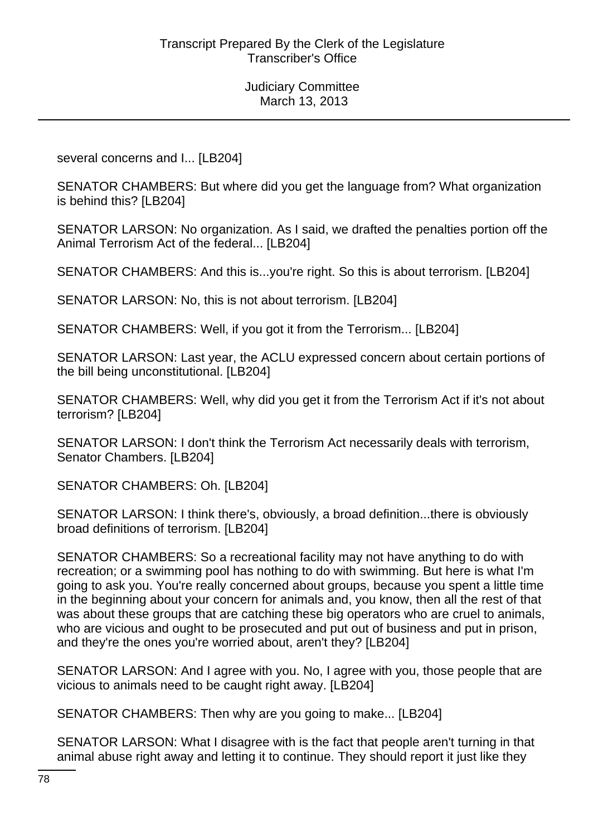several concerns and I... [LB204]

SENATOR CHAMBERS: But where did you get the language from? What organization is behind this? [LB204]

SENATOR LARSON: No organization. As I said, we drafted the penalties portion off the Animal Terrorism Act of the federal... [LB204]

SENATOR CHAMBERS: And this is...you're right. So this is about terrorism. [LB204]

SENATOR LARSON: No, this is not about terrorism. [LB204]

SENATOR CHAMBERS: Well, if you got it from the Terrorism... [LB204]

SENATOR LARSON: Last year, the ACLU expressed concern about certain portions of the bill being unconstitutional. [LB204]

SENATOR CHAMBERS: Well, why did you get it from the Terrorism Act if it's not about terrorism? [LB204]

SENATOR LARSON: I don't think the Terrorism Act necessarily deals with terrorism, Senator Chambers. [LB204]

SENATOR CHAMBERS: Oh. [LB204]

SENATOR LARSON: I think there's, obviously, a broad definition...there is obviously broad definitions of terrorism. [LB204]

SENATOR CHAMBERS: So a recreational facility may not have anything to do with recreation; or a swimming pool has nothing to do with swimming. But here is what I'm going to ask you. You're really concerned about groups, because you spent a little time in the beginning about your concern for animals and, you know, then all the rest of that was about these groups that are catching these big operators who are cruel to animals, who are vicious and ought to be prosecuted and put out of business and put in prison, and they're the ones you're worried about, aren't they? [LB204]

SENATOR LARSON: And I agree with you. No, I agree with you, those people that are vicious to animals need to be caught right away. [LB204]

SENATOR CHAMBERS: Then why are you going to make... [LB204]

SENATOR LARSON: What I disagree with is the fact that people aren't turning in that animal abuse right away and letting it to continue. They should report it just like they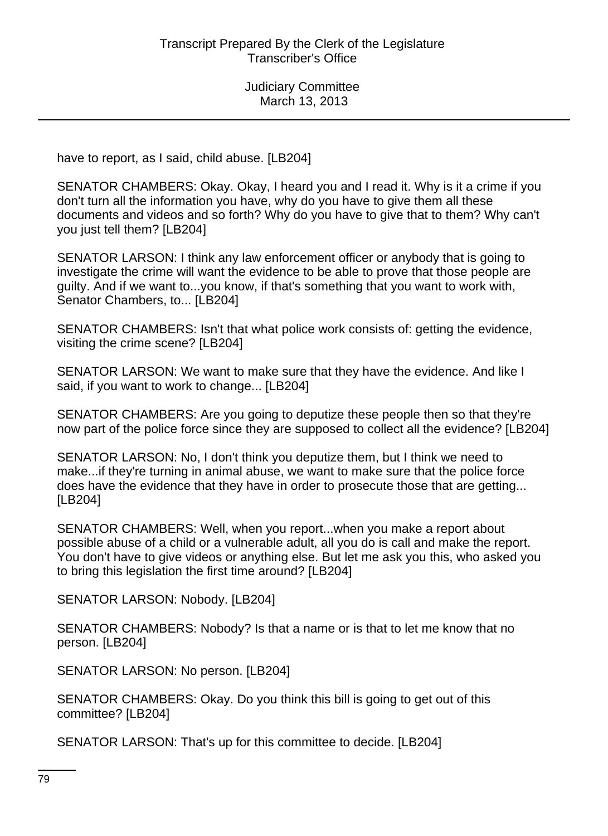have to report, as I said, child abuse. [LB204]

SENATOR CHAMBERS: Okay. Okay, I heard you and I read it. Why is it a crime if you don't turn all the information you have, why do you have to give them all these documents and videos and so forth? Why do you have to give that to them? Why can't you just tell them? [LB204]

SENATOR LARSON: I think any law enforcement officer or anybody that is going to investigate the crime will want the evidence to be able to prove that those people are guilty. And if we want to...you know, if that's something that you want to work with, Senator Chambers, to... [LB204]

SENATOR CHAMBERS: Isn't that what police work consists of: getting the evidence, visiting the crime scene? [LB204]

SENATOR LARSON: We want to make sure that they have the evidence. And like I said, if you want to work to change... [LB204]

SENATOR CHAMBERS: Are you going to deputize these people then so that they're now part of the police force since they are supposed to collect all the evidence? [LB204]

SENATOR LARSON: No, I don't think you deputize them, but I think we need to make...if they're turning in animal abuse, we want to make sure that the police force does have the evidence that they have in order to prosecute those that are getting... [LB204]

SENATOR CHAMBERS: Well, when you report...when you make a report about possible abuse of a child or a vulnerable adult, all you do is call and make the report. You don't have to give videos or anything else. But let me ask you this, who asked you to bring this legislation the first time around? [LB204]

SENATOR LARSON: Nobody. [LB204]

SENATOR CHAMBERS: Nobody? Is that a name or is that to let me know that no person. [LB204]

SENATOR LARSON: No person. [LB204]

SENATOR CHAMBERS: Okay. Do you think this bill is going to get out of this committee? [LB204]

SENATOR LARSON: That's up for this committee to decide. [LB204]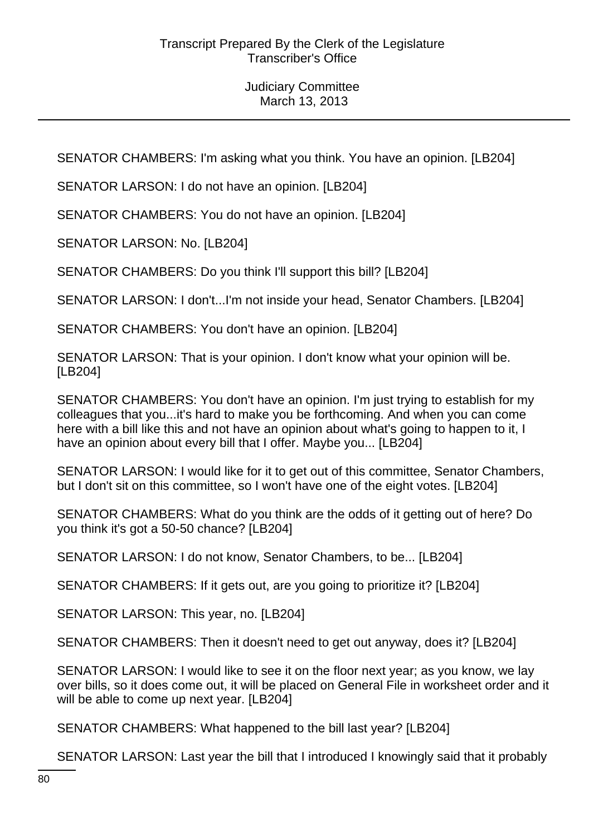SENATOR CHAMBERS: I'm asking what you think. You have an opinion. [LB204]

SENATOR LARSON: I do not have an opinion. [LB204]

SENATOR CHAMBERS: You do not have an opinion. [LB204]

SENATOR LARSON: No. [LB204]

SENATOR CHAMBERS: Do you think I'll support this bill? [LB204]

SENATOR LARSON: I don't...I'm not inside your head, Senator Chambers. [LB204]

SENATOR CHAMBERS: You don't have an opinion. [LB204]

SENATOR LARSON: That is your opinion. I don't know what your opinion will be. [LB204]

SENATOR CHAMBERS: You don't have an opinion. I'm just trying to establish for my colleagues that you...it's hard to make you be forthcoming. And when you can come here with a bill like this and not have an opinion about what's going to happen to it, I have an opinion about every bill that I offer. Maybe you... [LB204]

SENATOR LARSON: I would like for it to get out of this committee, Senator Chambers, but I don't sit on this committee, so I won't have one of the eight votes. [LB204]

SENATOR CHAMBERS: What do you think are the odds of it getting out of here? Do you think it's got a 50-50 chance? [LB204]

SENATOR LARSON: I do not know, Senator Chambers, to be... [LB204]

SENATOR CHAMBERS: If it gets out, are you going to prioritize it? [LB204]

SENATOR LARSON: This year, no. [LB204]

SENATOR CHAMBERS: Then it doesn't need to get out anyway, does it? [LB204]

SENATOR LARSON: I would like to see it on the floor next year; as you know, we lay over bills, so it does come out, it will be placed on General File in worksheet order and it will be able to come up next year. [LB204]

SENATOR CHAMBERS: What happened to the bill last year? [LB204]

SENATOR LARSON: Last year the bill that I introduced I knowingly said that it probably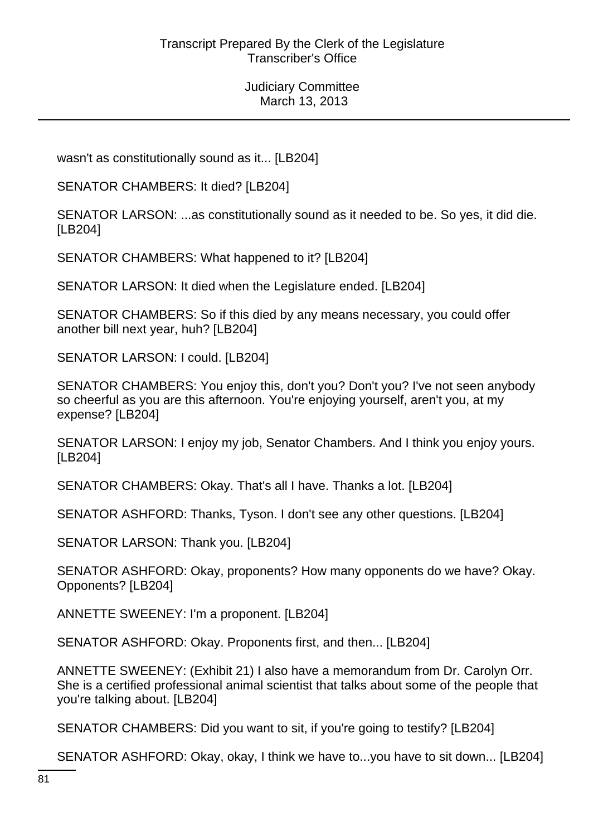wasn't as constitutionally sound as it... [LB204]

SENATOR CHAMBERS: It died? [LB204]

SENATOR LARSON: ...as constitutionally sound as it needed to be. So yes, it did die. [LB204]

SENATOR CHAMBERS: What happened to it? [LB204]

SENATOR LARSON: It died when the Legislature ended. [LB204]

SENATOR CHAMBERS: So if this died by any means necessary, you could offer another bill next year, huh? [LB204]

SENATOR LARSON: I could. [LB204]

SENATOR CHAMBERS: You enjoy this, don't you? Don't you? I've not seen anybody so cheerful as you are this afternoon. You're enjoying yourself, aren't you, at my expense? [LB204]

SENATOR LARSON: I enjoy my job, Senator Chambers. And I think you enjoy yours. [LB204]

SENATOR CHAMBERS: Okay. That's all I have. Thanks a lot. [LB204]

SENATOR ASHFORD: Thanks, Tyson. I don't see any other questions. [LB204]

SENATOR LARSON: Thank you. [LB204]

SENATOR ASHFORD: Okay, proponents? How many opponents do we have? Okay. Opponents? [LB204]

ANNETTE SWEENEY: I'm a proponent. [LB204]

SENATOR ASHFORD: Okay. Proponents first, and then... [LB204]

ANNETTE SWEENEY: (Exhibit 21) I also have a memorandum from Dr. Carolyn Orr. She is a certified professional animal scientist that talks about some of the people that you're talking about. [LB204]

SENATOR CHAMBERS: Did you want to sit, if you're going to testify? [LB204]

SENATOR ASHFORD: Okay, okay, I think we have to...you have to sit down... [LB204]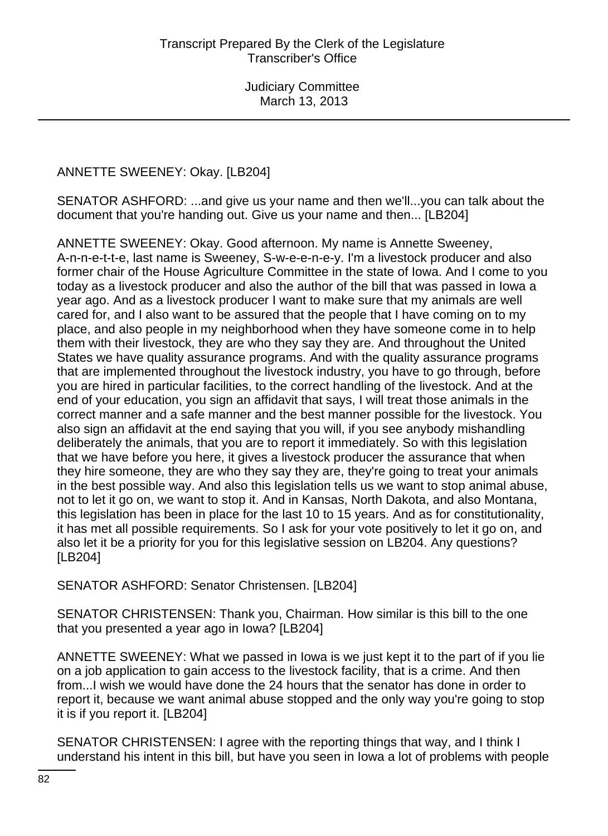ANNETTE SWEENEY: Okay. [LB204]

SENATOR ASHFORD: ...and give us your name and then we'll...you can talk about the document that you're handing out. Give us your name and then... [LB204]

ANNETTE SWEENEY: Okay. Good afternoon. My name is Annette Sweeney, A-n-n-e-t-t-e, last name is Sweeney, S-w-e-e-n-e-y. I'm a livestock producer and also former chair of the House Agriculture Committee in the state of Iowa. And I come to you today as a livestock producer and also the author of the bill that was passed in Iowa a year ago. And as a livestock producer I want to make sure that my animals are well cared for, and I also want to be assured that the people that I have coming on to my place, and also people in my neighborhood when they have someone come in to help them with their livestock, they are who they say they are. And throughout the United States we have quality assurance programs. And with the quality assurance programs that are implemented throughout the livestock industry, you have to go through, before you are hired in particular facilities, to the correct handling of the livestock. And at the end of your education, you sign an affidavit that says, I will treat those animals in the correct manner and a safe manner and the best manner possible for the livestock. You also sign an affidavit at the end saying that you will, if you see anybody mishandling deliberately the animals, that you are to report it immediately. So with this legislation that we have before you here, it gives a livestock producer the assurance that when they hire someone, they are who they say they are, they're going to treat your animals in the best possible way. And also this legislation tells us we want to stop animal abuse, not to let it go on, we want to stop it. And in Kansas, North Dakota, and also Montana, this legislation has been in place for the last 10 to 15 years. And as for constitutionality, it has met all possible requirements. So I ask for your vote positively to let it go on, and also let it be a priority for you for this legislative session on LB204. Any questions? [LB204]

SENATOR ASHFORD: Senator Christensen. [LB204]

SENATOR CHRISTENSEN: Thank you, Chairman. How similar is this bill to the one that you presented a year ago in Iowa? [LB204]

ANNETTE SWEENEY: What we passed in Iowa is we just kept it to the part of if you lie on a job application to gain access to the livestock facility, that is a crime. And then from...I wish we would have done the 24 hours that the senator has done in order to report it, because we want animal abuse stopped and the only way you're going to stop it is if you report it. [LB204]

SENATOR CHRISTENSEN: I agree with the reporting things that way, and I think I understand his intent in this bill, but have you seen in Iowa a lot of problems with people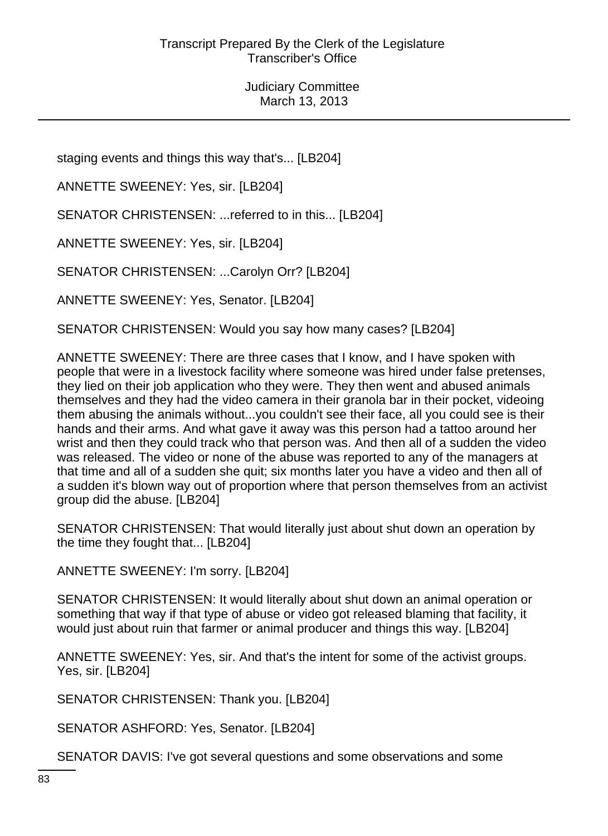staging events and things this way that's... [LB204]

ANNETTE SWEENEY: Yes, sir. [LB204]

SENATOR CHRISTENSEN: ...referred to in this... [LB204]

ANNETTE SWEENEY: Yes, sir. [LB204]

SENATOR CHRISTENSEN: ...Carolyn Orr? [LB204]

ANNETTE SWEENEY: Yes, Senator. [LB204]

SENATOR CHRISTENSEN: Would you say how many cases? [LB204]

ANNETTE SWEENEY: There are three cases that I know, and I have spoken with people that were in a livestock facility where someone was hired under false pretenses, they lied on their job application who they were. They then went and abused animals themselves and they had the video camera in their granola bar in their pocket, videoing them abusing the animals without...you couldn't see their face, all you could see is their hands and their arms. And what gave it away was this person had a tattoo around her wrist and then they could track who that person was. And then all of a sudden the video was released. The video or none of the abuse was reported to any of the managers at that time and all of a sudden she quit; six months later you have a video and then all of a sudden it's blown way out of proportion where that person themselves from an activist group did the abuse. [LB204]

SENATOR CHRISTENSEN: That would literally just about shut down an operation by the time they fought that... [LB204]

ANNETTE SWEENEY: I'm sorry. [LB204]

SENATOR CHRISTENSEN: It would literally about shut down an animal operation or something that way if that type of abuse or video got released blaming that facility, it would just about ruin that farmer or animal producer and things this way. [LB204]

ANNETTE SWEENEY: Yes, sir. And that's the intent for some of the activist groups. Yes, sir. [LB204]

SENATOR CHRISTENSEN: Thank you. [LB204]

SENATOR ASHFORD: Yes, Senator. [LB204]

SENATOR DAVIS: I've got several questions and some observations and some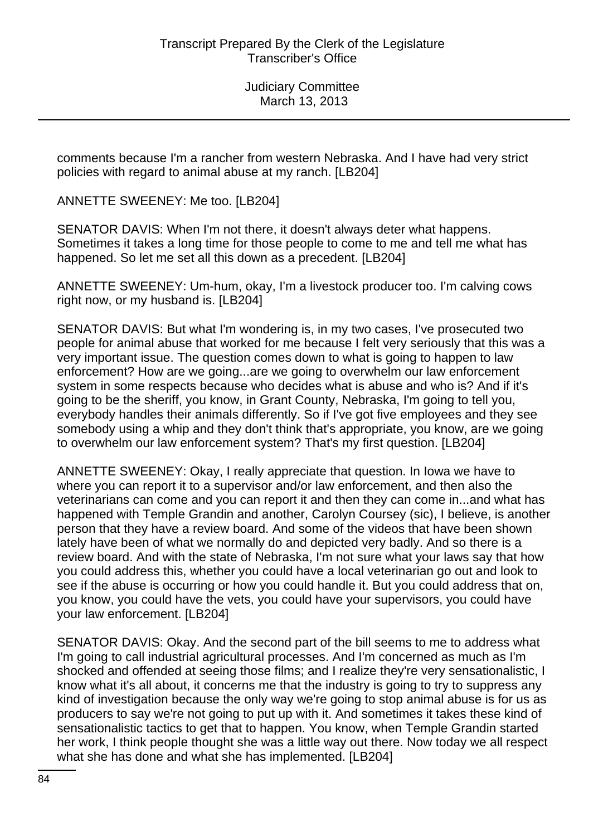comments because I'm a rancher from western Nebraska. And I have had very strict policies with regard to animal abuse at my ranch. [LB204]

ANNETTE SWEENEY: Me too. [LB204]

SENATOR DAVIS: When I'm not there, it doesn't always deter what happens. Sometimes it takes a long time for those people to come to me and tell me what has happened. So let me set all this down as a precedent. [LB204]

ANNETTE SWEENEY: Um-hum, okay, I'm a livestock producer too. I'm calving cows right now, or my husband is. [LB204]

SENATOR DAVIS: But what I'm wondering is, in my two cases, I've prosecuted two people for animal abuse that worked for me because I felt very seriously that this was a very important issue. The question comes down to what is going to happen to law enforcement? How are we going...are we going to overwhelm our law enforcement system in some respects because who decides what is abuse and who is? And if it's going to be the sheriff, you know, in Grant County, Nebraska, I'm going to tell you, everybody handles their animals differently. So if I've got five employees and they see somebody using a whip and they don't think that's appropriate, you know, are we going to overwhelm our law enforcement system? That's my first question. [LB204]

ANNETTE SWEENEY: Okay, I really appreciate that question. In Iowa we have to where you can report it to a supervisor and/or law enforcement, and then also the veterinarians can come and you can report it and then they can come in...and what has happened with Temple Grandin and another, Carolyn Coursey (sic), I believe, is another person that they have a review board. And some of the videos that have been shown lately have been of what we normally do and depicted very badly. And so there is a review board. And with the state of Nebraska, I'm not sure what your laws say that how you could address this, whether you could have a local veterinarian go out and look to see if the abuse is occurring or how you could handle it. But you could address that on, you know, you could have the vets, you could have your supervisors, you could have your law enforcement. [LB204]

SENATOR DAVIS: Okay. And the second part of the bill seems to me to address what I'm going to call industrial agricultural processes. And I'm concerned as much as I'm shocked and offended at seeing those films; and I realize they're very sensationalistic, I know what it's all about, it concerns me that the industry is going to try to suppress any kind of investigation because the only way we're going to stop animal abuse is for us as producers to say we're not going to put up with it. And sometimes it takes these kind of sensationalistic tactics to get that to happen. You know, when Temple Grandin started her work, I think people thought she was a little way out there. Now today we all respect what she has done and what she has implemented. [LB204]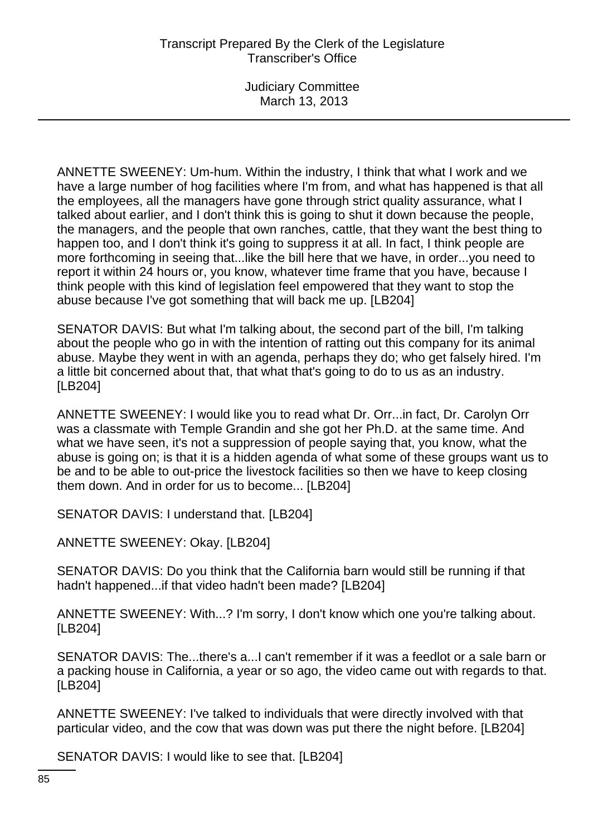Judiciary Committee March 13, 2013

ANNETTE SWEENEY: Um-hum. Within the industry, I think that what I work and we have a large number of hog facilities where I'm from, and what has happened is that all the employees, all the managers have gone through strict quality assurance, what I talked about earlier, and I don't think this is going to shut it down because the people, the managers, and the people that own ranches, cattle, that they want the best thing to happen too, and I don't think it's going to suppress it at all. In fact, I think people are more forthcoming in seeing that...like the bill here that we have, in order...you need to report it within 24 hours or, you know, whatever time frame that you have, because I think people with this kind of legislation feel empowered that they want to stop the abuse because I've got something that will back me up. [LB204]

SENATOR DAVIS: But what I'm talking about, the second part of the bill, I'm talking about the people who go in with the intention of ratting out this company for its animal abuse. Maybe they went in with an agenda, perhaps they do; who get falsely hired. I'm a little bit concerned about that, that what that's going to do to us as an industry. [LB204]

ANNETTE SWEENEY: I would like you to read what Dr. Orr...in fact, Dr. Carolyn Orr was a classmate with Temple Grandin and she got her Ph.D. at the same time. And what we have seen, it's not a suppression of people saying that, you know, what the abuse is going on; is that it is a hidden agenda of what some of these groups want us to be and to be able to out-price the livestock facilities so then we have to keep closing them down. And in order for us to become... [LB204]

SENATOR DAVIS: I understand that. [LB204]

ANNETTE SWEENEY: Okay. [LB204]

SENATOR DAVIS: Do you think that the California barn would still be running if that hadn't happened...if that video hadn't been made? [LB204]

ANNETTE SWEENEY: With...? I'm sorry, I don't know which one you're talking about. [LB204]

SENATOR DAVIS: The...there's a...I can't remember if it was a feedlot or a sale barn or a packing house in California, a year or so ago, the video came out with regards to that. [LB204]

ANNETTE SWEENEY: I've talked to individuals that were directly involved with that particular video, and the cow that was down was put there the night before. [LB204]

SENATOR DAVIS: I would like to see that. [LB204]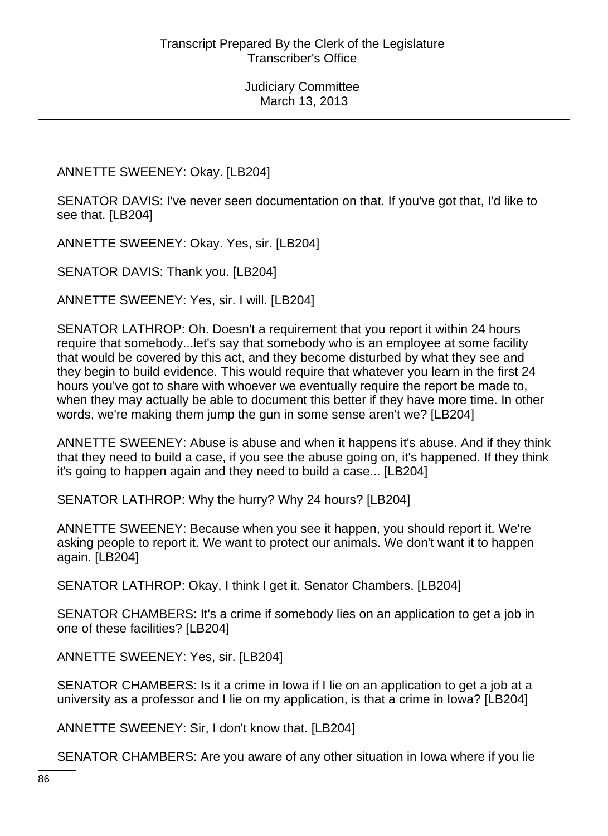ANNETTE SWEENEY: Okay. [LB204]

SENATOR DAVIS: I've never seen documentation on that. If you've got that, I'd like to see that. [LB204]

ANNETTE SWEENEY: Okay. Yes, sir. [LB204]

SENATOR DAVIS: Thank you. [LB204]

ANNETTE SWEENEY: Yes, sir. I will. [LB204]

SENATOR LATHROP: Oh. Doesn't a requirement that you report it within 24 hours require that somebody...let's say that somebody who is an employee at some facility that would be covered by this act, and they become disturbed by what they see and they begin to build evidence. This would require that whatever you learn in the first 24 hours you've got to share with whoever we eventually require the report be made to, when they may actually be able to document this better if they have more time. In other words, we're making them jump the gun in some sense aren't we? [LB204]

ANNETTE SWEENEY: Abuse is abuse and when it happens it's abuse. And if they think that they need to build a case, if you see the abuse going on, it's happened. If they think it's going to happen again and they need to build a case... [LB204]

SENATOR LATHROP: Why the hurry? Why 24 hours? [LB204]

ANNETTE SWEENEY: Because when you see it happen, you should report it. We're asking people to report it. We want to protect our animals. We don't want it to happen again. [LB204]

SENATOR LATHROP: Okay, I think I get it. Senator Chambers. [LB204]

SENATOR CHAMBERS: It's a crime if somebody lies on an application to get a job in one of these facilities? [LB204]

ANNETTE SWEENEY: Yes, sir. [LB204]

SENATOR CHAMBERS: Is it a crime in Iowa if I lie on an application to get a job at a university as a professor and I lie on my application, is that a crime in Iowa? [LB204]

ANNETTE SWEENEY: Sir, I don't know that. [LB204]

SENATOR CHAMBERS: Are you aware of any other situation in Iowa where if you lie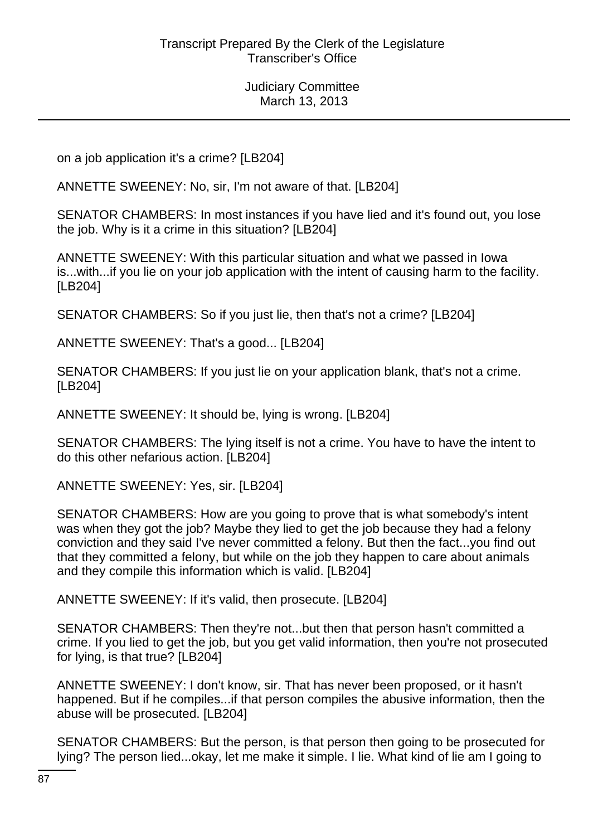on a job application it's a crime? [LB204]

ANNETTE SWEENEY: No, sir, I'm not aware of that. [LB204]

SENATOR CHAMBERS: In most instances if you have lied and it's found out, you lose the job. Why is it a crime in this situation? [LB204]

ANNETTE SWEENEY: With this particular situation and what we passed in Iowa is...with...if you lie on your job application with the intent of causing harm to the facility. [LB204]

SENATOR CHAMBERS: So if you just lie, then that's not a crime? [LB204]

ANNETTE SWEENEY: That's a good... [LB204]

SENATOR CHAMBERS: If you just lie on your application blank, that's not a crime. [LB204]

ANNETTE SWEENEY: It should be, lying is wrong. [LB204]

SENATOR CHAMBERS: The lying itself is not a crime. You have to have the intent to do this other nefarious action. [LB204]

ANNETTE SWEENEY: Yes, sir. [LB204]

SENATOR CHAMBERS: How are you going to prove that is what somebody's intent was when they got the job? Maybe they lied to get the job because they had a felony conviction and they said I've never committed a felony. But then the fact...you find out that they committed a felony, but while on the job they happen to care about animals and they compile this information which is valid. [LB204]

ANNETTE SWEENEY: If it's valid, then prosecute. [LB204]

SENATOR CHAMBERS: Then they're not...but then that person hasn't committed a crime. If you lied to get the job, but you get valid information, then you're not prosecuted for lying, is that true? [LB204]

ANNETTE SWEENEY: I don't know, sir. That has never been proposed, or it hasn't happened. But if he compiles...if that person compiles the abusive information, then the abuse will be prosecuted. [LB204]

SENATOR CHAMBERS: But the person, is that person then going to be prosecuted for lying? The person lied...okay, let me make it simple. I lie. What kind of lie am I going to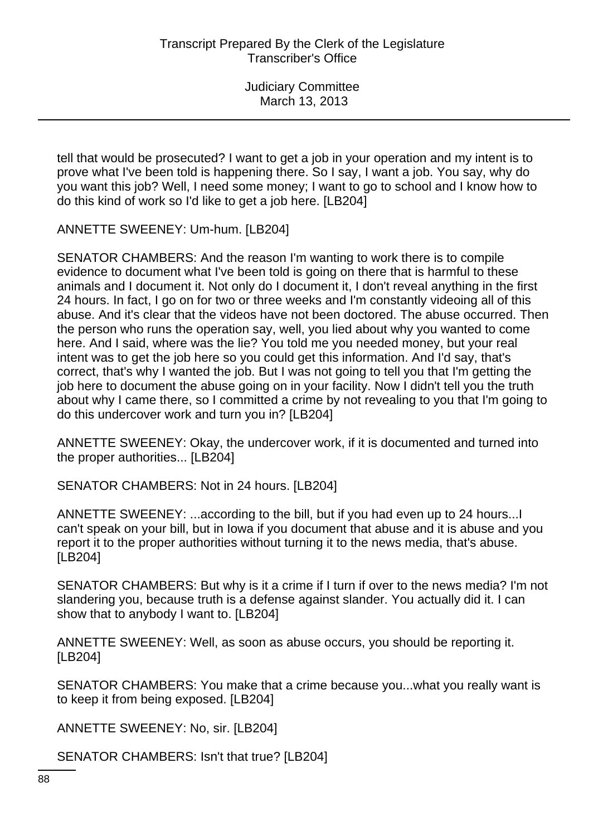tell that would be prosecuted? I want to get a job in your operation and my intent is to prove what I've been told is happening there. So I say, I want a job. You say, why do you want this job? Well, I need some money; I want to go to school and I know how to do this kind of work so I'd like to get a job here. [LB204]

ANNETTE SWEENEY: Um-hum. [LB204]

SENATOR CHAMBERS: And the reason I'm wanting to work there is to compile evidence to document what I've been told is going on there that is harmful to these animals and I document it. Not only do I document it, I don't reveal anything in the first 24 hours. In fact, I go on for two or three weeks and I'm constantly videoing all of this abuse. And it's clear that the videos have not been doctored. The abuse occurred. Then the person who runs the operation say, well, you lied about why you wanted to come here. And I said, where was the lie? You told me you needed money, but your real intent was to get the job here so you could get this information. And I'd say, that's correct, that's why I wanted the job. But I was not going to tell you that I'm getting the job here to document the abuse going on in your facility. Now I didn't tell you the truth about why I came there, so I committed a crime by not revealing to you that I'm going to do this undercover work and turn you in? [LB204]

ANNETTE SWEENEY: Okay, the undercover work, if it is documented and turned into the proper authorities... [LB204]

SENATOR CHAMBERS: Not in 24 hours. [LB204]

ANNETTE SWEENEY: ...according to the bill, but if you had even up to 24 hours...I can't speak on your bill, but in Iowa if you document that abuse and it is abuse and you report it to the proper authorities without turning it to the news media, that's abuse. [LB204]

SENATOR CHAMBERS: But why is it a crime if I turn if over to the news media? I'm not slandering you, because truth is a defense against slander. You actually did it. I can show that to anybody I want to. [LB204]

ANNETTE SWEENEY: Well, as soon as abuse occurs, you should be reporting it. [LB204]

SENATOR CHAMBERS: You make that a crime because you...what you really want is to keep it from being exposed. [LB204]

ANNETTE SWEENEY: No, sir. [LB204]

SENATOR CHAMBERS: Isn't that true? [LB204]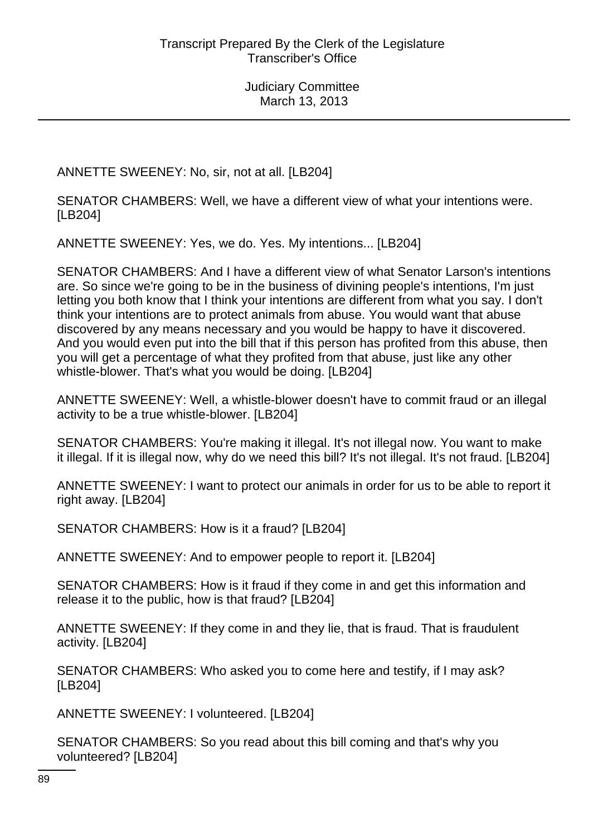ANNETTE SWEENEY: No, sir, not at all. [LB204]

SENATOR CHAMBERS: Well, we have a different view of what your intentions were. [LB204]

ANNETTE SWEENEY: Yes, we do. Yes. My intentions... [LB204]

SENATOR CHAMBERS: And I have a different view of what Senator Larson's intentions are. So since we're going to be in the business of divining people's intentions, I'm just letting you both know that I think your intentions are different from what you say. I don't think your intentions are to protect animals from abuse. You would want that abuse discovered by any means necessary and you would be happy to have it discovered. And you would even put into the bill that if this person has profited from this abuse, then you will get a percentage of what they profited from that abuse, just like any other whistle-blower. That's what you would be doing. [LB204]

ANNETTE SWEENEY: Well, a whistle-blower doesn't have to commit fraud or an illegal activity to be a true whistle-blower. [LB204]

SENATOR CHAMBERS: You're making it illegal. It's not illegal now. You want to make it illegal. If it is illegal now, why do we need this bill? It's not illegal. It's not fraud. [LB204]

ANNETTE SWEENEY: I want to protect our animals in order for us to be able to report it right away. [LB204]

SENATOR CHAMBERS: How is it a fraud? [LB204]

ANNETTE SWEENEY: And to empower people to report it. [LB204]

SENATOR CHAMBERS: How is it fraud if they come in and get this information and release it to the public, how is that fraud? [LB204]

ANNETTE SWEENEY: If they come in and they lie, that is fraud. That is fraudulent activity. [LB204]

SENATOR CHAMBERS: Who asked you to come here and testify, if I may ask? [LB204]

ANNETTE SWEENEY: I volunteered. [LB204]

SENATOR CHAMBERS: So you read about this bill coming and that's why you volunteered? [LB204]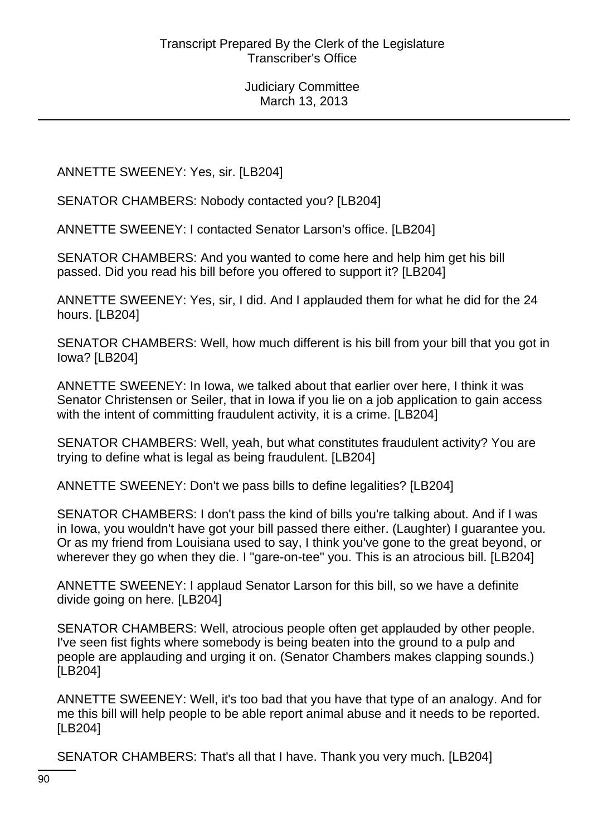ANNETTE SWEENEY: Yes, sir. [LB204]

SENATOR CHAMBERS: Nobody contacted you? [LB204]

ANNETTE SWEENEY: I contacted Senator Larson's office. [LB204]

SENATOR CHAMBERS: And you wanted to come here and help him get his bill passed. Did you read his bill before you offered to support it? [LB204]

ANNETTE SWEENEY: Yes, sir, I did. And I applauded them for what he did for the 24 hours. [LB204]

SENATOR CHAMBERS: Well, how much different is his bill from your bill that you got in Iowa? [LB204]

ANNETTE SWEENEY: In Iowa, we talked about that earlier over here, I think it was Senator Christensen or Seiler, that in Iowa if you lie on a job application to gain access with the intent of committing fraudulent activity, it is a crime. [LB204]

SENATOR CHAMBERS: Well, yeah, but what constitutes fraudulent activity? You are trying to define what is legal as being fraudulent. [LB204]

ANNETTE SWEENEY: Don't we pass bills to define legalities? [LB204]

SENATOR CHAMBERS: I don't pass the kind of bills you're talking about. And if I was in Iowa, you wouldn't have got your bill passed there either. (Laughter) I guarantee you. Or as my friend from Louisiana used to say, I think you've gone to the great beyond, or wherever they go when they die. I "gare-on-tee" you. This is an atrocious bill. [LB204]

ANNETTE SWEENEY: I applaud Senator Larson for this bill, so we have a definite divide going on here. [LB204]

SENATOR CHAMBERS: Well, atrocious people often get applauded by other people. I've seen fist fights where somebody is being beaten into the ground to a pulp and people are applauding and urging it on. (Senator Chambers makes clapping sounds.) [LB204]

ANNETTE SWEENEY: Well, it's too bad that you have that type of an analogy. And for me this bill will help people to be able report animal abuse and it needs to be reported. [LB204]

SENATOR CHAMBERS: That's all that I have. Thank you very much. [LB204]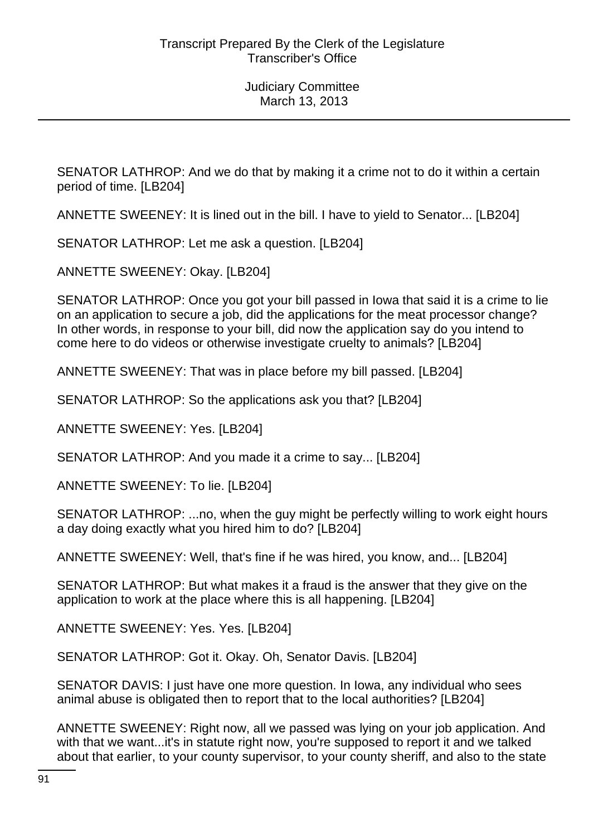SENATOR LATHROP: And we do that by making it a crime not to do it within a certain period of time. [LB204]

ANNETTE SWEENEY: It is lined out in the bill. I have to yield to Senator... [LB204]

SENATOR LATHROP: Let me ask a question. [LB204]

ANNETTE SWEENEY: Okay. [LB204]

SENATOR LATHROP: Once you got your bill passed in Iowa that said it is a crime to lie on an application to secure a job, did the applications for the meat processor change? In other words, in response to your bill, did now the application say do you intend to come here to do videos or otherwise investigate cruelty to animals? [LB204]

ANNETTE SWEENEY: That was in place before my bill passed. [LB204]

SENATOR LATHROP: So the applications ask you that? [LB204]

ANNETTE SWEENEY: Yes. [LB204]

SENATOR LATHROP: And you made it a crime to say... [LB204]

ANNETTE SWEENEY: To lie. [LB204]

SENATOR LATHROP: ...no, when the guy might be perfectly willing to work eight hours a day doing exactly what you hired him to do? [LB204]

ANNETTE SWEENEY: Well, that's fine if he was hired, you know, and... [LB204]

SENATOR LATHROP: But what makes it a fraud is the answer that they give on the application to work at the place where this is all happening. [LB204]

ANNETTE SWEENEY: Yes. Yes. [LB204]

SENATOR LATHROP: Got it. Okay. Oh, Senator Davis. [LB204]

SENATOR DAVIS: I just have one more question. In Iowa, any individual who sees animal abuse is obligated then to report that to the local authorities? [LB204]

ANNETTE SWEENEY: Right now, all we passed was lying on your job application. And with that we want...it's in statute right now, you're supposed to report it and we talked about that earlier, to your county supervisor, to your county sheriff, and also to the state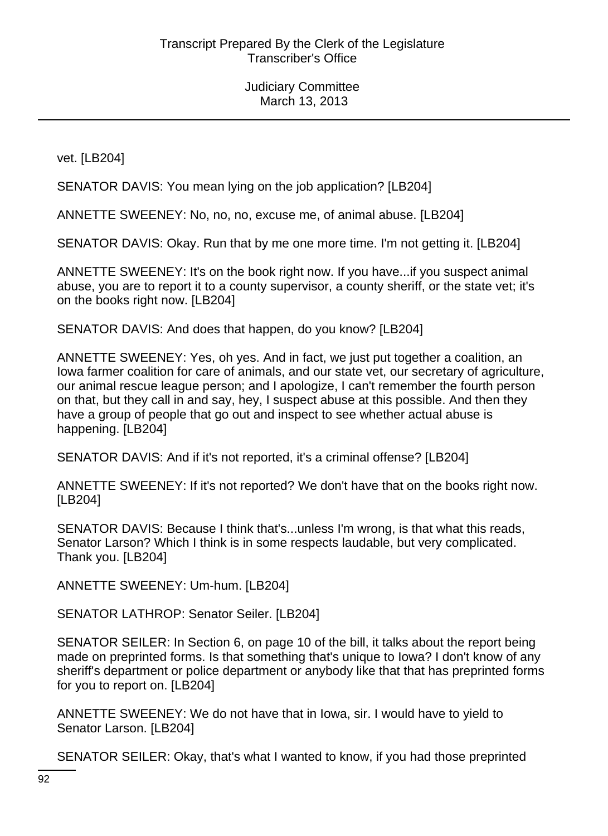vet. [LB204]

SENATOR DAVIS: You mean lying on the job application? [LB204]

ANNETTE SWEENEY: No, no, no, excuse me, of animal abuse. [LB204]

SENATOR DAVIS: Okay. Run that by me one more time. I'm not getting it. [LB204]

ANNETTE SWEENEY: It's on the book right now. If you have...if you suspect animal abuse, you are to report it to a county supervisor, a county sheriff, or the state vet; it's on the books right now. [LB204]

SENATOR DAVIS: And does that happen, do you know? [LB204]

ANNETTE SWEENEY: Yes, oh yes. And in fact, we just put together a coalition, an Iowa farmer coalition for care of animals, and our state vet, our secretary of agriculture, our animal rescue league person; and I apologize, I can't remember the fourth person on that, but they call in and say, hey, I suspect abuse at this possible. And then they have a group of people that go out and inspect to see whether actual abuse is happening. [LB204]

SENATOR DAVIS: And if it's not reported, it's a criminal offense? [LB204]

ANNETTE SWEENEY: If it's not reported? We don't have that on the books right now. [LB204]

SENATOR DAVIS: Because I think that's...unless I'm wrong, is that what this reads, Senator Larson? Which I think is in some respects laudable, but very complicated. Thank you. [LB204]

ANNETTE SWEENEY: Um-hum. [LB204]

SENATOR LATHROP: Senator Seiler. [LB204]

SENATOR SEILER: In Section 6, on page 10 of the bill, it talks about the report being made on preprinted forms. Is that something that's unique to Iowa? I don't know of any sheriff's department or police department or anybody like that that has preprinted forms for you to report on. [LB204]

ANNETTE SWEENEY: We do not have that in Iowa, sir. I would have to yield to Senator Larson. [LB204]

SENATOR SEILER: Okay, that's what I wanted to know, if you had those preprinted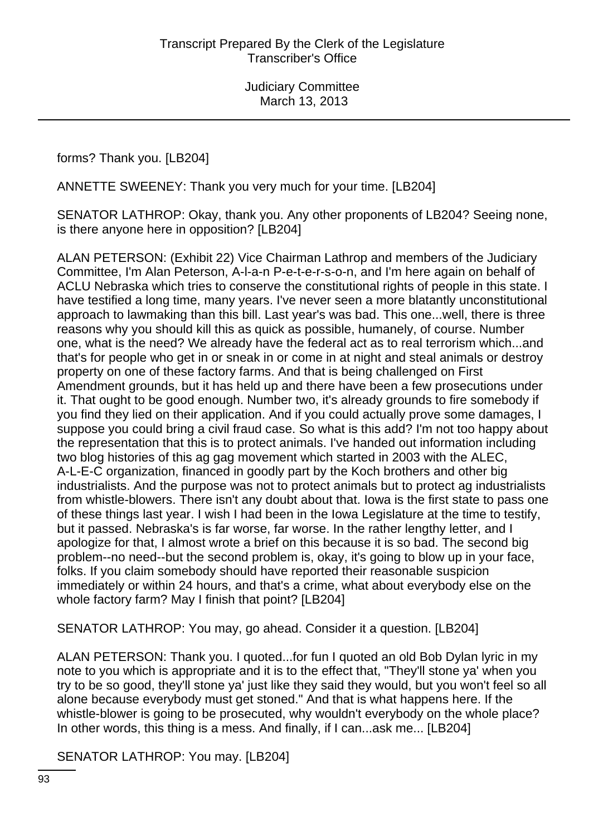forms? Thank you. [LB204]

ANNETTE SWEENEY: Thank you very much for your time. [LB204]

SENATOR LATHROP: Okay, thank you. Any other proponents of LB204? Seeing none, is there anyone here in opposition? [LB204]

ALAN PETERSON: (Exhibit 22) Vice Chairman Lathrop and members of the Judiciary Committee, I'm Alan Peterson, A-l-a-n P-e-t-e-r-s-o-n, and I'm here again on behalf of ACLU Nebraska which tries to conserve the constitutional rights of people in this state. I have testified a long time, many years. I've never seen a more blatantly unconstitutional approach to lawmaking than this bill. Last year's was bad. This one...well, there is three reasons why you should kill this as quick as possible, humanely, of course. Number one, what is the need? We already have the federal act as to real terrorism which...and that's for people who get in or sneak in or come in at night and steal animals or destroy property on one of these factory farms. And that is being challenged on First Amendment grounds, but it has held up and there have been a few prosecutions under it. That ought to be good enough. Number two, it's already grounds to fire somebody if you find they lied on their application. And if you could actually prove some damages, I suppose you could bring a civil fraud case. So what is this add? I'm not too happy about the representation that this is to protect animals. I've handed out information including two blog histories of this ag gag movement which started in 2003 with the ALEC, A-L-E-C organization, financed in goodly part by the Koch brothers and other big industrialists. And the purpose was not to protect animals but to protect ag industrialists from whistle-blowers. There isn't any doubt about that. Iowa is the first state to pass one of these things last year. I wish I had been in the Iowa Legislature at the time to testify, but it passed. Nebraska's is far worse, far worse. In the rather lengthy letter, and I apologize for that, I almost wrote a brief on this because it is so bad. The second big problem--no need--but the second problem is, okay, it's going to blow up in your face, folks. If you claim somebody should have reported their reasonable suspicion immediately or within 24 hours, and that's a crime, what about everybody else on the whole factory farm? May I finish that point? [LB204]

SENATOR LATHROP: You may, go ahead. Consider it a question. [LB204]

ALAN PETERSON: Thank you. I quoted...for fun I quoted an old Bob Dylan lyric in my note to you which is appropriate and it is to the effect that, "They'll stone ya' when you try to be so good, they'll stone ya' just like they said they would, but you won't feel so all alone because everybody must get stoned." And that is what happens here. If the whistle-blower is going to be prosecuted, why wouldn't everybody on the whole place? In other words, this thing is a mess. And finally, if I can...ask me... [LB204]

SENATOR LATHROP: You may. [LB204]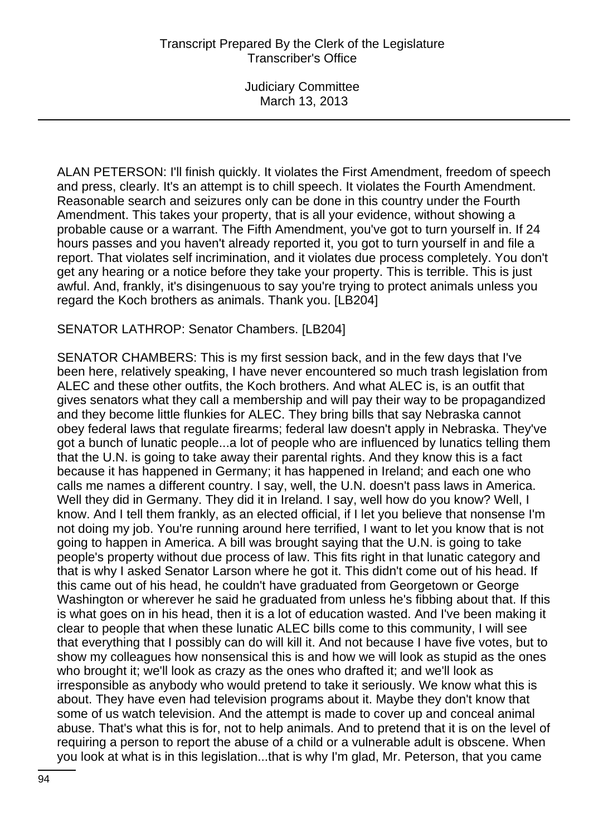ALAN PETERSON: I'll finish quickly. It violates the First Amendment, freedom of speech and press, clearly. It's an attempt is to chill speech. It violates the Fourth Amendment. Reasonable search and seizures only can be done in this country under the Fourth Amendment. This takes your property, that is all your evidence, without showing a probable cause or a warrant. The Fifth Amendment, you've got to turn yourself in. If 24 hours passes and you haven't already reported it, you got to turn yourself in and file a report. That violates self incrimination, and it violates due process completely. You don't get any hearing or a notice before they take your property. This is terrible. This is just awful. And, frankly, it's disingenuous to say you're trying to protect animals unless you regard the Koch brothers as animals. Thank you. [LB204]

### SENATOR LATHROP: Senator Chambers. [LB204]

SENATOR CHAMBERS: This is my first session back, and in the few days that I've been here, relatively speaking, I have never encountered so much trash legislation from ALEC and these other outfits, the Koch brothers. And what ALEC is, is an outfit that gives senators what they call a membership and will pay their way to be propagandized and they become little flunkies for ALEC. They bring bills that say Nebraska cannot obey federal laws that regulate firearms; federal law doesn't apply in Nebraska. They've got a bunch of lunatic people...a lot of people who are influenced by lunatics telling them that the U.N. is going to take away their parental rights. And they know this is a fact because it has happened in Germany; it has happened in Ireland; and each one who calls me names a different country. I say, well, the U.N. doesn't pass laws in America. Well they did in Germany. They did it in Ireland. I say, well how do you know? Well, I know. And I tell them frankly, as an elected official, if I let you believe that nonsense I'm not doing my job. You're running around here terrified, I want to let you know that is not going to happen in America. A bill was brought saying that the U.N. is going to take people's property without due process of law. This fits right in that lunatic category and that is why I asked Senator Larson where he got it. This didn't come out of his head. If this came out of his head, he couldn't have graduated from Georgetown or George Washington or wherever he said he graduated from unless he's fibbing about that. If this is what goes on in his head, then it is a lot of education wasted. And I've been making it clear to people that when these lunatic ALEC bills come to this community, I will see that everything that I possibly can do will kill it. And not because I have five votes, but to show my colleagues how nonsensical this is and how we will look as stupid as the ones who brought it; we'll look as crazy as the ones who drafted it; and we'll look as irresponsible as anybody who would pretend to take it seriously. We know what this is about. They have even had television programs about it. Maybe they don't know that some of us watch television. And the attempt is made to cover up and conceal animal abuse. That's what this is for, not to help animals. And to pretend that it is on the level of requiring a person to report the abuse of a child or a vulnerable adult is obscene. When you look at what is in this legislation...that is why I'm glad, Mr. Peterson, that you came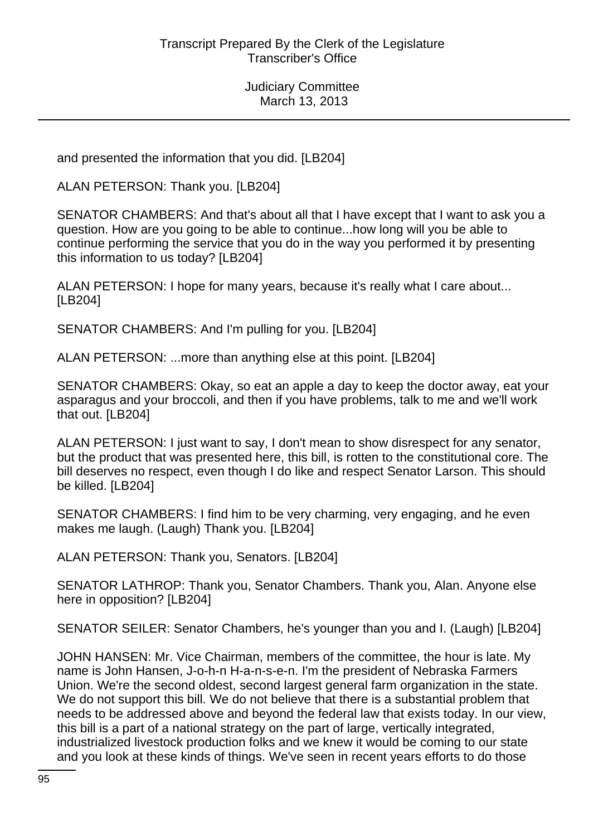and presented the information that you did. [LB204]

ALAN PETERSON: Thank you. [LB204]

SENATOR CHAMBERS: And that's about all that I have except that I want to ask you a question. How are you going to be able to continue...how long will you be able to continue performing the service that you do in the way you performed it by presenting this information to us today? [LB204]

ALAN PETERSON: I hope for many years, because it's really what I care about... [LB204]

SENATOR CHAMBERS: And I'm pulling for you. [LB204]

ALAN PETERSON: ...more than anything else at this point. [LB204]

SENATOR CHAMBERS: Okay, so eat an apple a day to keep the doctor away, eat your asparagus and your broccoli, and then if you have problems, talk to me and we'll work that out. [LB204]

ALAN PETERSON: I just want to say, I don't mean to show disrespect for any senator, but the product that was presented here, this bill, is rotten to the constitutional core. The bill deserves no respect, even though I do like and respect Senator Larson. This should be killed. [LB204]

SENATOR CHAMBERS: I find him to be very charming, very engaging, and he even makes me laugh. (Laugh) Thank you. [LB204]

ALAN PETERSON: Thank you, Senators. [LB204]

SENATOR LATHROP: Thank you, Senator Chambers. Thank you, Alan. Anyone else here in opposition? [LB204]

SENATOR SEILER: Senator Chambers, he's younger than you and I. (Laugh) [LB204]

JOHN HANSEN: Mr. Vice Chairman, members of the committee, the hour is late. My name is John Hansen, J-o-h-n H-a-n-s-e-n. I'm the president of Nebraska Farmers Union. We're the second oldest, second largest general farm organization in the state. We do not support this bill. We do not believe that there is a substantial problem that needs to be addressed above and beyond the federal law that exists today. In our view, this bill is a part of a national strategy on the part of large, vertically integrated, industrialized livestock production folks and we knew it would be coming to our state and you look at these kinds of things. We've seen in recent years efforts to do those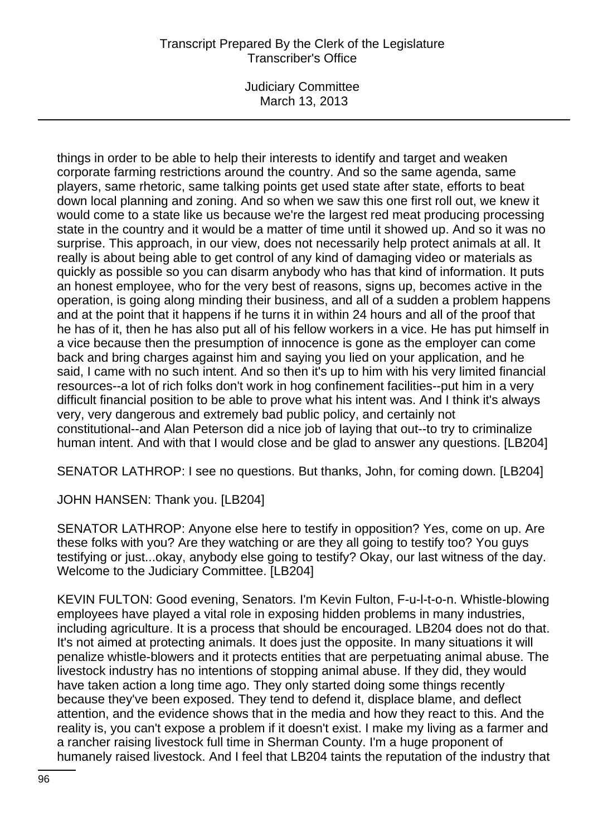Judiciary Committee March 13, 2013

things in order to be able to help their interests to identify and target and weaken corporate farming restrictions around the country. And so the same agenda, same players, same rhetoric, same talking points get used state after state, efforts to beat down local planning and zoning. And so when we saw this one first roll out, we knew it would come to a state like us because we're the largest red meat producing processing state in the country and it would be a matter of time until it showed up. And so it was no surprise. This approach, in our view, does not necessarily help protect animals at all. It really is about being able to get control of any kind of damaging video or materials as quickly as possible so you can disarm anybody who has that kind of information. It puts an honest employee, who for the very best of reasons, signs up, becomes active in the operation, is going along minding their business, and all of a sudden a problem happens and at the point that it happens if he turns it in within 24 hours and all of the proof that he has of it, then he has also put all of his fellow workers in a vice. He has put himself in a vice because then the presumption of innocence is gone as the employer can come back and bring charges against him and saying you lied on your application, and he said, I came with no such intent. And so then it's up to him with his very limited financial resources--a lot of rich folks don't work in hog confinement facilities--put him in a very difficult financial position to be able to prove what his intent was. And I think it's always very, very dangerous and extremely bad public policy, and certainly not constitutional--and Alan Peterson did a nice job of laying that out--to try to criminalize human intent. And with that I would close and be glad to answer any questions. [LB204]

SENATOR LATHROP: I see no questions. But thanks, John, for coming down. [LB204]

JOHN HANSEN: Thank you. [LB204]

SENATOR LATHROP: Anyone else here to testify in opposition? Yes, come on up. Are these folks with you? Are they watching or are they all going to testify too? You guys testifying or just...okay, anybody else going to testify? Okay, our last witness of the day. Welcome to the Judiciary Committee. [LB204]

KEVIN FULTON: Good evening, Senators. I'm Kevin Fulton, F-u-l-t-o-n. Whistle-blowing employees have played a vital role in exposing hidden problems in many industries, including agriculture. It is a process that should be encouraged. LB204 does not do that. It's not aimed at protecting animals. It does just the opposite. In many situations it will penalize whistle-blowers and it protects entities that are perpetuating animal abuse. The livestock industry has no intentions of stopping animal abuse. If they did, they would have taken action a long time ago. They only started doing some things recently because they've been exposed. They tend to defend it, displace blame, and deflect attention, and the evidence shows that in the media and how they react to this. And the reality is, you can't expose a problem if it doesn't exist. I make my living as a farmer and a rancher raising livestock full time in Sherman County. I'm a huge proponent of humanely raised livestock. And I feel that LB204 taints the reputation of the industry that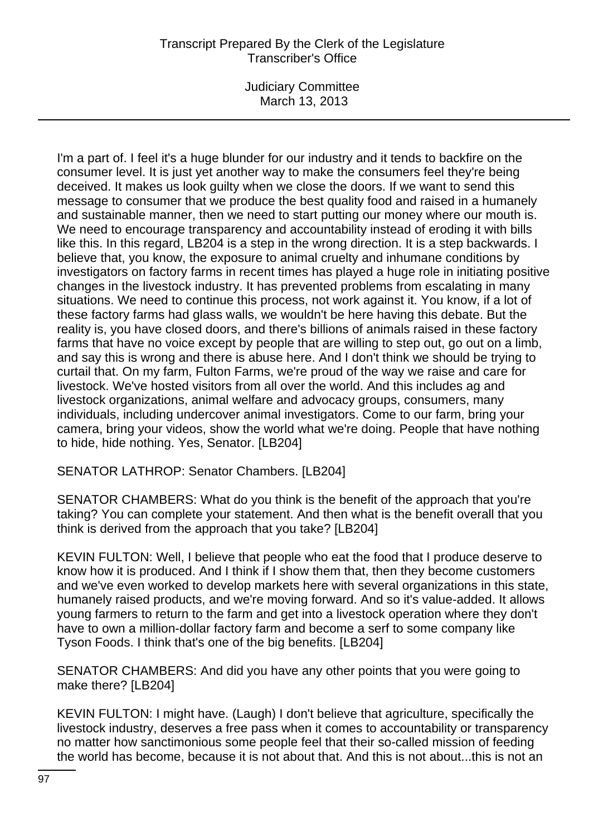Judiciary Committee March 13, 2013

I'm a part of. I feel it's a huge blunder for our industry and it tends to backfire on the consumer level. It is just yet another way to make the consumers feel they're being deceived. It makes us look guilty when we close the doors. If we want to send this message to consumer that we produce the best quality food and raised in a humanely and sustainable manner, then we need to start putting our money where our mouth is. We need to encourage transparency and accountability instead of eroding it with bills like this. In this regard, LB204 is a step in the wrong direction. It is a step backwards. I believe that, you know, the exposure to animal cruelty and inhumane conditions by investigators on factory farms in recent times has played a huge role in initiating positive changes in the livestock industry. It has prevented problems from escalating in many situations. We need to continue this process, not work against it. You know, if a lot of these factory farms had glass walls, we wouldn't be here having this debate. But the reality is, you have closed doors, and there's billions of animals raised in these factory farms that have no voice except by people that are willing to step out, go out on a limb, and say this is wrong and there is abuse here. And I don't think we should be trying to curtail that. On my farm, Fulton Farms, we're proud of the way we raise and care for livestock. We've hosted visitors from all over the world. And this includes ag and livestock organizations, animal welfare and advocacy groups, consumers, many individuals, including undercover animal investigators. Come to our farm, bring your camera, bring your videos, show the world what we're doing. People that have nothing to hide, hide nothing. Yes, Senator. [LB204]

SENATOR LATHROP: Senator Chambers. [LB204]

SENATOR CHAMBERS: What do you think is the benefit of the approach that you're taking? You can complete your statement. And then what is the benefit overall that you think is derived from the approach that you take? [LB204]

KEVIN FULTON: Well, I believe that people who eat the food that I produce deserve to know how it is produced. And I think if I show them that, then they become customers and we've even worked to develop markets here with several organizations in this state, humanely raised products, and we're moving forward. And so it's value-added. It allows young farmers to return to the farm and get into a livestock operation where they don't have to own a million-dollar factory farm and become a serf to some company like Tyson Foods. I think that's one of the big benefits. [LB204]

SENATOR CHAMBERS: And did you have any other points that you were going to make there? [LB204]

KEVIN FULTON: I might have. (Laugh) I don't believe that agriculture, specifically the livestock industry, deserves a free pass when it comes to accountability or transparency no matter how sanctimonious some people feel that their so-called mission of feeding the world has become, because it is not about that. And this is not about...this is not an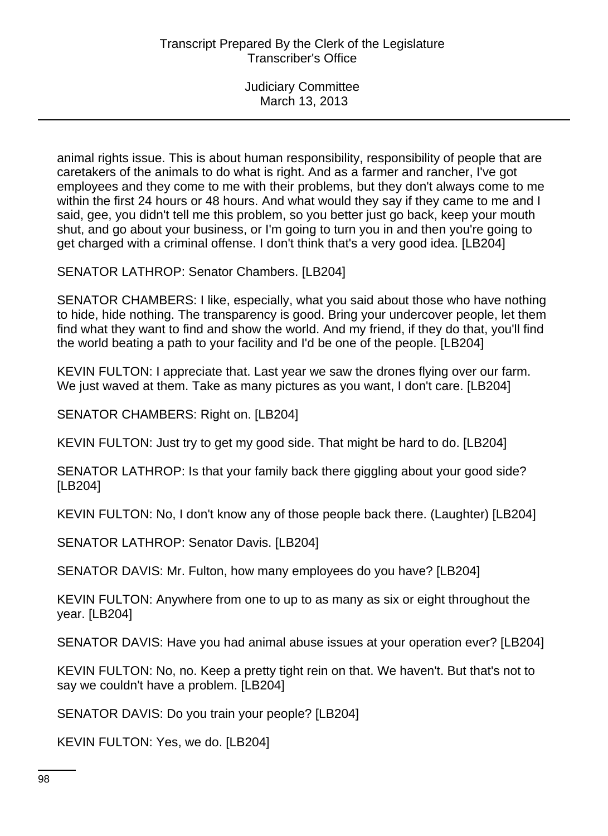animal rights issue. This is about human responsibility, responsibility of people that are caretakers of the animals to do what is right. And as a farmer and rancher, I've got employees and they come to me with their problems, but they don't always come to me within the first 24 hours or 48 hours. And what would they say if they came to me and I said, gee, you didn't tell me this problem, so you better just go back, keep your mouth shut, and go about your business, or I'm going to turn you in and then you're going to get charged with a criminal offense. I don't think that's a very good idea. [LB204]

SENATOR LATHROP: Senator Chambers. [LB204]

SENATOR CHAMBERS: I like, especially, what you said about those who have nothing to hide, hide nothing. The transparency is good. Bring your undercover people, let them find what they want to find and show the world. And my friend, if they do that, you'll find the world beating a path to your facility and I'd be one of the people. [LB204]

KEVIN FULTON: I appreciate that. Last year we saw the drones flying over our farm. We just waved at them. Take as many pictures as you want, I don't care. [LB204]

SENATOR CHAMBERS: Right on. [LB204]

KEVIN FULTON: Just try to get my good side. That might be hard to do. [LB204]

SENATOR LATHROP: Is that your family back there giggling about your good side? [LB204]

KEVIN FULTON: No, I don't know any of those people back there. (Laughter) [LB204]

SENATOR LATHROP: Senator Davis. [LB204]

SENATOR DAVIS: Mr. Fulton, how many employees do you have? [LB204]

KEVIN FULTON: Anywhere from one to up to as many as six or eight throughout the year. [LB204]

SENATOR DAVIS: Have you had animal abuse issues at your operation ever? [LB204]

KEVIN FULTON: No, no. Keep a pretty tight rein on that. We haven't. But that's not to say we couldn't have a problem. [LB204]

SENATOR DAVIS: Do you train your people? [LB204]

KEVIN FULTON: Yes, we do. [LB204]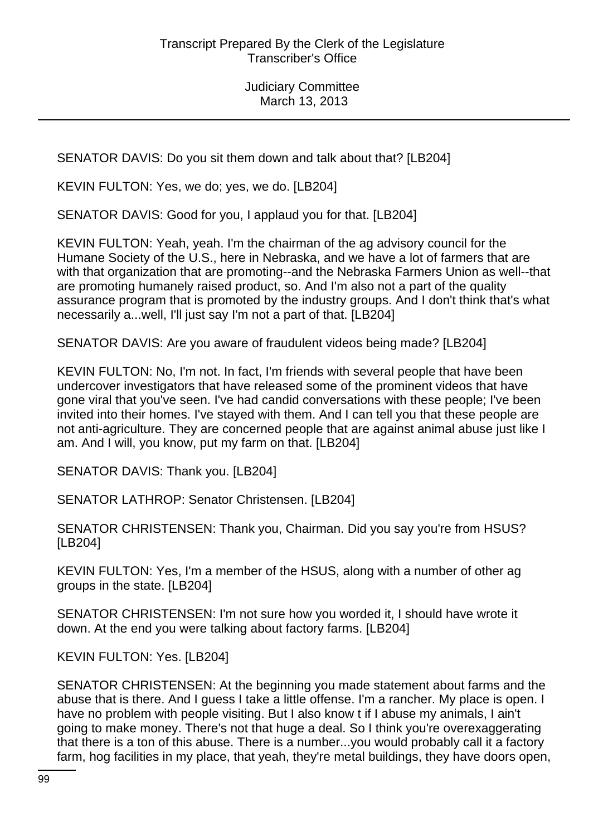SENATOR DAVIS: Do you sit them down and talk about that? [LB204]

KEVIN FULTON: Yes, we do; yes, we do. [LB204]

SENATOR DAVIS: Good for you, I applaud you for that. [LB204]

KEVIN FULTON: Yeah, yeah. I'm the chairman of the ag advisory council for the Humane Society of the U.S., here in Nebraska, and we have a lot of farmers that are with that organization that are promoting--and the Nebraska Farmers Union as well--that are promoting humanely raised product, so. And I'm also not a part of the quality assurance program that is promoted by the industry groups. And I don't think that's what necessarily a...well, I'll just say I'm not a part of that. [LB204]

SENATOR DAVIS: Are you aware of fraudulent videos being made? [LB204]

KEVIN FULTON: No, I'm not. In fact, I'm friends with several people that have been undercover investigators that have released some of the prominent videos that have gone viral that you've seen. I've had candid conversations with these people; I've been invited into their homes. I've stayed with them. And I can tell you that these people are not anti-agriculture. They are concerned people that are against animal abuse just like I am. And I will, you know, put my farm on that. [LB204]

SENATOR DAVIS: Thank you. [LB204]

SENATOR LATHROP: Senator Christensen. [LB204]

SENATOR CHRISTENSEN: Thank you, Chairman. Did you say you're from HSUS? [LB204]

KEVIN FULTON: Yes, I'm a member of the HSUS, along with a number of other ag groups in the state. [LB204]

SENATOR CHRISTENSEN: I'm not sure how you worded it, I should have wrote it down. At the end you were talking about factory farms. [LB204]

KEVIN FULTON: Yes. [LB204]

SENATOR CHRISTENSEN: At the beginning you made statement about farms and the abuse that is there. And I guess I take a little offense. I'm a rancher. My place is open. I have no problem with people visiting. But I also know t if I abuse my animals, I ain't going to make money. There's not that huge a deal. So I think you're overexaggerating that there is a ton of this abuse. There is a number...you would probably call it a factory farm, hog facilities in my place, that yeah, they're metal buildings, they have doors open,